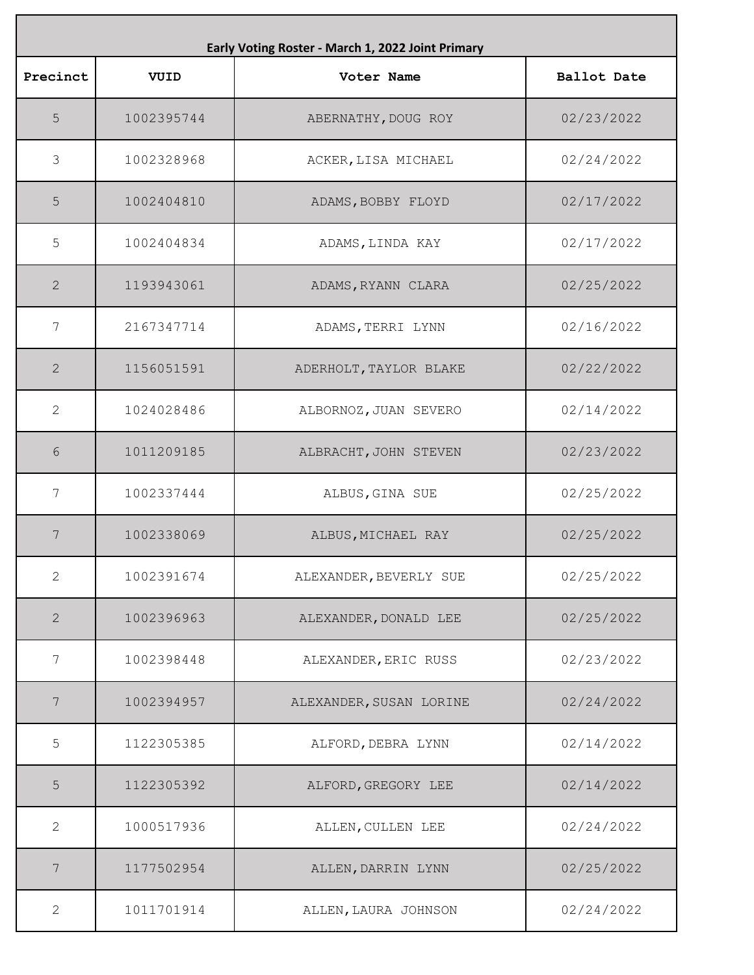| Early Voting Roster - March 1, 2022 Joint Primary |            |                         |                    |
|---------------------------------------------------|------------|-------------------------|--------------------|
| Precinct                                          | VUID       | Voter Name              | <b>Ballot Date</b> |
| 5                                                 | 1002395744 | ABERNATHY, DOUG ROY     | 02/23/2022         |
| 3                                                 | 1002328968 | ACKER, LISA MICHAEL     | 02/24/2022         |
| 5                                                 | 1002404810 | ADAMS, BOBBY FLOYD      | 02/17/2022         |
| 5                                                 | 1002404834 | ADAMS, LINDA KAY        | 02/17/2022         |
| $\mathbf{2}$                                      | 1193943061 | ADAMS, RYANN CLARA      | 02/25/2022         |
| 7                                                 | 2167347714 | ADAMS, TERRI LYNN       | 02/16/2022         |
| $\mathbf{2}$                                      | 1156051591 | ADERHOLT, TAYLOR BLAKE  | 02/22/2022         |
| 2                                                 | 1024028486 | ALBORNOZ, JUAN SEVERO   | 02/14/2022         |
| 6                                                 | 1011209185 | ALBRACHT, JOHN STEVEN   | 02/23/2022         |
| 7                                                 | 1002337444 | ALBUS, GINA SUE         | 02/25/2022         |
| 7                                                 | 1002338069 | ALBUS, MICHAEL RAY      | 02/25/2022         |
| $\overline{2}$                                    | 1002391674 | ALEXANDER, BEVERLY SUE  | 02/25/2022         |
| $\mathbf{2}$                                      | 1002396963 | ALEXANDER, DONALD LEE   | 02/25/2022         |
| 7                                                 | 1002398448 | ALEXANDER, ERIC RUSS    | 02/23/2022         |
| 7                                                 | 1002394957 | ALEXANDER, SUSAN LORINE | 02/24/2022         |
| 5                                                 | 1122305385 | ALFORD, DEBRA LYNN      | 02/14/2022         |
| 5                                                 | 1122305392 | ALFORD, GREGORY LEE     | 02/14/2022         |
| 2                                                 | 1000517936 | ALLEN, CULLEN LEE       | 02/24/2022         |
| 7                                                 | 1177502954 | ALLEN, DARRIN LYNN      | 02/25/2022         |
| 2                                                 | 1011701914 | ALLEN, LAURA JOHNSON    | 02/24/2022         |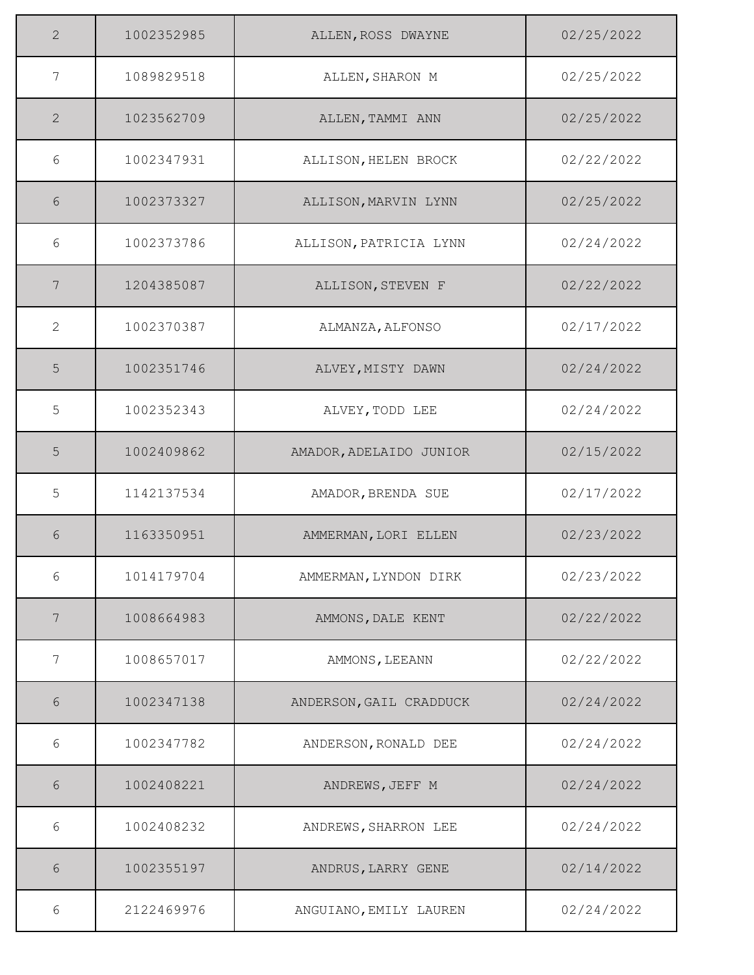| $\overline{2}$ | 1002352985 | ALLEN, ROSS DWAYNE      | 02/25/2022 |
|----------------|------------|-------------------------|------------|
| $\overline{7}$ | 1089829518 | ALLEN, SHARON M         | 02/25/2022 |
| $\overline{2}$ | 1023562709 | ALLEN, TAMMI ANN        | 02/25/2022 |
| 6              | 1002347931 | ALLISON, HELEN BROCK    | 02/22/2022 |
| 6              | 1002373327 | ALLISON, MARVIN LYNN    | 02/25/2022 |
| 6              | 1002373786 | ALLISON, PATRICIA LYNN  | 02/24/2022 |
| 7              | 1204385087 | ALLISON, STEVEN F       | 02/22/2022 |
| $\overline{2}$ | 1002370387 | ALMANZA, ALFONSO        | 02/17/2022 |
| 5              | 1002351746 | ALVEY, MISTY DAWN       | 02/24/2022 |
| 5              | 1002352343 | ALVEY, TODD LEE         | 02/24/2022 |
| 5              | 1002409862 | AMADOR, ADELAIDO JUNIOR | 02/15/2022 |
| 5              | 1142137534 | AMADOR, BRENDA SUE      | 02/17/2022 |
| 6              | 1163350951 | AMMERMAN, LORI ELLEN    | 02/23/2022 |
| 6              | 1014179704 | AMMERMAN, LYNDON DIRK   | 02/23/2022 |
| 7              | 1008664983 | AMMONS, DALE KENT       | 02/22/2022 |
| 7              | 1008657017 | AMMONS, LEEANN          | 02/22/2022 |
| 6              | 1002347138 | ANDERSON, GAIL CRADDUCK | 02/24/2022 |
| 6              | 1002347782 | ANDERSON, RONALD DEE    | 02/24/2022 |
| $6\,$          | 1002408221 | ANDREWS, JEFF M         | 02/24/2022 |
| 6              | 1002408232 | ANDREWS, SHARRON LEE    | 02/24/2022 |
| 6              | 1002355197 | ANDRUS, LARRY GENE      | 02/14/2022 |
| 6              | 2122469976 | ANGUIANO, EMILY LAUREN  | 02/24/2022 |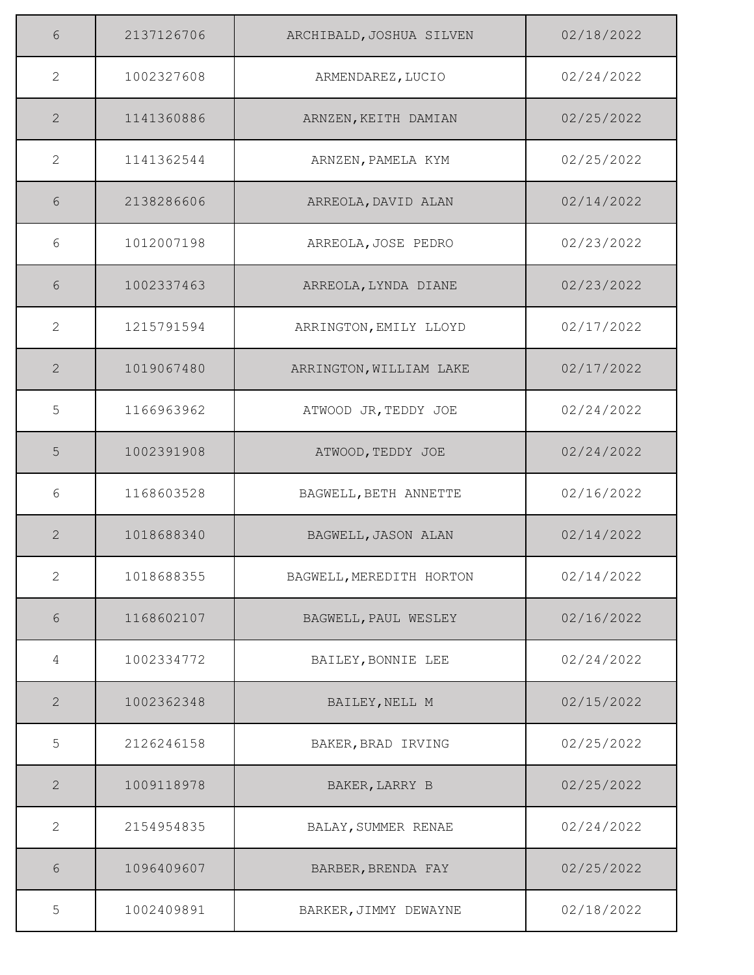| 6              | 2137126706 | ARCHIBALD, JOSHUA SILVEN | 02/18/2022 |
|----------------|------------|--------------------------|------------|
| 2              | 1002327608 | ARMENDAREZ, LUCIO        | 02/24/2022 |
| $\overline{2}$ | 1141360886 | ARNZEN, KEITH DAMIAN     | 02/25/2022 |
| 2              | 1141362544 | ARNZEN, PAMELA KYM       | 02/25/2022 |
| 6              | 2138286606 | ARREOLA, DAVID ALAN      | 02/14/2022 |
| 6              | 1012007198 | ARREOLA, JOSE PEDRO      | 02/23/2022 |
| 6              | 1002337463 | ARREOLA, LYNDA DIANE     | 02/23/2022 |
| $\mathbf{2}$   | 1215791594 | ARRINGTON, EMILY LLOYD   | 02/17/2022 |
| 2              | 1019067480 | ARRINGTON, WILLIAM LAKE  | 02/17/2022 |
| 5              | 1166963962 | ATWOOD JR, TEDDY JOE     | 02/24/2022 |
| 5              | 1002391908 | ATWOOD, TEDDY JOE        | 02/24/2022 |
| 6              | 1168603528 | BAGWELL, BETH ANNETTE    | 02/16/2022 |
| 2              | 1018688340 | BAGWELL, JASON ALAN      | 02/14/2022 |
| $\overline{2}$ | 1018688355 | BAGWELL, MEREDITH HORTON | 02/14/2022 |
| $6\,$          | 1168602107 | BAGWELL, PAUL WESLEY     | 02/16/2022 |
| 4              | 1002334772 | BAILEY, BONNIE LEE       | 02/24/2022 |
| $\overline{2}$ | 1002362348 | BAILEY, NELL M           | 02/15/2022 |
| 5              | 2126246158 | BAKER, BRAD IRVING       | 02/25/2022 |
| $\mathbf{2}$   | 1009118978 | BAKER, LARRY B           | 02/25/2022 |
| $\mathbf{2}$   | 2154954835 | BALAY, SUMMER RENAE      | 02/24/2022 |
| 6              | 1096409607 | BARBER, BRENDA FAY       | 02/25/2022 |
| 5              | 1002409891 | BARKER, JIMMY DEWAYNE    | 02/18/2022 |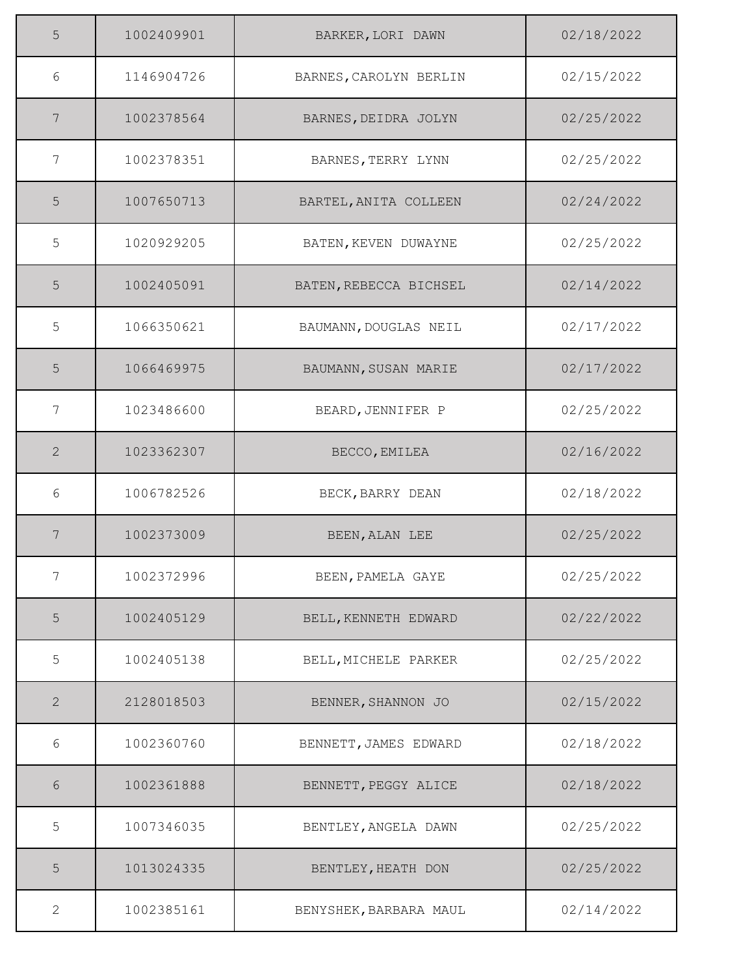| 5              | 1002409901 | BARKER, LORI DAWN      | 02/18/2022 |
|----------------|------------|------------------------|------------|
| 6              | 1146904726 | BARNES, CAROLYN BERLIN | 02/15/2022 |
| 7              | 1002378564 | BARNES, DEIDRA JOLYN   | 02/25/2022 |
| 7              | 1002378351 | BARNES, TERRY LYNN     | 02/25/2022 |
| 5              | 1007650713 | BARTEL, ANITA COLLEEN  | 02/24/2022 |
| 5              | 1020929205 | BATEN, KEVEN DUWAYNE   | 02/25/2022 |
| 5              | 1002405091 | BATEN, REBECCA BICHSEL | 02/14/2022 |
| 5              | 1066350621 | BAUMANN, DOUGLAS NEIL  | 02/17/2022 |
| 5              | 1066469975 | BAUMANN, SUSAN MARIE   | 02/17/2022 |
| 7              | 1023486600 | BEARD, JENNIFER P      | 02/25/2022 |
| $\mathbf{2}$   | 1023362307 | BECCO, EMILEA          | 02/16/2022 |
| 6              | 1006782526 | BECK, BARRY DEAN       | 02/18/2022 |
| 7              | 1002373009 | BEEN, ALAN LEE         | 02/25/2022 |
| 7              | 1002372996 | BEEN, PAMELA GAYE      | 02/25/2022 |
| 5              | 1002405129 | BELL, KENNETH EDWARD   | 02/22/2022 |
| 5              | 1002405138 | BELL, MICHELE PARKER   | 02/25/2022 |
| $\mathbf{2}$   | 2128018503 | BENNER, SHANNON JO     | 02/15/2022 |
| 6              | 1002360760 | BENNETT, JAMES EDWARD  | 02/18/2022 |
| $6\,$          | 1002361888 | BENNETT, PEGGY ALICE   | 02/18/2022 |
| 5              | 1007346035 | BENTLEY, ANGELA DAWN   | 02/25/2022 |
| 5              | 1013024335 | BENTLEY, HEATH DON     | 02/25/2022 |
| $\overline{2}$ | 1002385161 | BENYSHEK, BARBARA MAUL | 02/14/2022 |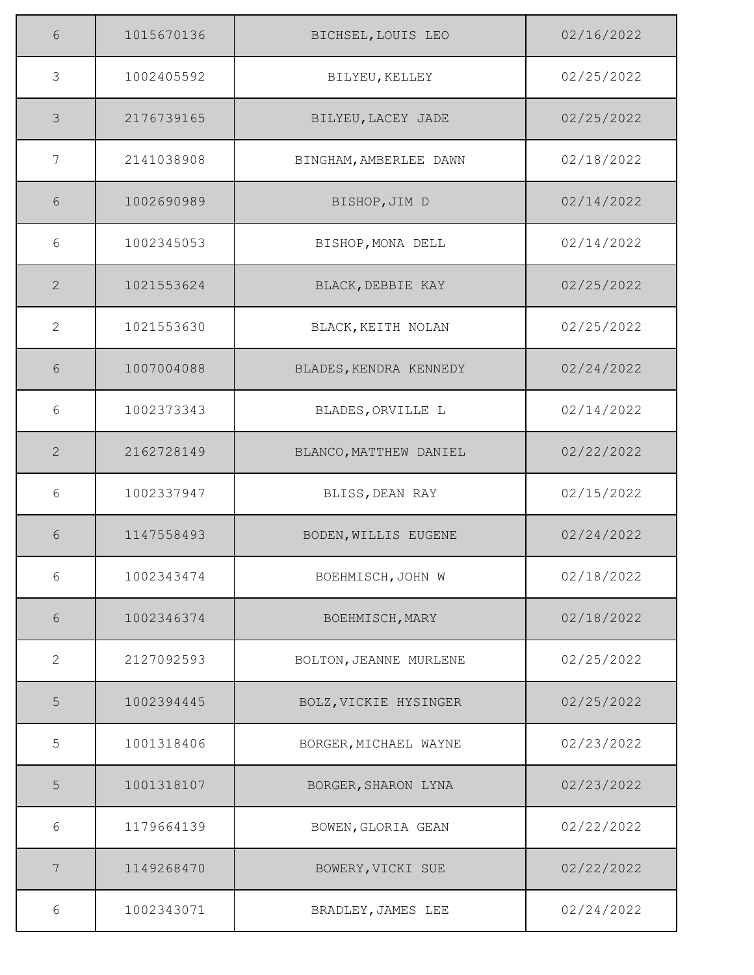| 6             | 1015670136 | BICHSEL, LOUIS LEO     | 02/16/2022 |
|---------------|------------|------------------------|------------|
| 3             | 1002405592 | BILYEU, KELLEY         | 02/25/2022 |
| $\mathcal{S}$ | 2176739165 | BILYEU, LACEY JADE     | 02/25/2022 |
| 7             | 2141038908 | BINGHAM, AMBERLEE DAWN | 02/18/2022 |
| 6             | 1002690989 | BISHOP, JIM D          | 02/14/2022 |
| 6             | 1002345053 | BISHOP, MONA DELL      | 02/14/2022 |
| 2             | 1021553624 | BLACK, DEBBIE KAY      | 02/25/2022 |
| 2             | 1021553630 | BLACK, KEITH NOLAN     | 02/25/2022 |
| 6             | 1007004088 | BLADES, KENDRA KENNEDY | 02/24/2022 |
| 6             | 1002373343 | BLADES, ORVILLE L      | 02/14/2022 |
| 2             | 2162728149 | BLANCO, MATTHEW DANIEL | 02/22/2022 |
| 6             | 1002337947 | BLISS, DEAN RAY        | 02/15/2022 |
| 6             | 1147558493 | BODEN, WILLIS EUGENE   | 02/24/2022 |
| 6             | 1002343474 | BOEHMISCH, JOHN W      | 02/18/2022 |
| 6             | 1002346374 | BOEHMISCH, MARY        | 02/18/2022 |
| 2             | 2127092593 | BOLTON, JEANNE MURLENE | 02/25/2022 |
| 5             | 1002394445 | BOLZ, VICKIE HYSINGER  | 02/25/2022 |
| 5             | 1001318406 | BORGER, MICHAEL WAYNE  | 02/23/2022 |
| 5             | 1001318107 | BORGER, SHARON LYNA    | 02/23/2022 |
| $6\,$         | 1179664139 | BOWEN, GLORIA GEAN     | 02/22/2022 |
| 7             | 1149268470 | BOWERY, VICKI SUE      | 02/22/2022 |
| 6             | 1002343071 | BRADLEY, JAMES LEE     | 02/24/2022 |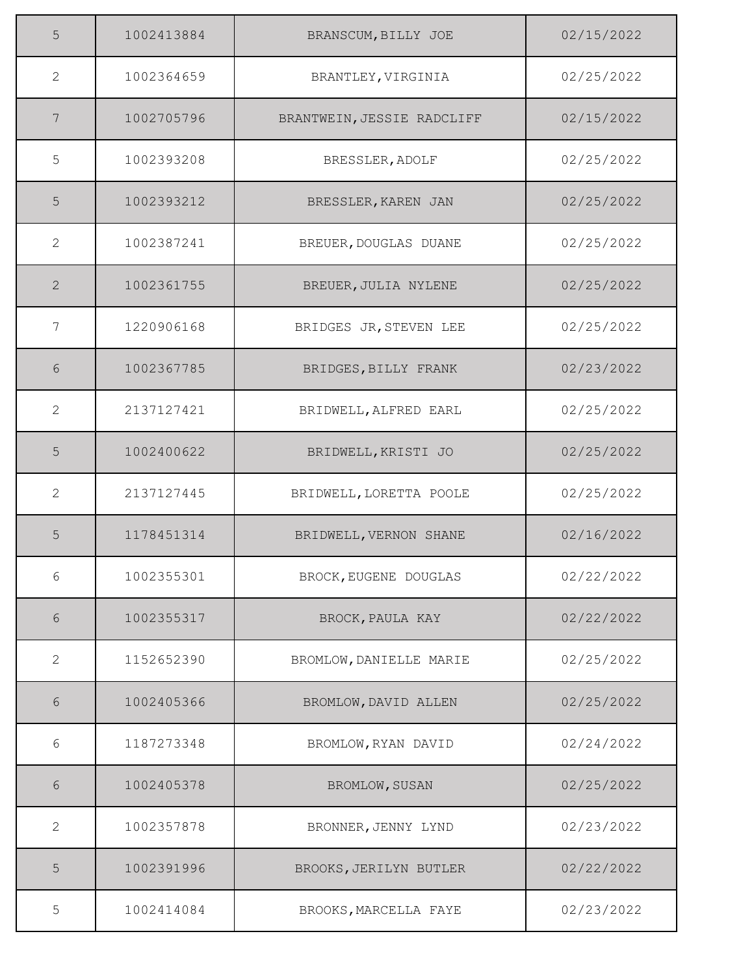| 5              | 1002413884 | BRANSCUM, BILLY JOE        | 02/15/2022 |
|----------------|------------|----------------------------|------------|
| 2              | 1002364659 | BRANTLEY, VIRGINIA         | 02/25/2022 |
| 7              | 1002705796 | BRANTWEIN, JESSIE RADCLIFF | 02/15/2022 |
| 5              | 1002393208 | BRESSLER, ADOLF            | 02/25/2022 |
| 5              | 1002393212 | BRESSLER, KAREN JAN        | 02/25/2022 |
| $\mathbf{2}$   | 1002387241 | BREUER, DOUGLAS DUANE      | 02/25/2022 |
| $\overline{2}$ | 1002361755 | BREUER, JULIA NYLENE       | 02/25/2022 |
| $\overline{7}$ | 1220906168 | BRIDGES JR, STEVEN LEE     | 02/25/2022 |
| 6              | 1002367785 | BRIDGES, BILLY FRANK       | 02/23/2022 |
| $\overline{2}$ | 2137127421 | BRIDWELL, ALFRED EARL      | 02/25/2022 |
| 5              | 1002400622 | BRIDWELL, KRISTI JO        | 02/25/2022 |
| $\mathbf{2}$   | 2137127445 | BRIDWELL, LORETTA POOLE    | 02/25/2022 |
| 5              | 1178451314 | BRIDWELL, VERNON SHANE     | 02/16/2022 |
| 6              | 1002355301 | BROCK, EUGENE DOUGLAS      | 02/22/2022 |
| 6              | 1002355317 | BROCK, PAULA KAY           | 02/22/2022 |
| $\overline{2}$ | 1152652390 | BROMLOW, DANIELLE MARIE    | 02/25/2022 |
| 6              | 1002405366 | BROMLOW, DAVID ALLEN       | 02/25/2022 |
| 6              | 1187273348 | BROMLOW, RYAN DAVID        | 02/24/2022 |
| $6\,$          | 1002405378 | BROMLOW, SUSAN             | 02/25/2022 |
| $\mathbf{2}$   | 1002357878 | BRONNER, JENNY LYND        | 02/23/2022 |
| 5              | 1002391996 | BROOKS, JERILYN BUTLER     | 02/22/2022 |
| 5              | 1002414084 | BROOKS, MARCELLA FAYE      | 02/23/2022 |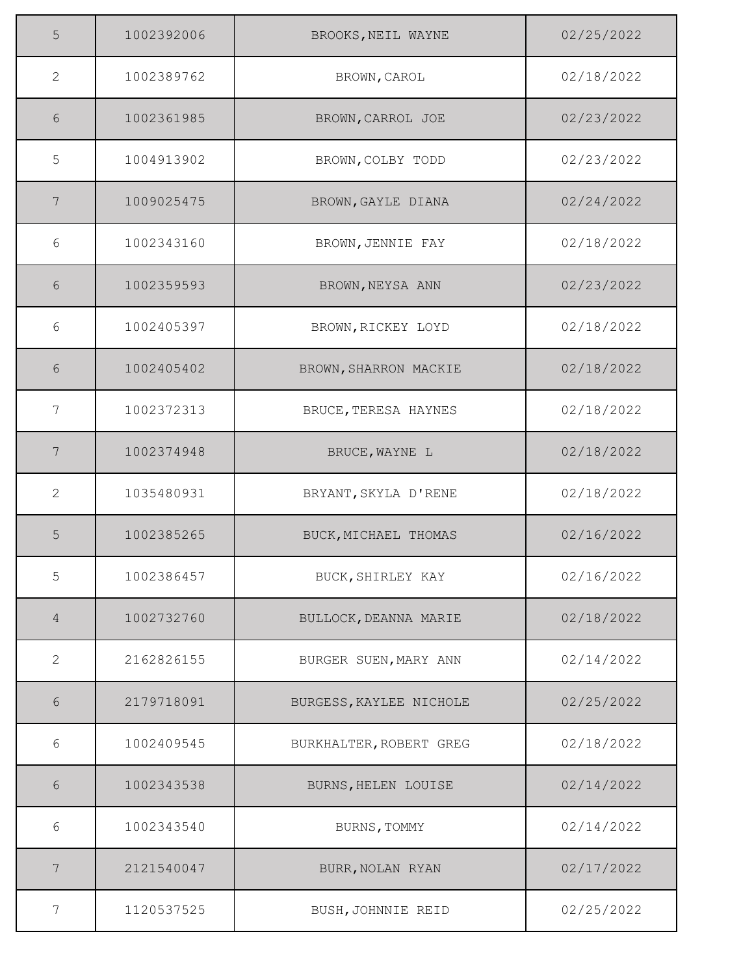| 5              | 1002392006 | BROOKS, NEIL WAYNE      | 02/25/2022 |
|----------------|------------|-------------------------|------------|
| 2              | 1002389762 | BROWN, CAROL            | 02/18/2022 |
| 6              | 1002361985 | BROWN, CARROL JOE       | 02/23/2022 |
| 5              | 1004913902 | BROWN, COLBY TODD       | 02/23/2022 |
| 7              | 1009025475 | BROWN, GAYLE DIANA      | 02/24/2022 |
| 6              | 1002343160 | BROWN, JENNIE FAY       | 02/18/2022 |
| 6              | 1002359593 | BROWN, NEYSA ANN        | 02/23/2022 |
| 6              | 1002405397 | BROWN, RICKEY LOYD      | 02/18/2022 |
| 6              | 1002405402 | BROWN, SHARRON MACKIE   | 02/18/2022 |
| 7              | 1002372313 | BRUCE, TERESA HAYNES    | 02/18/2022 |
| 7              | 1002374948 | BRUCE, WAYNE L          | 02/18/2022 |
| 2              | 1035480931 | BRYANT, SKYLA D'RENE    | 02/18/2022 |
| 5              | 1002385265 | BUCK, MICHAEL THOMAS    | 02/16/2022 |
| 5              | 1002386457 | BUCK, SHIRLEY KAY       | 02/16/2022 |
| $\overline{4}$ | 1002732760 | BULLOCK, DEANNA MARIE   | 02/18/2022 |
| 2              | 2162826155 | BURGER SUEN, MARY ANN   | 02/14/2022 |
| 6              | 2179718091 | BURGESS, KAYLEE NICHOLE | 02/25/2022 |
| 6              | 1002409545 | BURKHALTER, ROBERT GREG | 02/18/2022 |
| 6              | 1002343538 | BURNS, HELEN LOUISE     | 02/14/2022 |
| 6              | 1002343540 | BURNS, TOMMY            | 02/14/2022 |
| 7              | 2121540047 | BURR, NOLAN RYAN        | 02/17/2022 |
| 7              | 1120537525 | BUSH, JOHNNIE REID      | 02/25/2022 |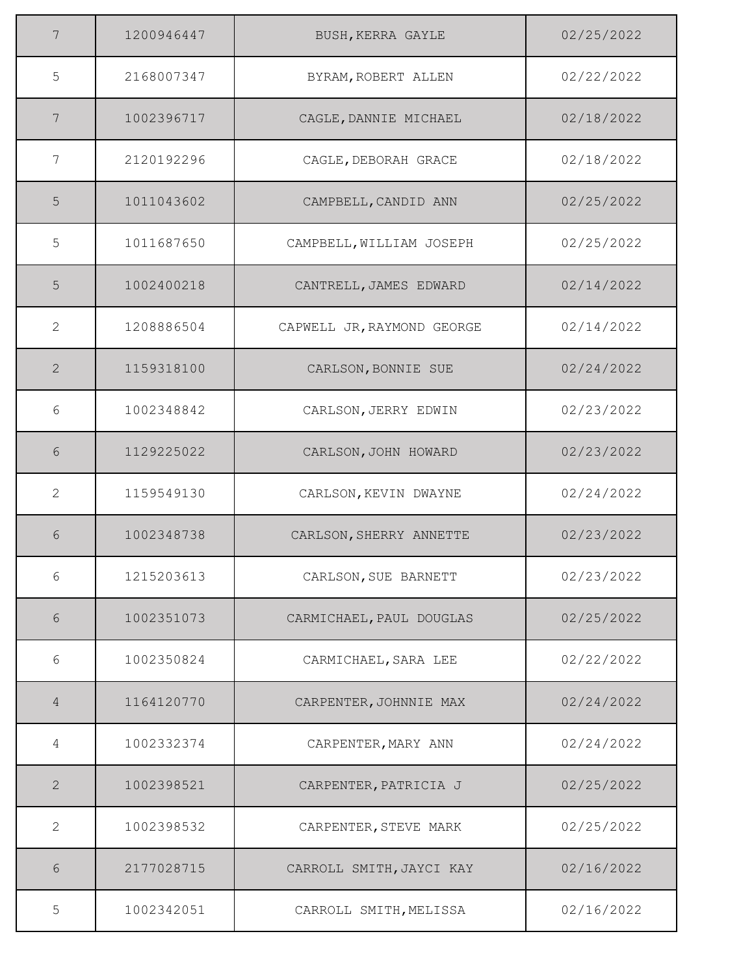| 7              | 1200946447 | BUSH, KERRA GAYLE          | 02/25/2022 |
|----------------|------------|----------------------------|------------|
| 5              | 2168007347 | BYRAM, ROBERT ALLEN        | 02/22/2022 |
| 7              | 1002396717 | CAGLE, DANNIE MICHAEL      | 02/18/2022 |
| 7              | 2120192296 | CAGLE, DEBORAH GRACE       | 02/18/2022 |
| 5              | 1011043602 | CAMPBELL, CANDID ANN       | 02/25/2022 |
| 5              | 1011687650 | CAMPBELL, WILLIAM JOSEPH   | 02/25/2022 |
| 5              | 1002400218 | CANTRELL, JAMES EDWARD     | 02/14/2022 |
| 2              | 1208886504 | CAPWELL JR, RAYMOND GEORGE | 02/14/2022 |
| $\overline{2}$ | 1159318100 | CARLSON, BONNIE SUE        | 02/24/2022 |
| 6              | 1002348842 | CARLSON, JERRY EDWIN       | 02/23/2022 |
| 6              | 1129225022 | CARLSON, JOHN HOWARD       | 02/23/2022 |
| 2              | 1159549130 | CARLSON, KEVIN DWAYNE      | 02/24/2022 |
| 6              | 1002348738 | CARLSON, SHERRY ANNETTE    | 02/23/2022 |
| 6              | 1215203613 | CARLSON, SUE BARNETT       | 02/23/2022 |
| 6              | 1002351073 | CARMICHAEL, PAUL DOUGLAS   | 02/25/2022 |
| 6              | 1002350824 | CARMICHAEL, SARA LEE       | 02/22/2022 |
| 4              | 1164120770 | CARPENTER, JOHNNIE MAX     | 02/24/2022 |
| 4              | 1002332374 | CARPENTER, MARY ANN        | 02/24/2022 |
| $\mathbf{2}$   | 1002398521 | CARPENTER, PATRICIA J      | 02/25/2022 |
| 2              | 1002398532 | CARPENTER, STEVE MARK      | 02/25/2022 |
| 6              | 2177028715 | CARROLL SMITH, JAYCI KAY   | 02/16/2022 |
| 5              | 1002342051 | CARROLL SMITH, MELISSA     | 02/16/2022 |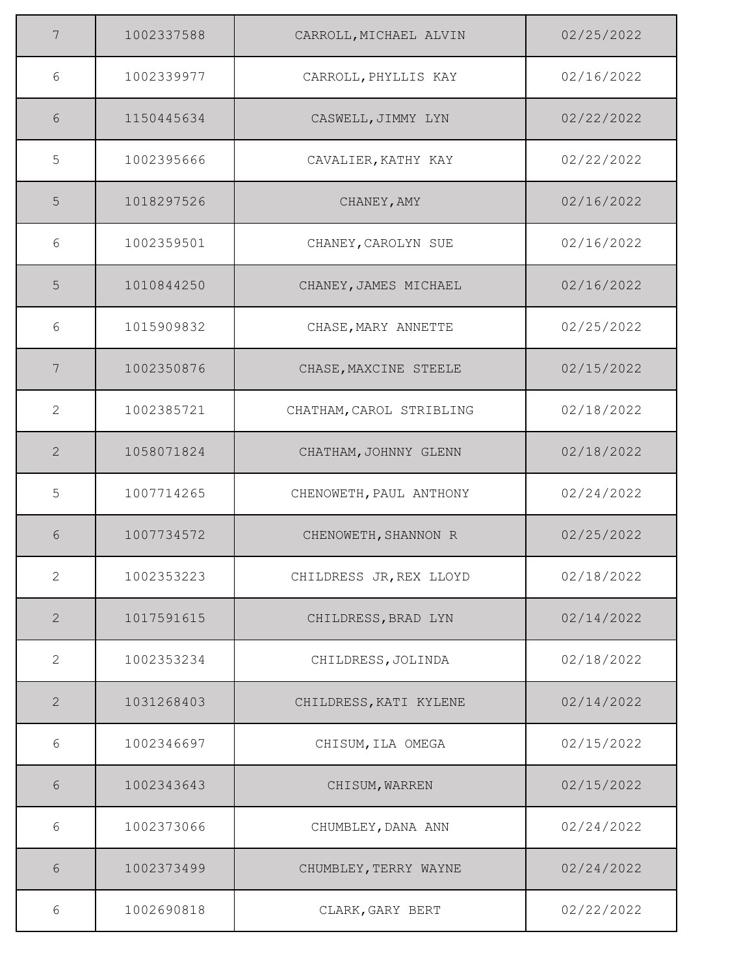| 7              | 1002337588 | CARROLL, MICHAEL ALVIN   | 02/25/2022 |
|----------------|------------|--------------------------|------------|
| 6              | 1002339977 | CARROLL, PHYLLIS KAY     | 02/16/2022 |
| 6              | 1150445634 | CASWELL, JIMMY LYN       | 02/22/2022 |
| 5              | 1002395666 | CAVALIER, KATHY KAY      | 02/22/2022 |
| 5              | 1018297526 | CHANEY, AMY              | 02/16/2022 |
| 6              | 1002359501 | CHANEY, CAROLYN SUE      | 02/16/2022 |
| 5              | 1010844250 | CHANEY, JAMES MICHAEL    | 02/16/2022 |
| 6              | 1015909832 | CHASE, MARY ANNETTE      | 02/25/2022 |
| 7              | 1002350876 | CHASE, MAXCINE STEELE    | 02/15/2022 |
| 2              | 1002385721 | CHATHAM, CAROL STRIBLING | 02/18/2022 |
| 2              | 1058071824 | CHATHAM, JOHNNY GLENN    | 02/18/2022 |
| 5              | 1007714265 | CHENOWETH, PAUL ANTHONY  | 02/24/2022 |
| 6              | 1007734572 | CHENOWETH, SHANNON R     | 02/25/2022 |
| $\overline{2}$ | 1002353223 | CHILDRESS JR, REX LLOYD  | 02/18/2022 |
| $\mathbf{2}$   | 1017591615 | CHILDRESS, BRAD LYN      | 02/14/2022 |
| 2              | 1002353234 | CHILDRESS, JOLINDA       | 02/18/2022 |
| $\mathbf{2}$   | 1031268403 | CHILDRESS, KATI KYLENE   | 02/14/2022 |
| 6              | 1002346697 | CHISUM, ILA OMEGA        | 02/15/2022 |
| 6              | 1002343643 | CHISUM, WARREN           | 02/15/2022 |
| $6\,$          | 1002373066 | CHUMBLEY, DANA ANN       | 02/24/2022 |
| 6              | 1002373499 | CHUMBLEY, TERRY WAYNE    | 02/24/2022 |
| 6              | 1002690818 | CLARK, GARY BERT         | 02/22/2022 |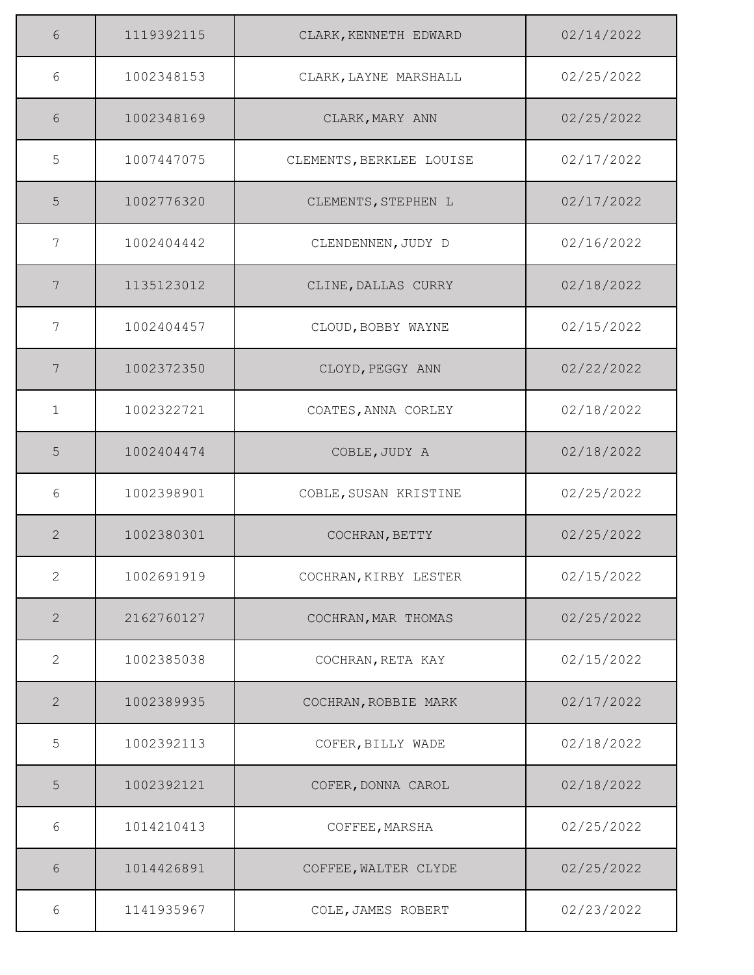| 6               | 1119392115 | CLARK, KENNETH EDWARD    | 02/14/2022 |
|-----------------|------------|--------------------------|------------|
| 6               | 1002348153 | CLARK, LAYNE MARSHALL    | 02/25/2022 |
| 6               | 1002348169 | CLARK, MARY ANN          | 02/25/2022 |
| 5               | 1007447075 | CLEMENTS, BERKLEE LOUISE | 02/17/2022 |
| 5               | 1002776320 | CLEMENTS, STEPHEN L      | 02/17/2022 |
| 7               | 1002404442 | CLENDENNEN, JUDY D       | 02/16/2022 |
| 7               | 1135123012 | CLINE, DALLAS CURRY      | 02/18/2022 |
| 7               | 1002404457 | CLOUD, BOBBY WAYNE       | 02/15/2022 |
| $7\phantom{.0}$ | 1002372350 | CLOYD, PEGGY ANN         | 02/22/2022 |
| $\mathbf{1}$    | 1002322721 | COATES, ANNA CORLEY      | 02/18/2022 |
| 5               | 1002404474 | COBLE, JUDY A            | 02/18/2022 |
| 6               | 1002398901 | COBLE, SUSAN KRISTINE    | 02/25/2022 |
| 2               | 1002380301 | COCHRAN, BETTY           | 02/25/2022 |
| $\mathbf{2}$    | 1002691919 | COCHRAN, KIRBY LESTER    | 02/15/2022 |
| $\overline{2}$  | 2162760127 | COCHRAN, MAR THOMAS      | 02/25/2022 |
| 2               | 1002385038 | COCHRAN, RETA KAY        | 02/15/2022 |
| 2               | 1002389935 | COCHRAN, ROBBIE MARK     | 02/17/2022 |
| 5               | 1002392113 | COFER, BILLY WADE        | 02/18/2022 |
| 5               | 1002392121 | COFER, DONNA CAROL       | 02/18/2022 |
| 6               | 1014210413 | COFFEE, MARSHA           | 02/25/2022 |
| 6               | 1014426891 | COFFEE, WALTER CLYDE     | 02/25/2022 |
| 6               | 1141935967 | COLE, JAMES ROBERT       | 02/23/2022 |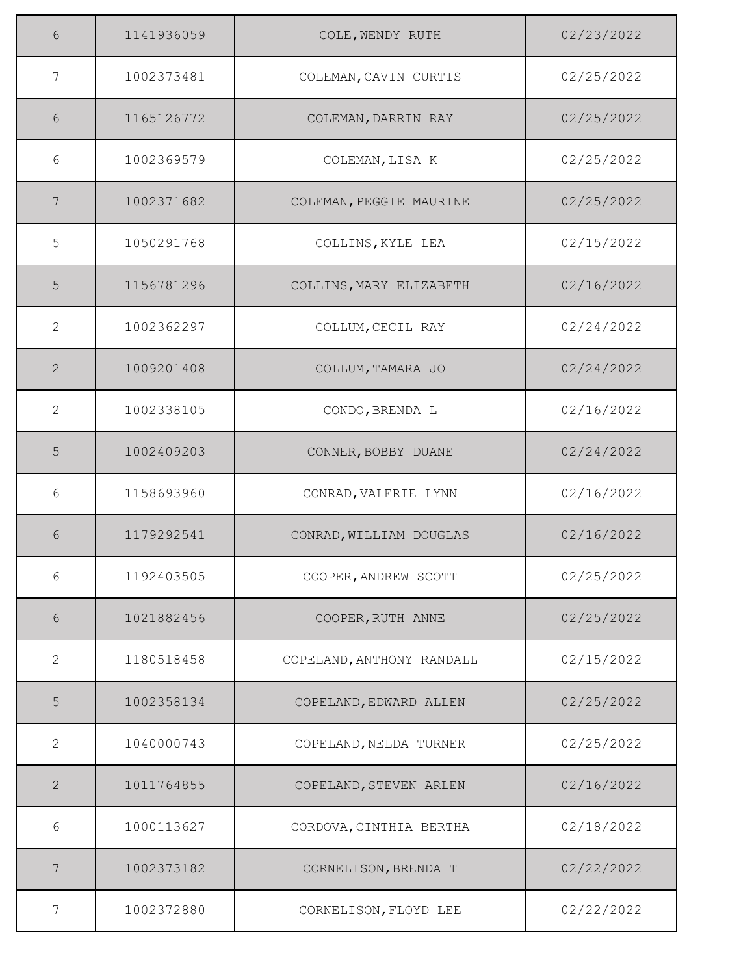| 6              | 1141936059 | COLE, WENDY RUTH          | 02/23/2022 |
|----------------|------------|---------------------------|------------|
| 7              | 1002373481 | COLEMAN, CAVIN CURTIS     | 02/25/2022 |
| 6              | 1165126772 | COLEMAN, DARRIN RAY       | 02/25/2022 |
| 6              | 1002369579 | COLEMAN, LISA K           | 02/25/2022 |
| 7              | 1002371682 | COLEMAN, PEGGIE MAURINE   | 02/25/2022 |
| 5              | 1050291768 | COLLINS, KYLE LEA         | 02/15/2022 |
| 5              | 1156781296 | COLLINS, MARY ELIZABETH   | 02/16/2022 |
| 2              | 1002362297 | COLLUM, CECIL RAY         | 02/24/2022 |
| $\overline{2}$ | 1009201408 | COLLUM, TAMARA JO         | 02/24/2022 |
| 2              | 1002338105 | CONDO, BRENDA L           | 02/16/2022 |
| 5              | 1002409203 | CONNER, BOBBY DUANE       | 02/24/2022 |
| 6              | 1158693960 | CONRAD, VALERIE LYNN      | 02/16/2022 |
| 6              | 1179292541 | CONRAD, WILLIAM DOUGLAS   | 02/16/2022 |
| 6              | 1192403505 | COOPER, ANDREW SCOTT      | 02/25/2022 |
| 6              | 1021882456 | COOPER, RUTH ANNE         | 02/25/2022 |
| 2              | 1180518458 | COPELAND, ANTHONY RANDALL | 02/15/2022 |
| 5              | 1002358134 | COPELAND, EDWARD ALLEN    | 02/25/2022 |
| 2              | 1040000743 | COPELAND, NELDA TURNER    | 02/25/2022 |
| $\mathbf{2}$   | 1011764855 | COPELAND, STEVEN ARLEN    | 02/16/2022 |
| 6              | 1000113627 | CORDOVA, CINTHIA BERTHA   | 02/18/2022 |
| 7              | 1002373182 | CORNELISON, BRENDA T      | 02/22/2022 |
| 7              | 1002372880 | CORNELISON, FLOYD LEE     | 02/22/2022 |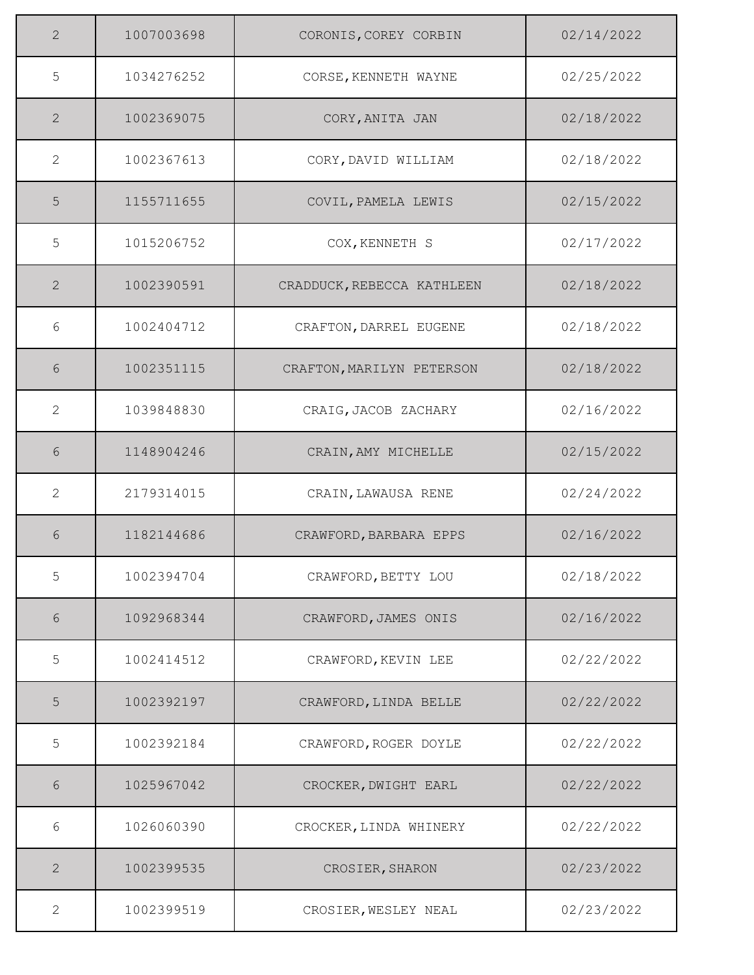| $\overline{2}$ | 1007003698 | CORONIS, COREY CORBIN      | 02/14/2022 |
|----------------|------------|----------------------------|------------|
| 5              | 1034276252 | CORSE, KENNETH WAYNE       | 02/25/2022 |
| 2              | 1002369075 | CORY, ANITA JAN            | 02/18/2022 |
| 2              | 1002367613 | CORY, DAVID WILLIAM        | 02/18/2022 |
| 5              | 1155711655 | COVIL, PAMELA LEWIS        | 02/15/2022 |
| 5              | 1015206752 | COX, KENNETH S             | 02/17/2022 |
| 2              | 1002390591 | CRADDUCK, REBECCA KATHLEEN | 02/18/2022 |
| 6              | 1002404712 | CRAFTON, DARREL EUGENE     | 02/18/2022 |
| 6              | 1002351115 | CRAFTON, MARILYN PETERSON  | 02/18/2022 |
| 2              | 1039848830 | CRAIG, JACOB ZACHARY       | 02/16/2022 |
| 6              | 1148904246 | CRAIN, AMY MICHELLE        | 02/15/2022 |
| $\mathbf{2}$   | 2179314015 | CRAIN, LAWAUSA RENE        | 02/24/2022 |
| 6              | 1182144686 | CRAWFORD, BARBARA EPPS     | 02/16/2022 |
| 5              | 1002394704 | CRAWFORD, BETTY LOU        | 02/18/2022 |
| 6              | 1092968344 | CRAWFORD, JAMES ONIS       | 02/16/2022 |
| 5              | 1002414512 | CRAWFORD, KEVIN LEE        | 02/22/2022 |
| 5              | 1002392197 | CRAWFORD, LINDA BELLE      | 02/22/2022 |
| 5              | 1002392184 | CRAWFORD, ROGER DOYLE      | 02/22/2022 |
| 6              | 1025967042 | CROCKER, DWIGHT EARL       | 02/22/2022 |
| $6\,$          | 1026060390 | CROCKER, LINDA WHINERY     | 02/22/2022 |
| 2              | 1002399535 | CROSIER, SHARON            | 02/23/2022 |
| 2              | 1002399519 | CROSIER, WESLEY NEAL       | 02/23/2022 |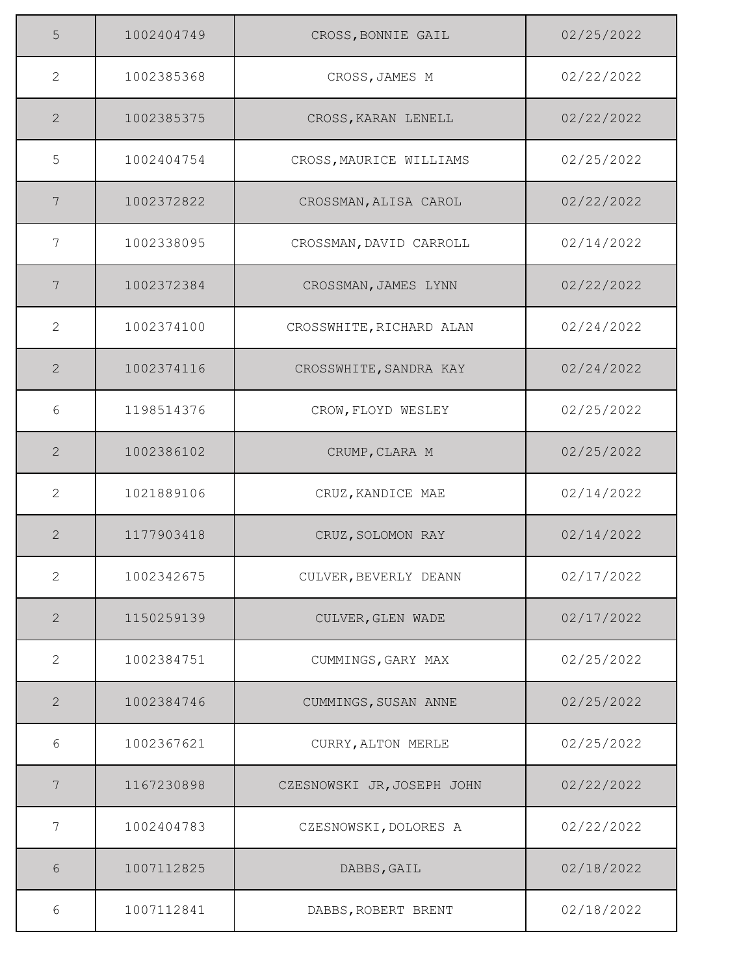| 5              | 1002404749 | CROSS, BONNIE GAIL         | 02/25/2022 |
|----------------|------------|----------------------------|------------|
| 2              | 1002385368 | CROSS, JAMES M             | 02/22/2022 |
| 2              | 1002385375 | CROSS, KARAN LENELL        | 02/22/2022 |
| 5              | 1002404754 | CROSS, MAURICE WILLIAMS    | 02/25/2022 |
| 7              | 1002372822 | CROSSMAN, ALISA CAROL      | 02/22/2022 |
| 7              | 1002338095 | CROSSMAN, DAVID CARROLL    | 02/14/2022 |
| 7              | 1002372384 | CROSSMAN, JAMES LYNN       | 02/22/2022 |
| 2              | 1002374100 | CROSSWHITE, RICHARD ALAN   | 02/24/2022 |
| 2              | 1002374116 | CROSSWHITE, SANDRA KAY     | 02/24/2022 |
| 6              | 1198514376 | CROW, FLOYD WESLEY         | 02/25/2022 |
| 2              | 1002386102 | CRUMP, CLARA M             | 02/25/2022 |
| 2              | 1021889106 | CRUZ, KANDICE MAE          | 02/14/2022 |
| 2              | 1177903418 | CRUZ, SOLOMON RAY          | 02/14/2022 |
| $\mathbf{2}$   | 1002342675 | CULVER, BEVERLY DEANN      | 02/17/2022 |
| $\overline{2}$ | 1150259139 | CULVER, GLEN WADE          | 02/17/2022 |
| 2              | 1002384751 | CUMMINGS, GARY MAX         | 02/25/2022 |
| 2              | 1002384746 | CUMMINGS, SUSAN ANNE       | 02/25/2022 |
| 6              | 1002367621 | CURRY, ALTON MERLE         | 02/25/2022 |
| 7              | 1167230898 | CZESNOWSKI JR, JOSEPH JOHN | 02/22/2022 |
| 7              | 1002404783 | CZESNOWSKI, DOLORES A      | 02/22/2022 |
| 6              | 1007112825 | DABBS, GAIL                | 02/18/2022 |
| 6              | 1007112841 | DABBS, ROBERT BRENT        | 02/18/2022 |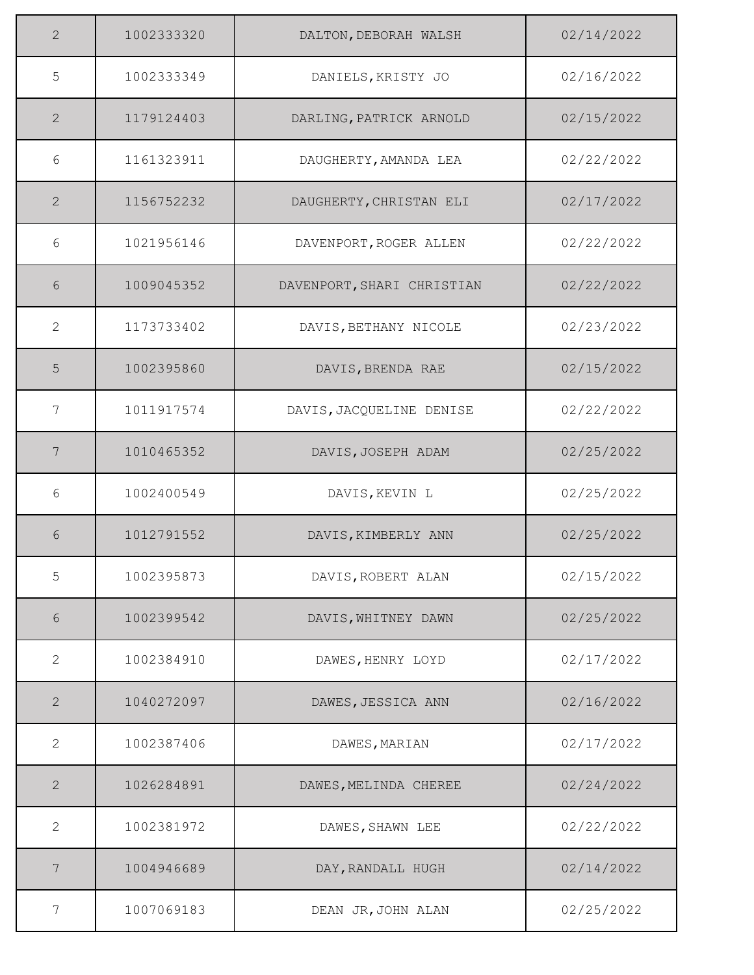| 2            | 1002333320 | DALTON, DEBORAH WALSH      | 02/14/2022 |
|--------------|------------|----------------------------|------------|
| 5            | 1002333349 | DANIELS, KRISTY JO         | 02/16/2022 |
| 2            | 1179124403 | DARLING, PATRICK ARNOLD    | 02/15/2022 |
| 6            | 1161323911 | DAUGHERTY, AMANDA LEA      | 02/22/2022 |
| 2            | 1156752232 | DAUGHERTY, CHRISTAN ELI    | 02/17/2022 |
| 6            | 1021956146 | DAVENPORT, ROGER ALLEN     | 02/22/2022 |
| 6            | 1009045352 | DAVENPORT, SHARI CHRISTIAN | 02/22/2022 |
| 2            | 1173733402 | DAVIS, BETHANY NICOLE      | 02/23/2022 |
| 5            | 1002395860 | DAVIS, BRENDA RAE          | 02/15/2022 |
| 7            | 1011917574 | DAVIS, JACQUELINE DENISE   | 02/22/2022 |
| 7            | 1010465352 | DAVIS, JOSEPH ADAM         | 02/25/2022 |
| 6            | 1002400549 | DAVIS, KEVIN L             | 02/25/2022 |
| 6            | 1012791552 | DAVIS, KIMBERLY ANN        | 02/25/2022 |
| 5            | 1002395873 | DAVIS, ROBERT ALAN         | 02/15/2022 |
| $6\,$        | 1002399542 | DAVIS, WHITNEY DAWN        | 02/25/2022 |
| 2            | 1002384910 | DAWES, HENRY LOYD          | 02/17/2022 |
| 2            | 1040272097 | DAWES, JESSICA ANN         | 02/16/2022 |
| 2            | 1002387406 | DAWES, MARIAN              | 02/17/2022 |
| $\mathbf{2}$ | 1026284891 | DAWES, MELINDA CHEREE      | 02/24/2022 |
| 2            | 1002381972 | DAWES, SHAWN LEE           | 02/22/2022 |
| 7            | 1004946689 | DAY, RANDALL HUGH          | 02/14/2022 |
| 7            | 1007069183 | DEAN JR, JOHN ALAN         | 02/25/2022 |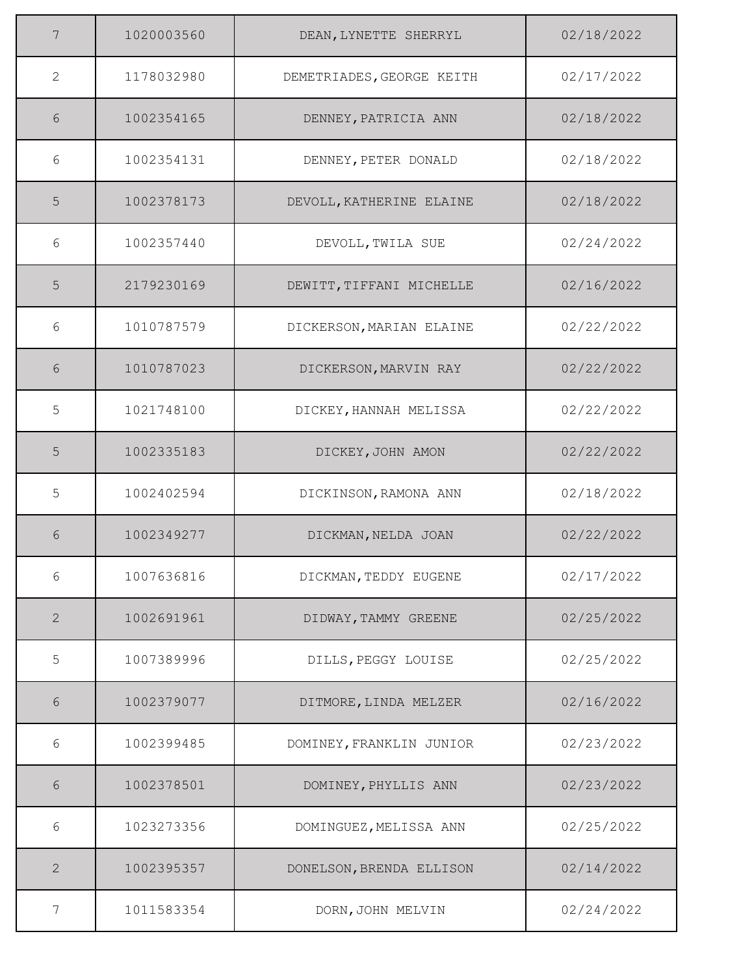| 7              | 1020003560 | DEAN, LYNETTE SHERRYL     | 02/18/2022 |
|----------------|------------|---------------------------|------------|
| $\overline{2}$ | 1178032980 | DEMETRIADES, GEORGE KEITH | 02/17/2022 |
| 6              | 1002354165 | DENNEY, PATRICIA ANN      | 02/18/2022 |
| 6              | 1002354131 | DENNEY, PETER DONALD      | 02/18/2022 |
| 5              | 1002378173 | DEVOLL, KATHERINE ELAINE  | 02/18/2022 |
| 6              | 1002357440 | DEVOLL, TWILA SUE         | 02/24/2022 |
| 5              | 2179230169 | DEWITT, TIFFANI MICHELLE  | 02/16/2022 |
| 6              | 1010787579 | DICKERSON, MARIAN ELAINE  | 02/22/2022 |
| 6              | 1010787023 | DICKERSON, MARVIN RAY     | 02/22/2022 |
| 5              | 1021748100 | DICKEY, HANNAH MELISSA    | 02/22/2022 |
| 5              | 1002335183 | DICKEY, JOHN AMON         | 02/22/2022 |
| 5              | 1002402594 | DICKINSON, RAMONA ANN     | 02/18/2022 |
| 6              | 1002349277 | DICKMAN, NELDA JOAN       | 02/22/2022 |
| 6              | 1007636816 | DICKMAN, TEDDY EUGENE     | 02/17/2022 |
| $\mathbf{2}$   | 1002691961 | DIDWAY, TAMMY GREENE      | 02/25/2022 |
| 5              | 1007389996 | DILLS, PEGGY LOUISE       | 02/25/2022 |
| 6              | 1002379077 | DITMORE, LINDA MELZER     | 02/16/2022 |
| 6              | 1002399485 | DOMINEY, FRANKLIN JUNIOR  | 02/23/2022 |
| $6\,$          | 1002378501 | DOMINEY, PHYLLIS ANN      | 02/23/2022 |
| 6              | 1023273356 | DOMINGUEZ, MELISSA ANN    | 02/25/2022 |
| $\mathbf{2}$   | 1002395357 | DONELSON, BRENDA ELLISON  | 02/14/2022 |
| 7              | 1011583354 | DORN, JOHN MELVIN         | 02/24/2022 |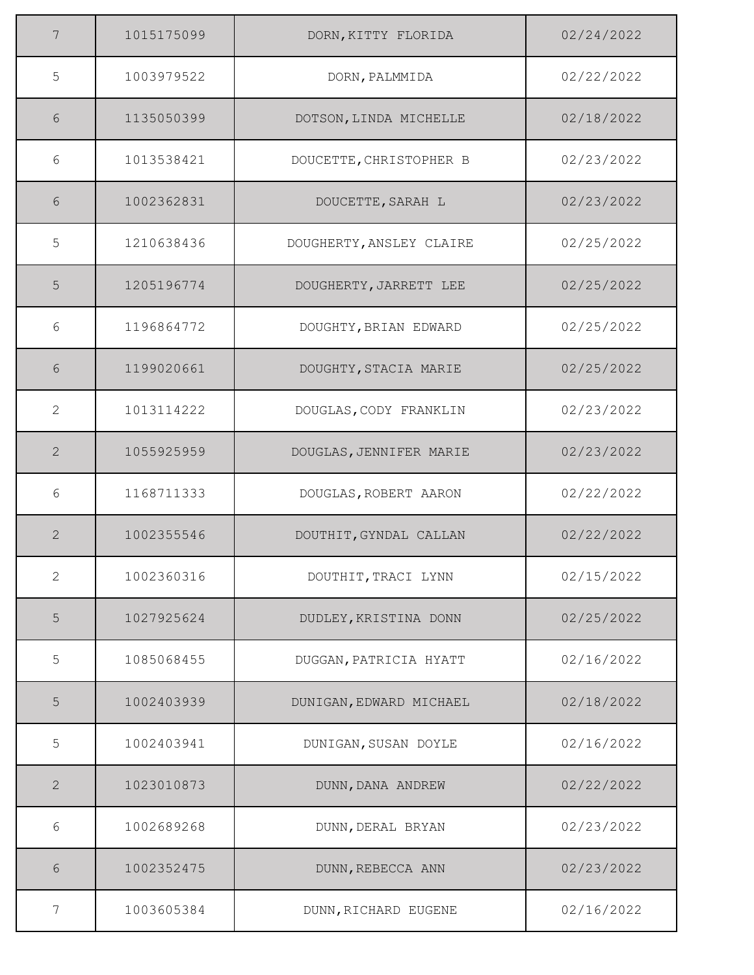| 7            | 1015175099 | DORN, KITTY FLORIDA      | 02/24/2022 |
|--------------|------------|--------------------------|------------|
| 5            | 1003979522 | DORN, PALMMIDA           | 02/22/2022 |
| 6            | 1135050399 | DOTSON, LINDA MICHELLE   | 02/18/2022 |
| 6            | 1013538421 | DOUCETTE, CHRISTOPHER B  | 02/23/2022 |
| 6            | 1002362831 | DOUCETTE, SARAH L        | 02/23/2022 |
| 5            | 1210638436 | DOUGHERTY, ANSLEY CLAIRE | 02/25/2022 |
| 5            | 1205196774 | DOUGHERTY, JARRETT LEE   | 02/25/2022 |
| 6            | 1196864772 | DOUGHTY, BRIAN EDWARD    | 02/25/2022 |
| 6            | 1199020661 | DOUGHTY, STACIA MARIE    | 02/25/2022 |
| 2            | 1013114222 | DOUGLAS, CODY FRANKLIN   | 02/23/2022 |
| 2            | 1055925959 | DOUGLAS, JENNIFER MARIE  | 02/23/2022 |
| 6            | 1168711333 | DOUGLAS, ROBERT AARON    | 02/22/2022 |
| 2            | 1002355546 | DOUTHIT, GYNDAL CALLAN   | 02/22/2022 |
| $\mathbf{2}$ | 1002360316 | DOUTHIT, TRACI LYNN      | 02/15/2022 |
| $\mathsf S$  | 1027925624 | DUDLEY, KRISTINA DONN    | 02/25/2022 |
| 5            | 1085068455 | DUGGAN, PATRICIA HYATT   | 02/16/2022 |
| 5            | 1002403939 | DUNIGAN, EDWARD MICHAEL  | 02/18/2022 |
| 5            | 1002403941 | DUNIGAN, SUSAN DOYLE     | 02/16/2022 |
| $\mathbf{2}$ | 1023010873 | DUNN, DANA ANDREW        | 02/22/2022 |
| 6            | 1002689268 | DUNN, DERAL BRYAN        | 02/23/2022 |
| 6            | 1002352475 | DUNN, REBECCA ANN        | 02/23/2022 |
| 7            | 1003605384 | DUNN, RICHARD EUGENE     | 02/16/2022 |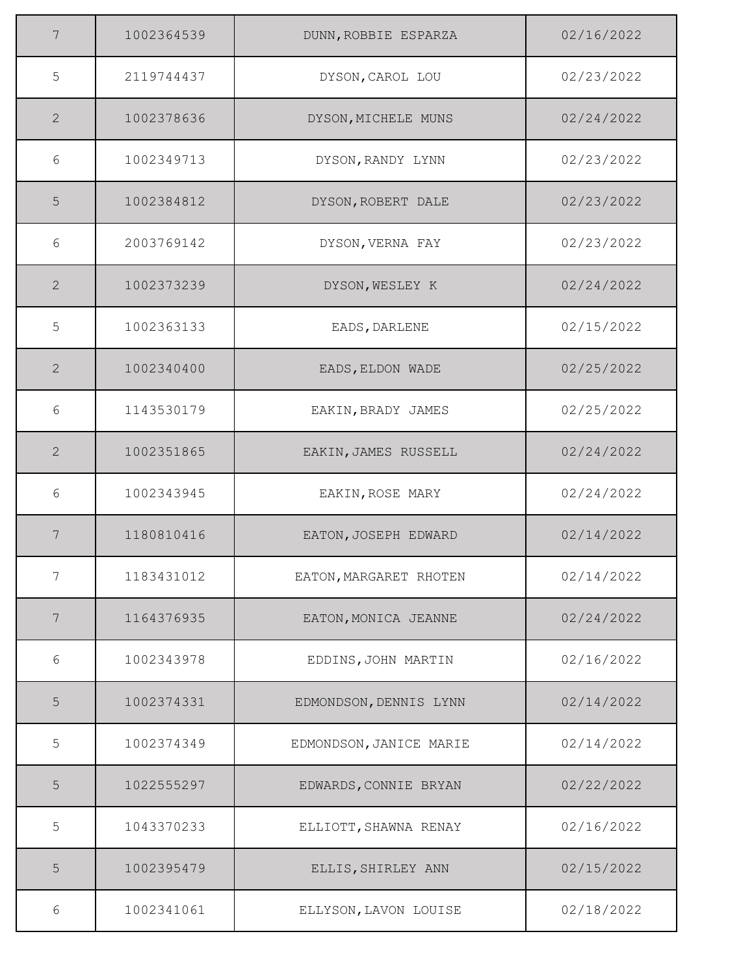| 7               | 1002364539 | DUNN, ROBBIE ESPARZA    | 02/16/2022 |
|-----------------|------------|-------------------------|------------|
| 5               | 2119744437 | DYSON, CAROL LOU        | 02/23/2022 |
| 2               | 1002378636 | DYSON, MICHELE MUNS     | 02/24/2022 |
| 6               | 1002349713 | DYSON, RANDY LYNN       | 02/23/2022 |
| 5               | 1002384812 | DYSON, ROBERT DALE      | 02/23/2022 |
| 6               | 2003769142 | DYSON, VERNA FAY        | 02/23/2022 |
| 2               | 1002373239 | DYSON, WESLEY K         | 02/24/2022 |
| 5               | 1002363133 | EADS, DARLENE           | 02/15/2022 |
| 2               | 1002340400 | EADS, ELDON WADE        | 02/25/2022 |
| 6               | 1143530179 | EAKIN, BRADY JAMES      | 02/25/2022 |
| 2               | 1002351865 | EAKIN, JAMES RUSSELL    | 02/24/2022 |
| 6               | 1002343945 | EAKIN, ROSE MARY        | 02/24/2022 |
| 7               | 1180810416 | EATON, JOSEPH EDWARD    | 02/14/2022 |
| 7               | 1183431012 | EATON, MARGARET RHOTEN  | 02/14/2022 |
| $7\phantom{.0}$ | 1164376935 | EATON, MONICA JEANNE    | 02/24/2022 |
| 6               | 1002343978 | EDDINS, JOHN MARTIN     | 02/16/2022 |
| 5               | 1002374331 | EDMONDSON, DENNIS LYNN  | 02/14/2022 |
| 5               | 1002374349 | EDMONDSON, JANICE MARIE | 02/14/2022 |
| 5               | 1022555297 | EDWARDS, CONNIE BRYAN   | 02/22/2022 |
| 5               | 1043370233 | ELLIOTT, SHAWNA RENAY   | 02/16/2022 |
| 5               | 1002395479 | ELLIS, SHIRLEY ANN      | 02/15/2022 |
| 6               | 1002341061 | ELLYSON, LAVON LOUISE   | 02/18/2022 |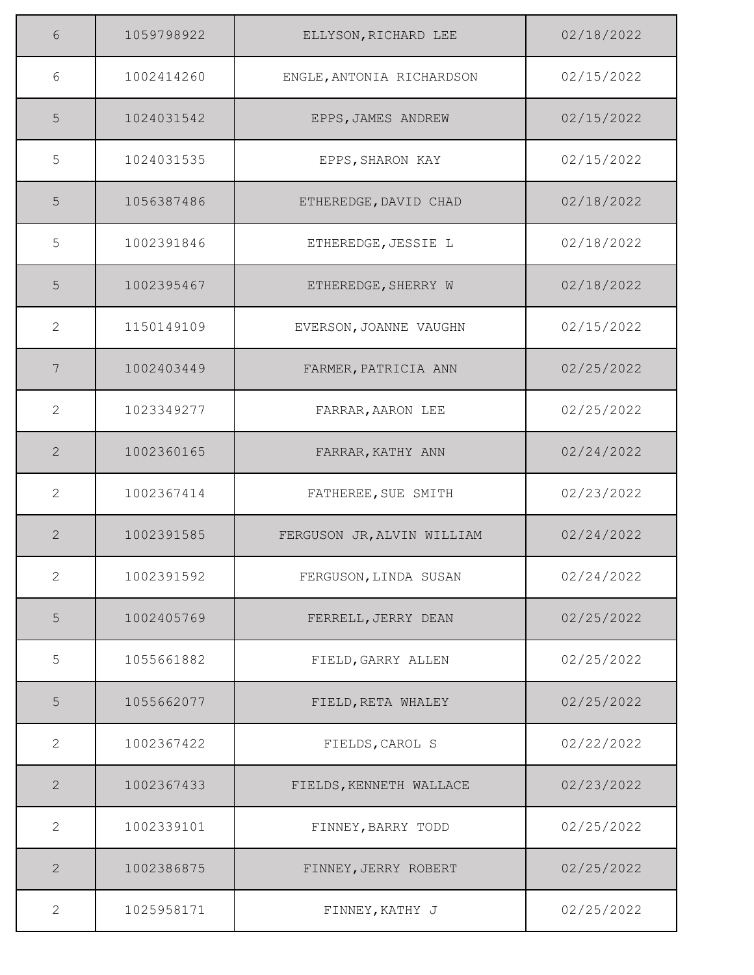| 6              | 1059798922 | ELLYSON, RICHARD LEE       | 02/18/2022 |
|----------------|------------|----------------------------|------------|
| 6              | 1002414260 | ENGLE, ANTONIA RICHARDSON  | 02/15/2022 |
| 5              | 1024031542 | EPPS, JAMES ANDREW         | 02/15/2022 |
| 5              | 1024031535 | EPPS, SHARON KAY           | 02/15/2022 |
| 5              | 1056387486 | ETHEREDGE, DAVID CHAD      | 02/18/2022 |
| 5              | 1002391846 | ETHEREDGE, JESSIE L        | 02/18/2022 |
| 5              | 1002395467 | ETHEREDGE, SHERRY W        | 02/18/2022 |
| $\overline{2}$ | 1150149109 | EVERSON, JOANNE VAUGHN     | 02/15/2022 |
| 7              | 1002403449 | FARMER, PATRICIA ANN       | 02/25/2022 |
| $\overline{2}$ | 1023349277 | FARRAR, AARON LEE          | 02/25/2022 |
| $\mathbf{2}$   | 1002360165 | FARRAR, KATHY ANN          | 02/24/2022 |
| $\mathbf{2}$   | 1002367414 | FATHEREE, SUE SMITH        | 02/23/2022 |
| $\mathbf{2}$   | 1002391585 | FERGUSON JR, ALVIN WILLIAM | 02/24/2022 |
| 2              | 1002391592 | FERGUSON, LINDA SUSAN      | 02/24/2022 |
| 5              | 1002405769 | FERRELL, JERRY DEAN        | 02/25/2022 |
| 5              | 1055661882 | FIELD, GARRY ALLEN         | 02/25/2022 |
| 5              | 1055662077 | FIELD, RETA WHALEY         | 02/25/2022 |
| 2              | 1002367422 | FIELDS, CAROL S            | 02/22/2022 |
| $\overline{2}$ | 1002367433 | FIELDS, KENNETH WALLACE    | 02/23/2022 |
| $\mathbf{2}$   | 1002339101 | FINNEY, BARRY TODD         | 02/25/2022 |
| $\mathbf{2}$   | 1002386875 | FINNEY, JERRY ROBERT       | 02/25/2022 |
| $\overline{2}$ | 1025958171 | FINNEY, KATHY J            | 02/25/2022 |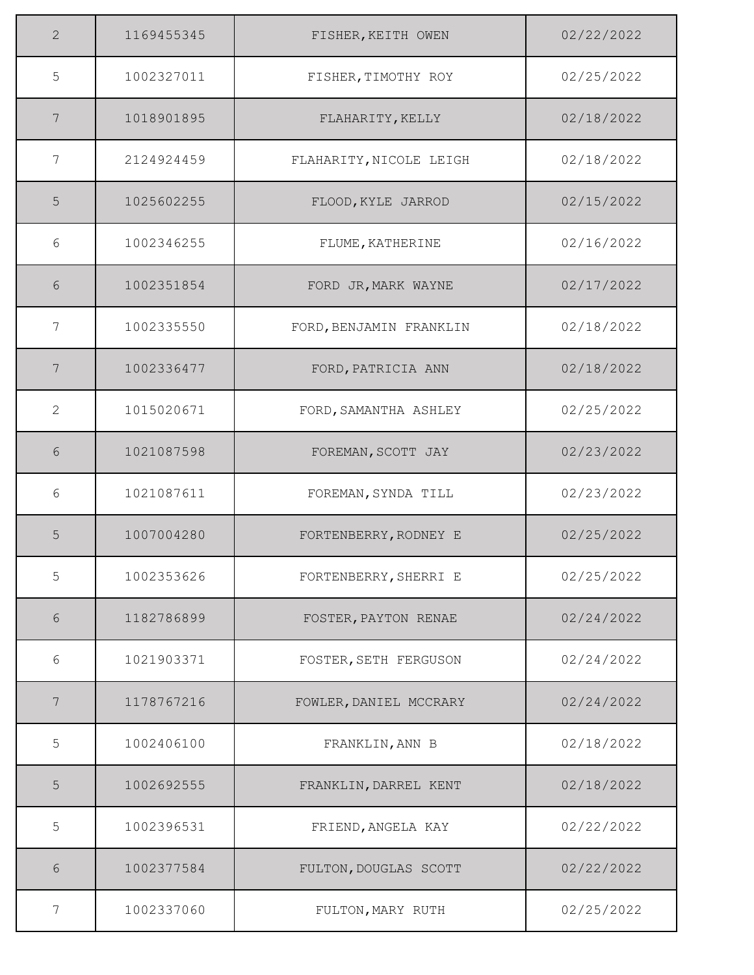| 2               | 1169455345 | FISHER, KEITH OWEN      | 02/22/2022 |
|-----------------|------------|-------------------------|------------|
| 5               | 1002327011 | FISHER, TIMOTHY ROY     | 02/25/2022 |
| 7               | 1018901895 | FLAHARITY, KELLY        | 02/18/2022 |
| 7               | 2124924459 | FLAHARITY, NICOLE LEIGH | 02/18/2022 |
| 5               | 1025602255 | FLOOD, KYLE JARROD      | 02/15/2022 |
| 6               | 1002346255 | FLUME, KATHERINE        | 02/16/2022 |
| 6               | 1002351854 | FORD JR, MARK WAYNE     | 02/17/2022 |
| 7               | 1002335550 | FORD, BENJAMIN FRANKLIN | 02/18/2022 |
| $7\phantom{.0}$ | 1002336477 | FORD, PATRICIA ANN      | 02/18/2022 |
| 2               | 1015020671 | FORD, SAMANTHA ASHLEY   | 02/25/2022 |
| 6               | 1021087598 | FOREMAN, SCOTT JAY      | 02/23/2022 |
| 6               | 1021087611 | FOREMAN, SYNDA TILL     | 02/23/2022 |
| 5               | 1007004280 | FORTENBERRY, RODNEY E   | 02/25/2022 |
| 5               | 1002353626 | FORTENBERRY, SHERRI E   | 02/25/2022 |
| 6               | 1182786899 | FOSTER, PAYTON RENAE    | 02/24/2022 |
| 6               | 1021903371 | FOSTER, SETH FERGUSON   | 02/24/2022 |
| 7               | 1178767216 | FOWLER, DANIEL MCCRARY  | 02/24/2022 |
| 5               | 1002406100 | FRANKLIN, ANN B         | 02/18/2022 |
| 5               | 1002692555 | FRANKLIN, DARREL KENT   | 02/18/2022 |
| 5               | 1002396531 | FRIEND, ANGELA KAY      | 02/22/2022 |
| 6               | 1002377584 | FULTON, DOUGLAS SCOTT   | 02/22/2022 |
| 7               | 1002337060 | FULTON, MARY RUTH       | 02/25/2022 |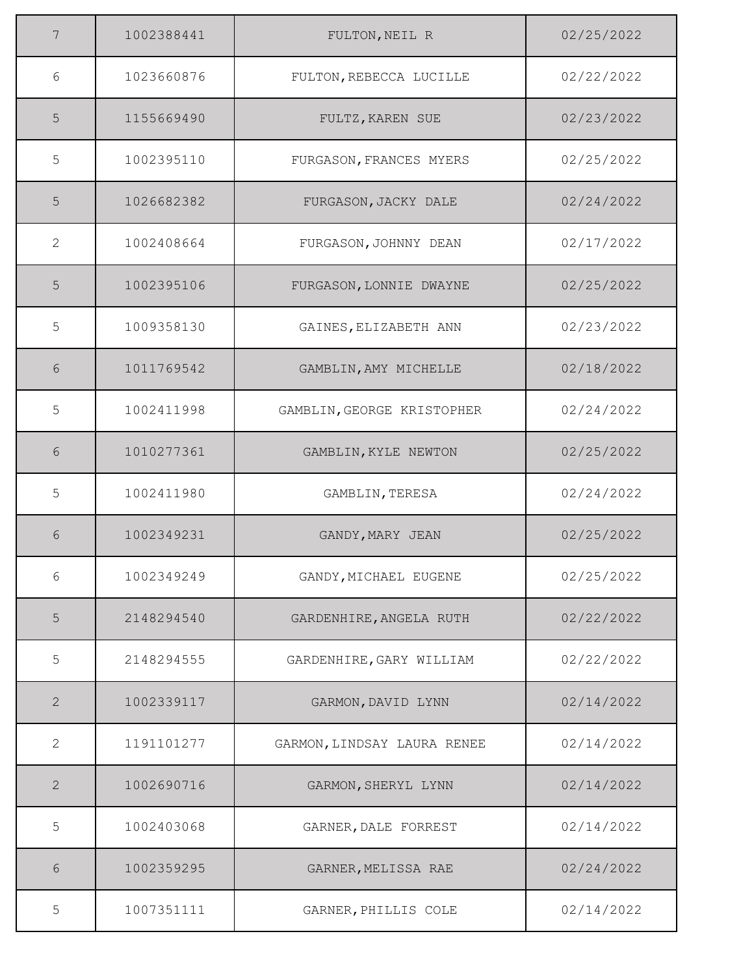| 7              | 1002388441 | FULTON, NEIL R              | 02/25/2022 |
|----------------|------------|-----------------------------|------------|
| 6              | 1023660876 | FULTON, REBECCA LUCILLE     | 02/22/2022 |
| 5              | 1155669490 | FULTZ, KAREN SUE            | 02/23/2022 |
| 5              | 1002395110 | FURGASON, FRANCES MYERS     | 02/25/2022 |
| 5              | 1026682382 | FURGASON, JACKY DALE        | 02/24/2022 |
| $\mathbf{2}$   | 1002408664 | FURGASON, JOHNNY DEAN       | 02/17/2022 |
| 5              | 1002395106 | FURGASON, LONNIE DWAYNE     | 02/25/2022 |
| 5              | 1009358130 | GAINES, ELIZABETH ANN       | 02/23/2022 |
| 6              | 1011769542 | GAMBLIN, AMY MICHELLE       | 02/18/2022 |
| 5              | 1002411998 | GAMBLIN, GEORGE KRISTOPHER  | 02/24/2022 |
| 6              | 1010277361 | GAMBLIN, KYLE NEWTON        | 02/25/2022 |
| 5              | 1002411980 | GAMBLIN, TERESA             | 02/24/2022 |
| 6              | 1002349231 | GANDY, MARY JEAN            | 02/25/2022 |
| 6              | 1002349249 | GANDY, MICHAEL EUGENE       | 02/25/2022 |
| 5              | 2148294540 | GARDENHIRE, ANGELA RUTH     | 02/22/2022 |
| 5              | 2148294555 | GARDENHIRE, GARY WILLIAM    | 02/22/2022 |
| $\mathbf{2}$   | 1002339117 | GARMON, DAVID LYNN          | 02/14/2022 |
| $\overline{2}$ | 1191101277 | GARMON, LINDSAY LAURA RENEE | 02/14/2022 |
| $\overline{2}$ | 1002690716 | GARMON, SHERYL LYNN         | 02/14/2022 |
| 5              | 1002403068 | GARNER, DALE FORREST        | 02/14/2022 |
| 6              | 1002359295 | GARNER, MELISSA RAE         | 02/24/2022 |
| 5              | 1007351111 | GARNER, PHILLIS COLE        | 02/14/2022 |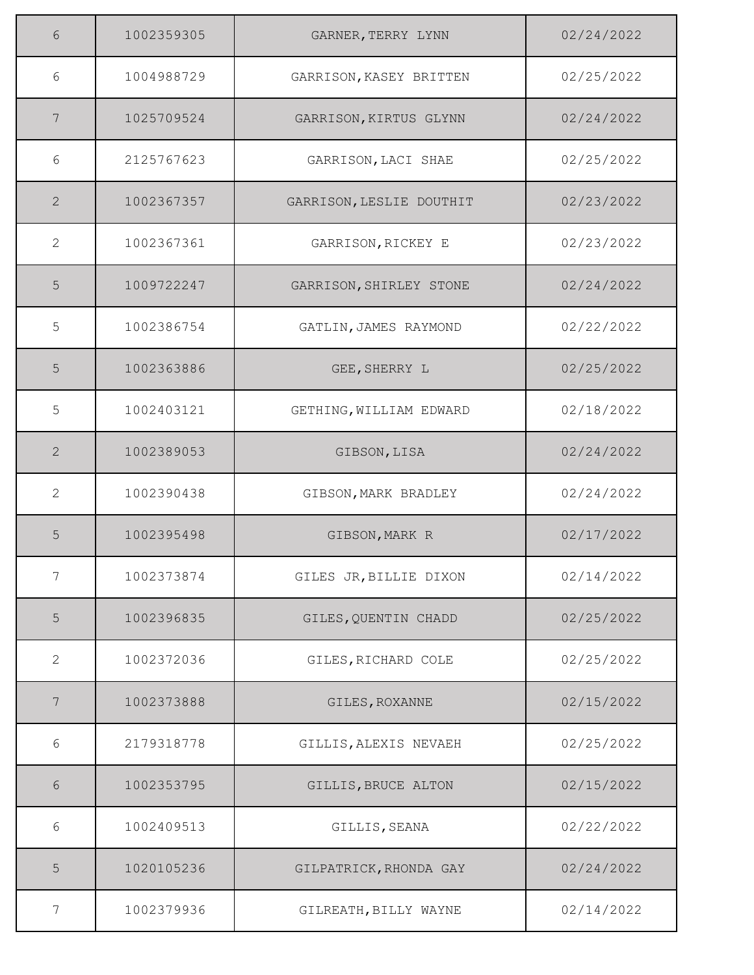| 6              | 1002359305 | GARNER, TERRY LYNN       | 02/24/2022 |
|----------------|------------|--------------------------|------------|
| 6              | 1004988729 | GARRISON, KASEY BRITTEN  | 02/25/2022 |
| 7              | 1025709524 | GARRISON, KIRTUS GLYNN   | 02/24/2022 |
| 6              | 2125767623 | GARRISON, LACI SHAE      | 02/25/2022 |
| 2              | 1002367357 | GARRISON, LESLIE DOUTHIT | 02/23/2022 |
| $\mathbf{2}$   | 1002367361 | GARRISON, RICKEY E       | 02/23/2022 |
| 5              | 1009722247 | GARRISON, SHIRLEY STONE  | 02/24/2022 |
| 5              | 1002386754 | GATLIN, JAMES RAYMOND    | 02/22/2022 |
| 5              | 1002363886 | GEE, SHERRY L            | 02/25/2022 |
| 5              | 1002403121 | GETHING, WILLIAM EDWARD  | 02/18/2022 |
| 2              | 1002389053 | GIBSON, LISA             | 02/24/2022 |
| 2              | 1002390438 | GIBSON, MARK BRADLEY     | 02/24/2022 |
| 5              | 1002395498 | GIBSON, MARK R           | 02/17/2022 |
| 7              | 1002373874 | GILES JR, BILLIE DIXON   | 02/14/2022 |
| $\overline{5}$ | 1002396835 | GILES, QUENTIN CHADD     | 02/25/2022 |
| 2              | 1002372036 | GILES, RICHARD COLE      | 02/25/2022 |
| 7              | 1002373888 | GILES, ROXANNE           | 02/15/2022 |
| 6              | 2179318778 | GILLIS, ALEXIS NEVAEH    | 02/25/2022 |
| 6              | 1002353795 | GILLIS, BRUCE ALTON      | 02/15/2022 |
| 6              | 1002409513 | GILLIS, SEANA            | 02/22/2022 |
| 5              | 1020105236 | GILPATRICK, RHONDA GAY   | 02/24/2022 |
| 7              | 1002379936 | GILREATH, BILLY WAYNE    | 02/14/2022 |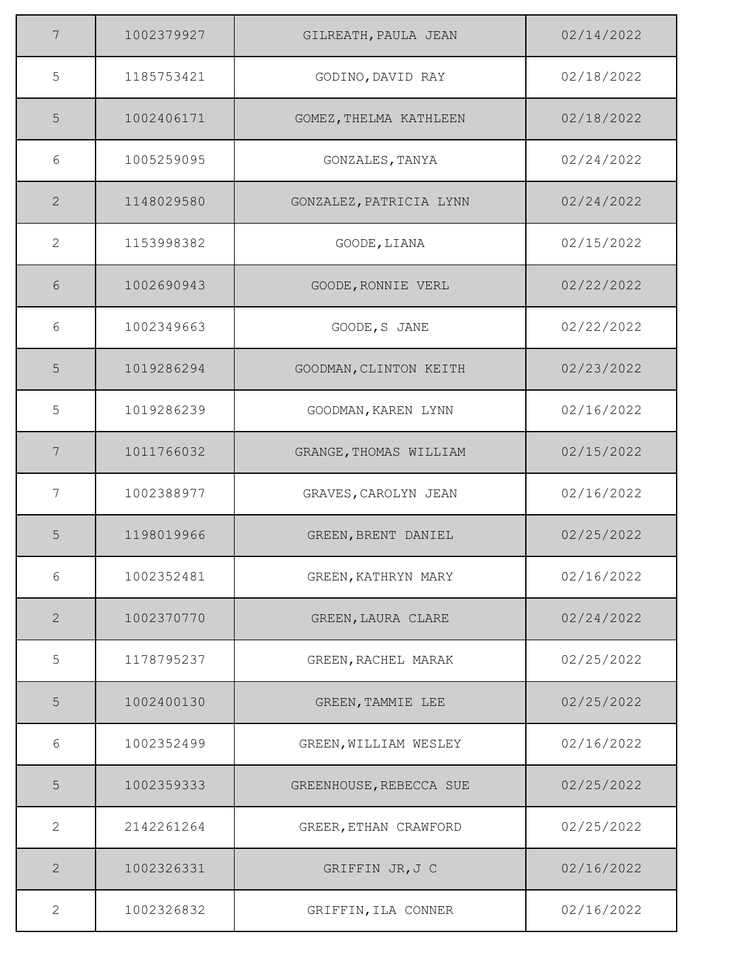| 7              | 1002379927 | GILREATH, PAULA JEAN    | 02/14/2022 |
|----------------|------------|-------------------------|------------|
| 5              | 1185753421 | GODINO, DAVID RAY       | 02/18/2022 |
| 5              | 1002406171 | GOMEZ, THELMA KATHLEEN  | 02/18/2022 |
| 6              | 1005259095 | GONZALES, TANYA         | 02/24/2022 |
| 2              | 1148029580 | GONZALEZ, PATRICIA LYNN | 02/24/2022 |
| 2              | 1153998382 | GOODE, LIANA            | 02/15/2022 |
| 6              | 1002690943 | GOODE, RONNIE VERL      | 02/22/2022 |
| 6              | 1002349663 | GOODE, S JANE           | 02/22/2022 |
| 5              | 1019286294 | GOODMAN, CLINTON KEITH  | 02/23/2022 |
| 5              | 1019286239 | GOODMAN, KAREN LYNN     | 02/16/2022 |
| 7              | 1011766032 | GRANGE, THOMAS WILLIAM  | 02/15/2022 |
| 7              | 1002388977 | GRAVES, CAROLYN JEAN    | 02/16/2022 |
| 5              | 1198019966 | GREEN, BRENT DANIEL     | 02/25/2022 |
| 6              | 1002352481 | GREEN, KATHRYN MARY     | 02/16/2022 |
| $\overline{2}$ | 1002370770 | GREEN, LAURA CLARE      | 02/24/2022 |
| 5              | 1178795237 | GREEN, RACHEL MARAK     | 02/25/2022 |
| 5              | 1002400130 | GREEN, TAMMIE LEE       | 02/25/2022 |
| 6              | 1002352499 | GREEN, WILLIAM WESLEY   | 02/16/2022 |
| 5              | 1002359333 | GREENHOUSE, REBECCA SUE | 02/25/2022 |
| 2              | 2142261264 | GREER, ETHAN CRAWFORD   | 02/25/2022 |
| $\mathbf{2}$   | 1002326331 | GRIFFIN JR, J C         | 02/16/2022 |
| $\mathbf{2}$   | 1002326832 | GRIFFIN, ILA CONNER     | 02/16/2022 |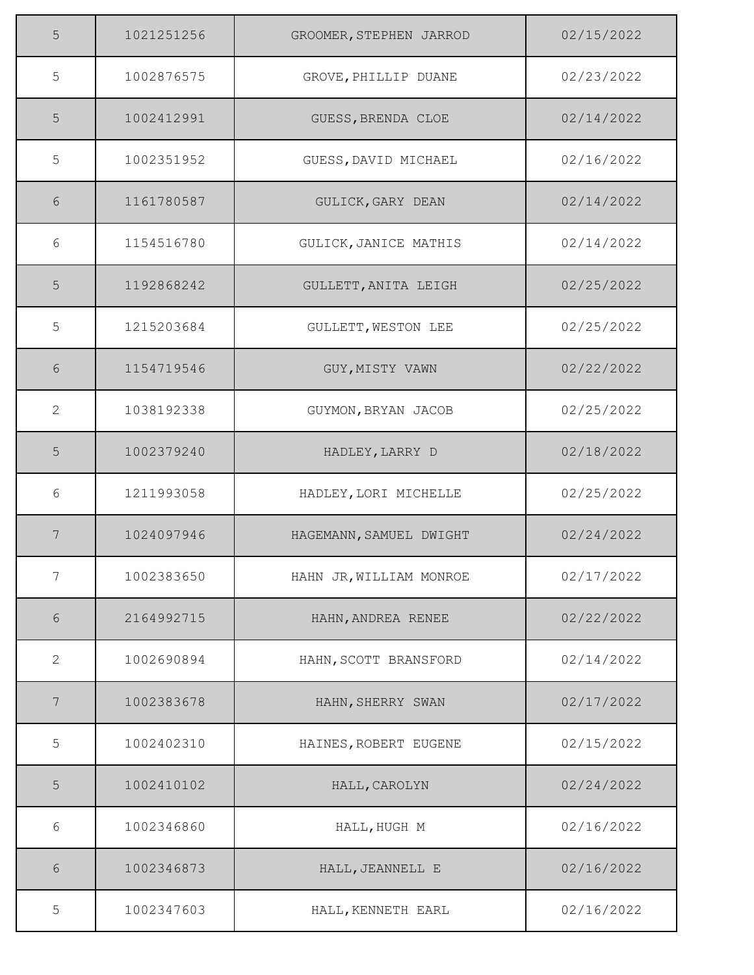| 5               | 1021251256 | GROOMER, STEPHEN JARROD | 02/15/2022 |
|-----------------|------------|-------------------------|------------|
| 5               | 1002876575 | GROVE, PHILLIP DUANE    | 02/23/2022 |
| 5               | 1002412991 | GUESS, BRENDA CLOE      | 02/14/2022 |
| 5               | 1002351952 | GUESS, DAVID MICHAEL    | 02/16/2022 |
| 6               | 1161780587 | GULICK, GARY DEAN       | 02/14/2022 |
| 6               | 1154516780 | GULICK, JANICE MATHIS   | 02/14/2022 |
| 5               | 1192868242 | GULLETT, ANITA LEIGH    | 02/25/2022 |
| 5               | 1215203684 | GULLETT, WESTON LEE     | 02/25/2022 |
| 6               | 1154719546 | GUY, MISTY VAWN         | 02/22/2022 |
| 2               | 1038192338 | GUYMON, BRYAN JACOB     | 02/25/2022 |
| 5               | 1002379240 | HADLEY, LARRY D         | 02/18/2022 |
| 6               | 1211993058 | HADLEY, LORI MICHELLE   | 02/25/2022 |
| 7               | 1024097946 | HAGEMANN, SAMUEL DWIGHT | 02/24/2022 |
| $7\phantom{.0}$ | 1002383650 | HAHN JR, WILLIAM MONROE | 02/17/2022 |
| 6               | 2164992715 | HAHN, ANDREA RENEE      | 02/22/2022 |
| 2               | 1002690894 | HAHN, SCOTT BRANSFORD   | 02/14/2022 |
| $7\phantom{.0}$ | 1002383678 | HAHN, SHERRY SWAN       | 02/17/2022 |
| 5               | 1002402310 | HAINES, ROBERT EUGENE   | 02/15/2022 |
| $\overline{5}$  | 1002410102 | HALL, CAROLYN           | 02/24/2022 |
| $6\,$           | 1002346860 | HALL, HUGH M            | 02/16/2022 |
| 6               | 1002346873 | HALL, JEANNELL E        | 02/16/2022 |
| 5               | 1002347603 | HALL, KENNETH EARL      | 02/16/2022 |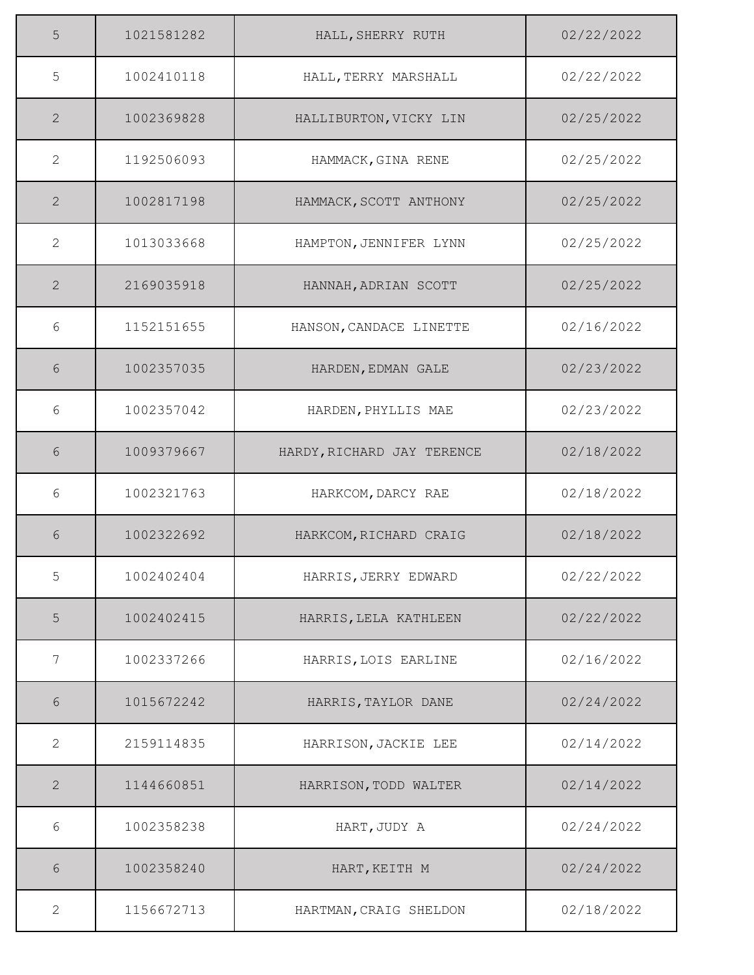| 5              | 1021581282 | HALL, SHERRY RUTH          | 02/22/2022 |
|----------------|------------|----------------------------|------------|
| 5              | 1002410118 | HALL, TERRY MARSHALL       | 02/22/2022 |
| 2              | 1002369828 | HALLIBURTON, VICKY LIN     | 02/25/2022 |
| $\mathbf{2}$   | 1192506093 | HAMMACK, GINA RENE         | 02/25/2022 |
| 2              | 1002817198 | HAMMACK, SCOTT ANTHONY     | 02/25/2022 |
| $\mathbf{2}$   | 1013033668 | HAMPTON, JENNIFER LYNN     | 02/25/2022 |
| 2              | 2169035918 | HANNAH, ADRIAN SCOTT       | 02/25/2022 |
| 6              | 1152151655 | HANSON, CANDACE LINETTE    | 02/16/2022 |
| 6              | 1002357035 | HARDEN, EDMAN GALE         | 02/23/2022 |
| 6              | 1002357042 | HARDEN, PHYLLIS MAE        | 02/23/2022 |
| 6              | 1009379667 | HARDY, RICHARD JAY TERENCE | 02/18/2022 |
| 6              | 1002321763 | HARKCOM, DARCY RAE         | 02/18/2022 |
| 6              | 1002322692 | HARKCOM, RICHARD CRAIG     | 02/18/2022 |
| 5              | 1002402404 | HARRIS, JERRY EDWARD       | 02/22/2022 |
| $\overline{5}$ | 1002402415 | HARRIS, LELA KATHLEEN      | 02/22/2022 |
| 7              | 1002337266 | HARRIS, LOIS EARLINE       | 02/16/2022 |
| 6              | 1015672242 | HARRIS, TAYLOR DANE        | 02/24/2022 |
| 2              | 2159114835 | HARRISON, JACKIE LEE       | 02/14/2022 |
| $\mathbf{2}$   | 1144660851 | HARRISON, TODD WALTER      | 02/14/2022 |
| 6              | 1002358238 | HART, JUDY A               | 02/24/2022 |
| 6              | 1002358240 | HART, KEITH M              | 02/24/2022 |
| 2              | 1156672713 | HARTMAN, CRAIG SHELDON     | 02/18/2022 |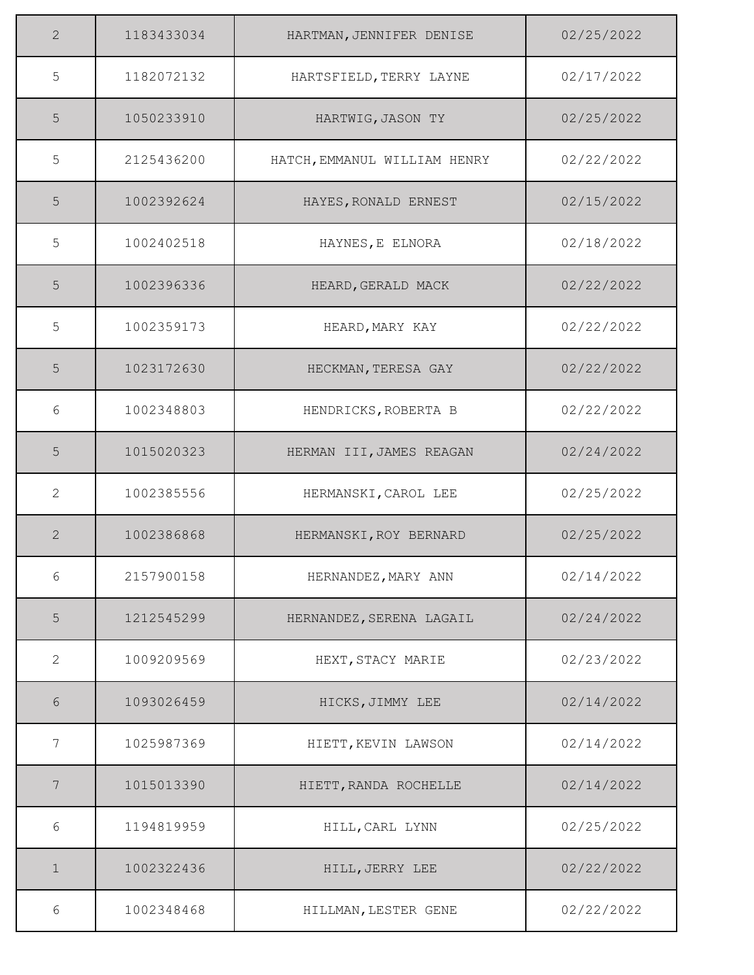| 2              | 1183433034 | HARTMAN, JENNIFER DENISE     | 02/25/2022 |
|----------------|------------|------------------------------|------------|
| 5              | 1182072132 | HARTSFIELD, TERRY LAYNE      | 02/17/2022 |
| 5              | 1050233910 | HARTWIG, JASON TY            | 02/25/2022 |
| 5              | 2125436200 | HATCH, EMMANUL WILLIAM HENRY | 02/22/2022 |
| 5              | 1002392624 | HAYES, RONALD ERNEST         | 02/15/2022 |
| 5              | 1002402518 | HAYNES, E ELNORA             | 02/18/2022 |
| 5              | 1002396336 | HEARD, GERALD MACK           | 02/22/2022 |
| 5              | 1002359173 | HEARD, MARY KAY              | 02/22/2022 |
| 5              | 1023172630 | HECKMAN, TERESA GAY          | 02/22/2022 |
| 6              | 1002348803 | HENDRICKS, ROBERTA B         | 02/22/2022 |
| 5              | 1015020323 | HERMAN III, JAMES REAGAN     | 02/24/2022 |
| 2              | 1002385556 | HERMANSKI, CAROL LEE         | 02/25/2022 |
| 2              | 1002386868 | HERMANSKI, ROY BERNARD       | 02/25/2022 |
| 6              | 2157900158 | HERNANDEZ, MARY ANN          | 02/14/2022 |
| $\overline{5}$ | 1212545299 | HERNANDEZ, SERENA LAGAIL     | 02/24/2022 |
| 2              | 1009209569 | HEXT, STACY MARIE            | 02/23/2022 |
| 6              | 1093026459 | HICKS, JIMMY LEE             | 02/14/2022 |
| 7              | 1025987369 | HIETT, KEVIN LAWSON          | 02/14/2022 |
| 7              | 1015013390 | HIETT, RANDA ROCHELLE        | 02/14/2022 |
| 6              | 1194819959 | HILL, CARL LYNN              | 02/25/2022 |
| $\mathbf 1$    | 1002322436 | HILL, JERRY LEE              | 02/22/2022 |
| 6              | 1002348468 | HILLMAN, LESTER GENE         | 02/22/2022 |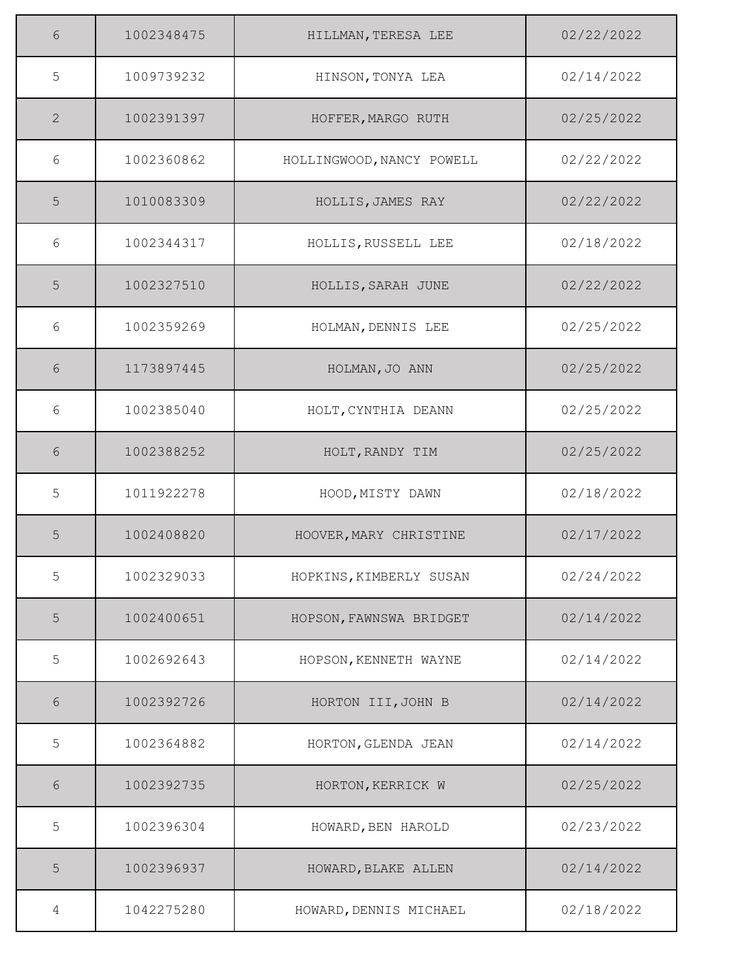| 6           | 1002348475 | HILLMAN, TERESA LEE       | 02/22/2022 |
|-------------|------------|---------------------------|------------|
| 5           | 1009739232 | HINSON, TONYA LEA         | 02/14/2022 |
| 2           | 1002391397 | HOFFER, MARGO RUTH        | 02/25/2022 |
| 6           | 1002360862 | HOLLINGWOOD, NANCY POWELL | 02/22/2022 |
| 5           | 1010083309 | HOLLIS, JAMES RAY         | 02/22/2022 |
| 6           | 1002344317 | HOLLIS, RUSSELL LEE       | 02/18/2022 |
| 5           | 1002327510 | HOLLIS, SARAH JUNE        | 02/22/2022 |
| 6           | 1002359269 | HOLMAN, DENNIS LEE        | 02/25/2022 |
| 6           | 1173897445 | HOLMAN, JO ANN            | 02/25/2022 |
| 6           | 1002385040 | HOLT, CYNTHIA DEANN       | 02/25/2022 |
| 6           | 1002388252 | HOLT, RANDY TIM           | 02/25/2022 |
| 5           | 1011922278 | HOOD, MISTY DAWN          | 02/18/2022 |
| 5           | 1002408820 | HOOVER, MARY CHRISTINE    | 02/17/2022 |
| 5           | 1002329033 | HOPKINS, KIMBERLY SUSAN   | 02/24/2022 |
| $\mathsf S$ | 1002400651 | HOPSON, FAWNSWA BRIDGET   | 02/14/2022 |
| 5           | 1002692643 | HOPSON, KENNETH WAYNE     | 02/14/2022 |
| 6           | 1002392726 | HORTON III, JOHN B        | 02/14/2022 |
| 5           | 1002364882 | HORTON, GLENDA JEAN       | 02/14/2022 |
| 6           | 1002392735 | HORTON, KERRICK W         | 02/25/2022 |
| 5           | 1002396304 | HOWARD, BEN HAROLD        | 02/23/2022 |
| 5           | 1002396937 | HOWARD, BLAKE ALLEN       | 02/14/2022 |
| 4           | 1042275280 | HOWARD, DENNIS MICHAEL    | 02/18/2022 |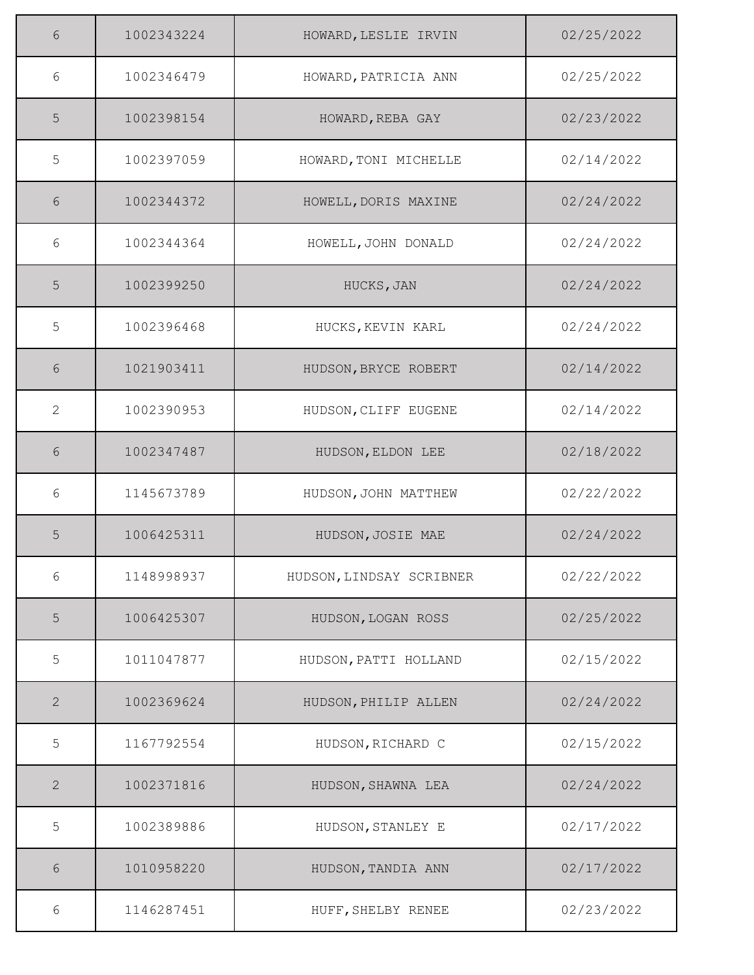| 6            | 1002343224 | HOWARD, LESLIE IRVIN     | 02/25/2022 |
|--------------|------------|--------------------------|------------|
| 6            | 1002346479 | HOWARD, PATRICIA ANN     | 02/25/2022 |
| 5            | 1002398154 | HOWARD, REBA GAY         | 02/23/2022 |
| 5            | 1002397059 | HOWARD, TONI MICHELLE    | 02/14/2022 |
| 6            | 1002344372 | HOWELL, DORIS MAXINE     | 02/24/2022 |
| 6            | 1002344364 | HOWELL, JOHN DONALD      | 02/24/2022 |
| 5            | 1002399250 | HUCKS, JAN               | 02/24/2022 |
| 5            | 1002396468 | HUCKS, KEVIN KARL        | 02/24/2022 |
| 6            | 1021903411 | HUDSON, BRYCE ROBERT     | 02/14/2022 |
| 2            | 1002390953 | HUDSON, CLIFF EUGENE     | 02/14/2022 |
| 6            | 1002347487 | HUDSON, ELDON LEE        | 02/18/2022 |
| 6            | 1145673789 | HUDSON, JOHN MATTHEW     | 02/22/2022 |
| 5            | 1006425311 | HUDSON, JOSIE MAE        | 02/24/2022 |
| 6            | 1148998937 | HUDSON, LINDSAY SCRIBNER | 02/22/2022 |
| $\mathsf S$  | 1006425307 | HUDSON, LOGAN ROSS       | 02/25/2022 |
| 5            | 1011047877 | HUDSON, PATTI HOLLAND    | 02/15/2022 |
| 2            | 1002369624 | HUDSON, PHILIP ALLEN     | 02/24/2022 |
| 5            | 1167792554 | HUDSON, RICHARD C        | 02/15/2022 |
| $\mathbf{2}$ | 1002371816 | HUDSON, SHAWNA LEA       | 02/24/2022 |
| 5            | 1002389886 | HUDSON, STANLEY E        | 02/17/2022 |
| 6            | 1010958220 | HUDSON, TANDIA ANN       | 02/17/2022 |
| 6            | 1146287451 | HUFF, SHELBY RENEE       | 02/23/2022 |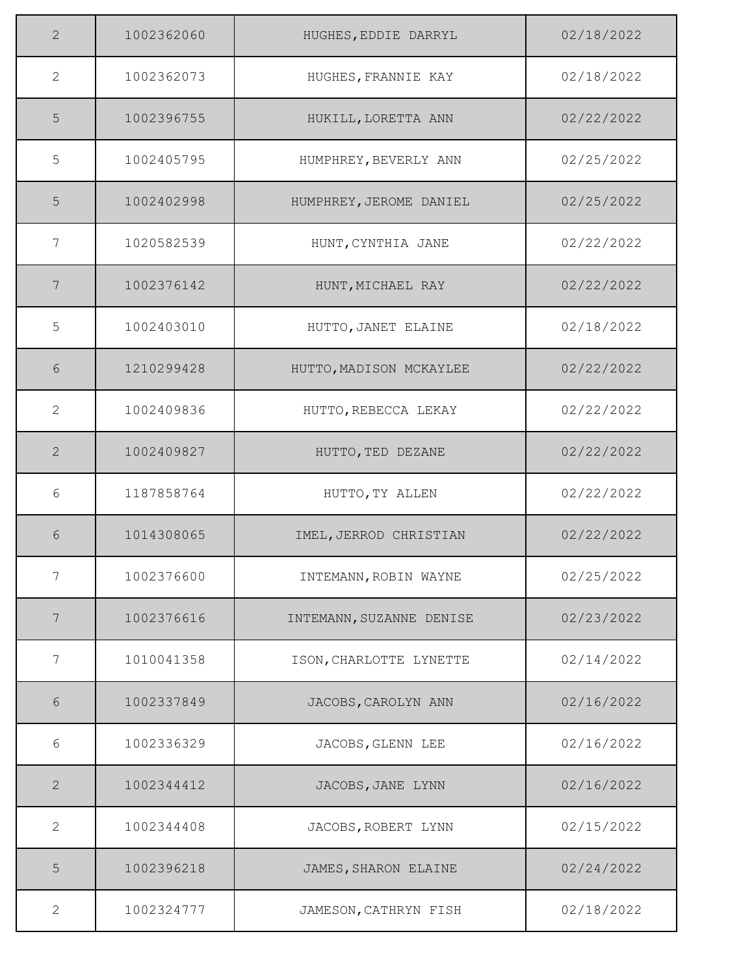| $\overline{2}$ | 1002362060 | HUGHES, EDDIE DARRYL     | 02/18/2022 |
|----------------|------------|--------------------------|------------|
| 2              | 1002362073 | HUGHES, FRANNIE KAY      | 02/18/2022 |
| 5              | 1002396755 | HUKILL, LORETTA ANN      | 02/22/2022 |
| 5              | 1002405795 | HUMPHREY, BEVERLY ANN    | 02/25/2022 |
| 5              | 1002402998 | HUMPHREY, JEROME DANIEL  | 02/25/2022 |
| 7              | 1020582539 | HUNT, CYNTHIA JANE       | 02/22/2022 |
| 7              | 1002376142 | HUNT, MICHAEL RAY        | 02/22/2022 |
| 5              | 1002403010 | HUTTO, JANET ELAINE      | 02/18/2022 |
| 6              | 1210299428 | HUTTO, MADISON MCKAYLEE  | 02/22/2022 |
| 2              | 1002409836 | HUTTO, REBECCA LEKAY     | 02/22/2022 |
| 2              | 1002409827 | HUTTO, TED DEZANE        | 02/22/2022 |
| 6              | 1187858764 | HUTTO, TY ALLEN          | 02/22/2022 |
| 6              | 1014308065 | IMEL, JERROD CHRISTIAN   | 02/22/2022 |
| 7              | 1002376600 | INTEMANN, ROBIN WAYNE    | 02/25/2022 |
| 7              | 1002376616 | INTEMANN, SUZANNE DENISE | 02/23/2022 |
| 7              | 1010041358 | ISON, CHARLOTTE LYNETTE  | 02/14/2022 |
| 6              | 1002337849 | JACOBS, CAROLYN ANN      | 02/16/2022 |
| 6              | 1002336329 | JACOBS, GLENN LEE        | 02/16/2022 |
| $\mathbf{2}$   | 1002344412 | JACOBS, JANE LYNN        | 02/16/2022 |
| 2              | 1002344408 | JACOBS, ROBERT LYNN      | 02/15/2022 |
| 5              | 1002396218 | JAMES, SHARON ELAINE     | 02/24/2022 |
| 2              | 1002324777 | JAMESON, CATHRYN FISH    | 02/18/2022 |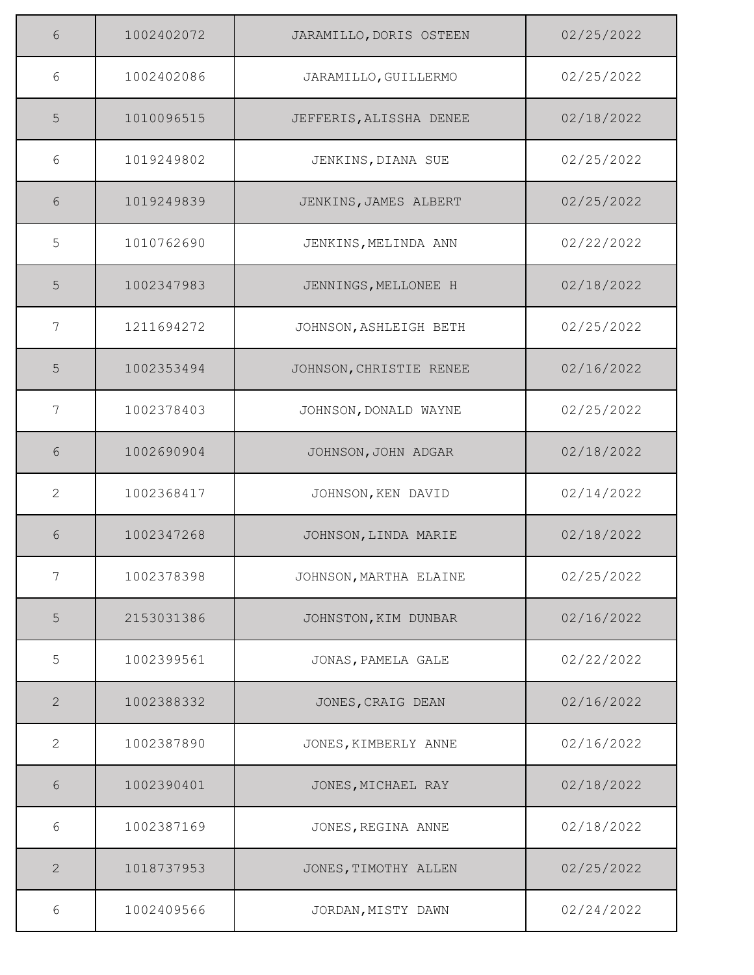| 6            | 1002402072 | JARAMILLO, DORIS OSTEEN | 02/25/2022 |
|--------------|------------|-------------------------|------------|
| 6            | 1002402086 | JARAMILLO, GUILLERMO    | 02/25/2022 |
| 5            | 1010096515 | JEFFERIS, ALISSHA DENEE | 02/18/2022 |
| 6            | 1019249802 | JENKINS, DIANA SUE      | 02/25/2022 |
| 6            | 1019249839 | JENKINS, JAMES ALBERT   | 02/25/2022 |
| 5            | 1010762690 | JENKINS, MELINDA ANN    | 02/22/2022 |
| 5            | 1002347983 | JENNINGS, MELLONEE H    | 02/18/2022 |
| 7            | 1211694272 | JOHNSON, ASHLEIGH BETH  | 02/25/2022 |
| 5            | 1002353494 | JOHNSON, CHRISTIE RENEE | 02/16/2022 |
| 7            | 1002378403 | JOHNSON, DONALD WAYNE   | 02/25/2022 |
| 6            | 1002690904 | JOHNSON, JOHN ADGAR     | 02/18/2022 |
| 2            | 1002368417 | JOHNSON, KEN DAVID      | 02/14/2022 |
| 6            | 1002347268 | JOHNSON, LINDA MARIE    | 02/18/2022 |
| 7            | 1002378398 | JOHNSON, MARTHA ELAINE  | 02/25/2022 |
| 5            | 2153031386 | JOHNSTON, KIM DUNBAR    | 02/16/2022 |
| 5            | 1002399561 | JONAS, PAMELA GALE      | 02/22/2022 |
| $\mathbf{2}$ | 1002388332 | JONES, CRAIG DEAN       | 02/16/2022 |
| 2            | 1002387890 | JONES, KIMBERLY ANNE    | 02/16/2022 |
| 6            | 1002390401 | JONES, MICHAEL RAY      | 02/18/2022 |
| 6            | 1002387169 | JONES, REGINA ANNE      | 02/18/2022 |
| $\mathbf{2}$ | 1018737953 | JONES, TIMOTHY ALLEN    | 02/25/2022 |
| 6            | 1002409566 | JORDAN, MISTY DAWN      | 02/24/2022 |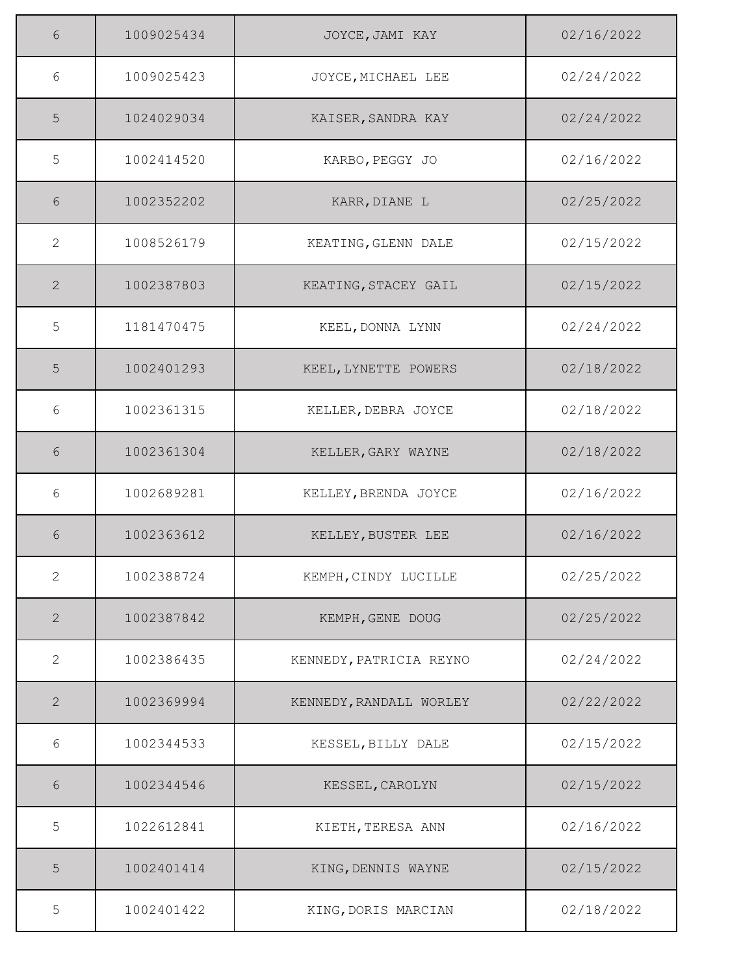| 6              | 1009025434 | JOYCE, JAMI KAY         | 02/16/2022 |
|----------------|------------|-------------------------|------------|
| 6              | 1009025423 | JOYCE, MICHAEL LEE      | 02/24/2022 |
| 5              | 1024029034 | KAISER, SANDRA KAY      | 02/24/2022 |
| 5              | 1002414520 | KARBO, PEGGY JO         | 02/16/2022 |
| 6              | 1002352202 | KARR, DIANE L           | 02/25/2022 |
| 2              | 1008526179 | KEATING, GLENN DALE     | 02/15/2022 |
| 2              | 1002387803 | KEATING, STACEY GAIL    | 02/15/2022 |
| 5              | 1181470475 | KEEL, DONNA LYNN        | 02/24/2022 |
| 5              | 1002401293 | KEEL, LYNETTE POWERS    | 02/18/2022 |
| 6              | 1002361315 | KELLER, DEBRA JOYCE     | 02/18/2022 |
| 6              | 1002361304 | KELLER, GARY WAYNE      | 02/18/2022 |
| 6              | 1002689281 | KELLEY, BRENDA JOYCE    | 02/16/2022 |
| 6              | 1002363612 | KELLEY, BUSTER LEE      | 02/16/2022 |
| $\mathbf{2}$   | 1002388724 | KEMPH, CINDY LUCILLE    | 02/25/2022 |
| $\overline{2}$ | 1002387842 | KEMPH, GENE DOUG        | 02/25/2022 |
| 2              | 1002386435 | KENNEDY, PATRICIA REYNO | 02/24/2022 |
| 2              | 1002369994 | KENNEDY, RANDALL WORLEY | 02/22/2022 |
| 6              | 1002344533 | KESSEL, BILLY DALE      | 02/15/2022 |
| 6              | 1002344546 | KESSEL, CAROLYN         | 02/15/2022 |
| 5              | 1022612841 | KIETH, TERESA ANN       | 02/16/2022 |
| 5              | 1002401414 | KING, DENNIS WAYNE      | 02/15/2022 |
| 5              | 1002401422 | KING, DORIS MARCIAN     | 02/18/2022 |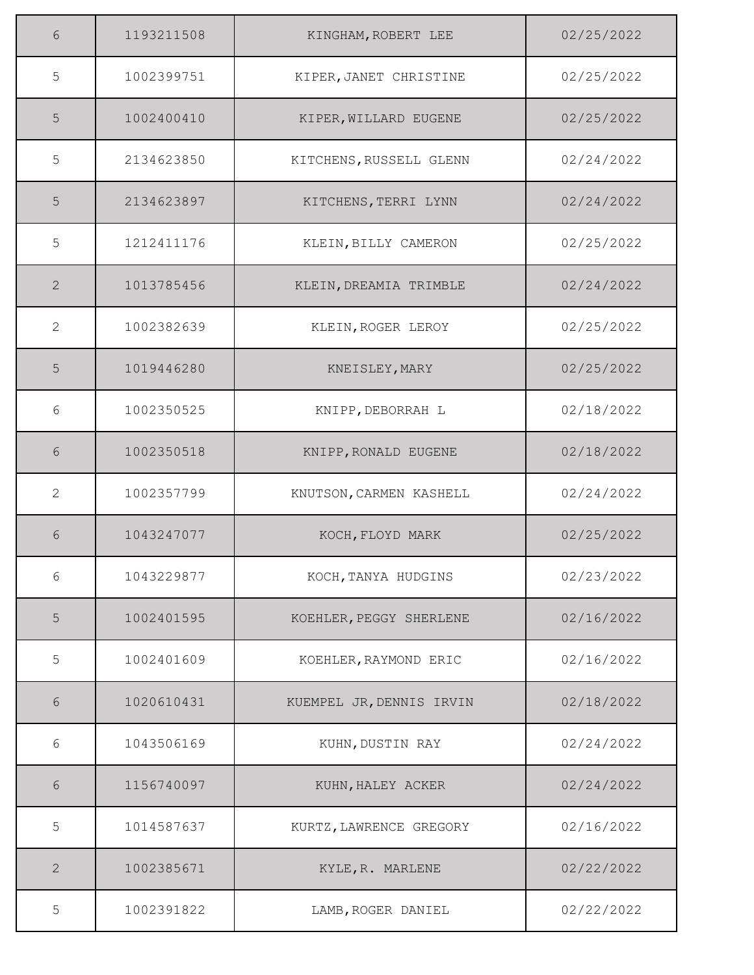| 6              | 1193211508 | KINGHAM, ROBERT LEE      | 02/25/2022 |
|----------------|------------|--------------------------|------------|
| 5              | 1002399751 | KIPER, JANET CHRISTINE   | 02/25/2022 |
| 5              | 1002400410 | KIPER, WILLARD EUGENE    | 02/25/2022 |
| 5              | 2134623850 | KITCHENS, RUSSELL GLENN  | 02/24/2022 |
| 5              | 2134623897 | KITCHENS, TERRI LYNN     | 02/24/2022 |
| 5              | 1212411176 | KLEIN, BILLY CAMERON     | 02/25/2022 |
| 2              | 1013785456 | KLEIN, DREAMIA TRIMBLE   | 02/24/2022 |
| 2              | 1002382639 | KLEIN, ROGER LEROY       | 02/25/2022 |
| 5              | 1019446280 | KNEISLEY, MARY           | 02/25/2022 |
| 6              | 1002350525 | KNIPP, DEBORRAH L        | 02/18/2022 |
| 6              | 1002350518 | KNIPP, RONALD EUGENE     | 02/18/2022 |
| $\mathbf{2}$   | 1002357799 | KNUTSON, CARMEN KASHELL  | 02/24/2022 |
| 6              | 1043247077 | KOCH, FLOYD MARK         | 02/25/2022 |
| 6              | 1043229877 | KOCH, TANYA HUDGINS      | 02/23/2022 |
| $\overline{5}$ | 1002401595 | KOEHLER, PEGGY SHERLENE  | 02/16/2022 |
| 5              | 1002401609 | KOEHLER, RAYMOND ERIC    | 02/16/2022 |
| 6              | 1020610431 | KUEMPEL JR, DENNIS IRVIN | 02/18/2022 |
| 6              | 1043506169 | KUHN, DUSTIN RAY         | 02/24/2022 |
| 6              | 1156740097 | KUHN, HALEY ACKER        | 02/24/2022 |
| 5              | 1014587637 | KURTZ, LAWRENCE GREGORY  | 02/16/2022 |
| $\mathbf{2}$   | 1002385671 | KYLE, R. MARLENE         | 02/22/2022 |
| 5              | 1002391822 | LAMB, ROGER DANIEL       | 02/22/2022 |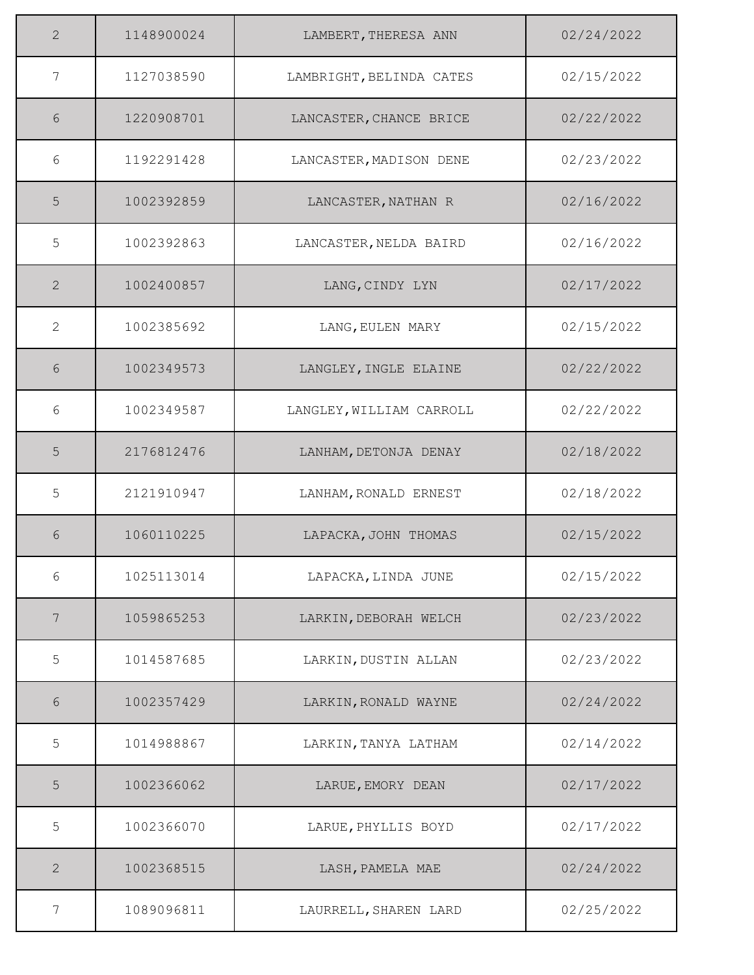| $\overline{2}$ | 1148900024 | LAMBERT, THERESA ANN     | 02/24/2022 |
|----------------|------------|--------------------------|------------|
| 7              | 1127038590 | LAMBRIGHT, BELINDA CATES | 02/15/2022 |
| 6              | 1220908701 | LANCASTER, CHANCE BRICE  | 02/22/2022 |
| 6              | 1192291428 | LANCASTER, MADISON DENE  | 02/23/2022 |
| 5              | 1002392859 | LANCASTER, NATHAN R      | 02/16/2022 |
| 5              | 1002392863 | LANCASTER, NELDA BAIRD   | 02/16/2022 |
| 2              | 1002400857 | LANG, CINDY LYN          | 02/17/2022 |
| 2              | 1002385692 | LANG, EULEN MARY         | 02/15/2022 |
| 6              | 1002349573 | LANGLEY, INGLE ELAINE    | 02/22/2022 |
| 6              | 1002349587 | LANGLEY, WILLIAM CARROLL | 02/22/2022 |
| 5              | 2176812476 | LANHAM, DETONJA DENAY    | 02/18/2022 |
| 5              | 2121910947 | LANHAM, RONALD ERNEST    | 02/18/2022 |
| 6              | 1060110225 | LAPACKA, JOHN THOMAS     | 02/15/2022 |
| 6              | 1025113014 | LAPACKA, LINDA JUNE      | 02/15/2022 |
| 7              | 1059865253 | LARKIN, DEBORAH WELCH    | 02/23/2022 |
| 5              | 1014587685 | LARKIN, DUSTIN ALLAN     | 02/23/2022 |
| 6              | 1002357429 | LARKIN, RONALD WAYNE     | 02/24/2022 |
| 5              | 1014988867 | LARKIN, TANYA LATHAM     | 02/14/2022 |
| 5              | 1002366062 | LARUE, EMORY DEAN        | 02/17/2022 |
| 5              | 1002366070 | LARUE, PHYLLIS BOYD      | 02/17/2022 |
| $\mathbf{2}$   | 1002368515 | LASH, PAMELA MAE         | 02/24/2022 |
| 7              | 1089096811 | LAURRELL, SHAREN LARD    | 02/25/2022 |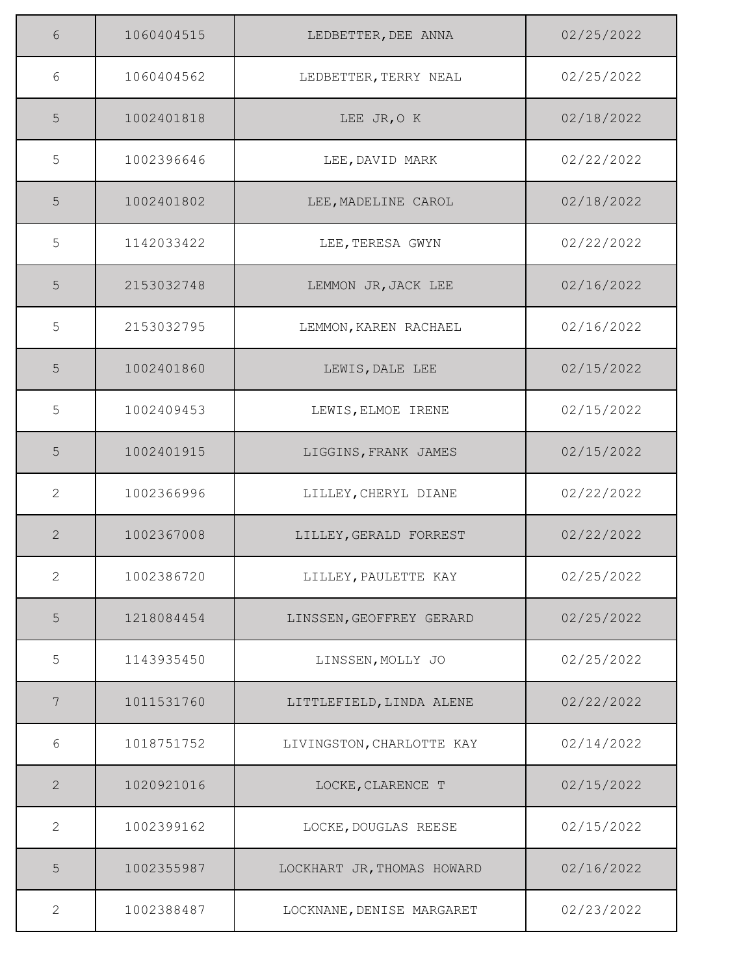| 6            | 1060404515 | LEDBETTER, DEE ANNA        | 02/25/2022 |
|--------------|------------|----------------------------|------------|
| 6            | 1060404562 | LEDBETTER, TERRY NEAL      | 02/25/2022 |
| 5            | 1002401818 | LEE JR, O K                | 02/18/2022 |
| 5            | 1002396646 | LEE, DAVID MARK            | 02/22/2022 |
| 5            | 1002401802 | LEE, MADELINE CAROL        | 02/18/2022 |
| 5            | 1142033422 | LEE, TERESA GWYN           | 02/22/2022 |
| 5            | 2153032748 | LEMMON JR, JACK LEE        | 02/16/2022 |
| 5            | 2153032795 | LEMMON, KAREN RACHAEL      | 02/16/2022 |
| 5            | 1002401860 | LEWIS, DALE LEE            | 02/15/2022 |
| 5            | 1002409453 | LEWIS, ELMOE IRENE         | 02/15/2022 |
| 5            | 1002401915 | LIGGINS, FRANK JAMES       | 02/15/2022 |
| 2            | 1002366996 | LILLEY, CHERYL DIANE       | 02/22/2022 |
| 2            | 1002367008 | LILLEY, GERALD FORREST     | 02/22/2022 |
| 2            | 1002386720 | LILLEY, PAULETTE KAY       | 02/25/2022 |
| $\mathsf S$  | 1218084454 | LINSSEN, GEOFFREY GERARD   | 02/25/2022 |
| 5            | 1143935450 | LINSSEN, MOLLY JO          | 02/25/2022 |
| 7            | 1011531760 | LITTLEFIELD, LINDA ALENE   | 02/22/2022 |
| 6            | 1018751752 | LIVINGSTON, CHARLOTTE KAY  | 02/14/2022 |
| $\mathbf{2}$ | 1020921016 | LOCKE, CLARENCE T          | 02/15/2022 |
| 2            | 1002399162 | LOCKE, DOUGLAS REESE       | 02/15/2022 |
| 5            | 1002355987 | LOCKHART JR, THOMAS HOWARD | 02/16/2022 |
| 2            | 1002388487 | LOCKNANE, DENISE MARGARET  | 02/23/2022 |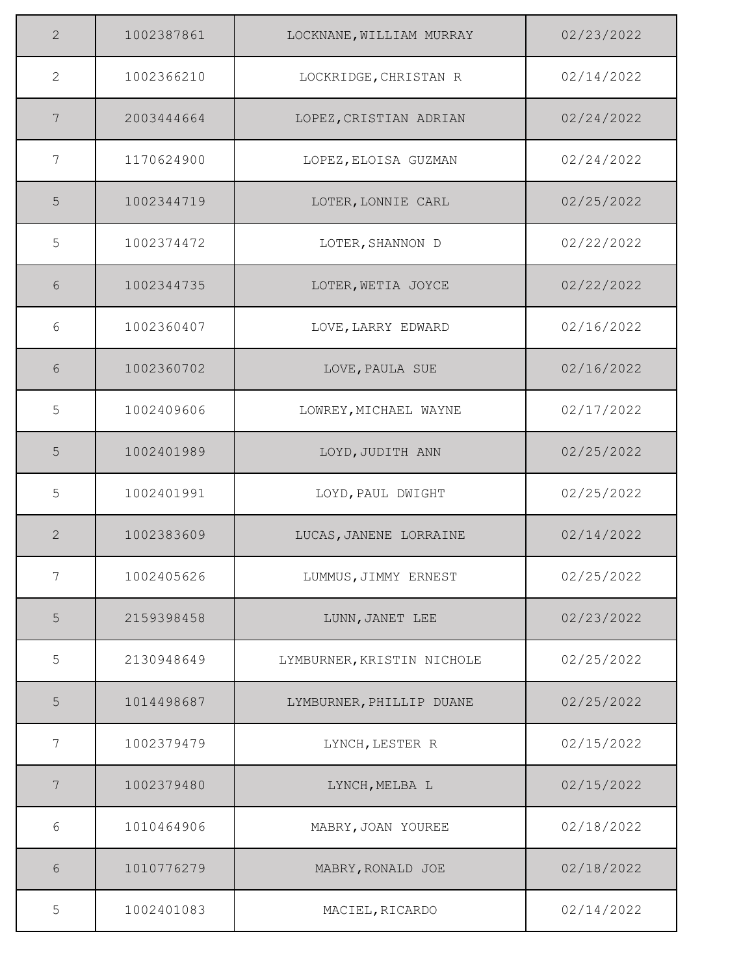| 2              | 1002387861 | LOCKNANE, WILLIAM MURRAY   | 02/23/2022 |
|----------------|------------|----------------------------|------------|
| 2              | 1002366210 | LOCKRIDGE, CHRISTAN R      | 02/14/2022 |
| 7              | 2003444664 | LOPEZ, CRISTIAN ADRIAN     | 02/24/2022 |
| 7              | 1170624900 | LOPEZ, ELOISA GUZMAN       | 02/24/2022 |
| 5              | 1002344719 | LOTER, LONNIE CARL         | 02/25/2022 |
| 5              | 1002374472 | LOTER, SHANNON D           | 02/22/2022 |
| 6              | 1002344735 | LOTER, WETIA JOYCE         | 02/22/2022 |
| 6              | 1002360407 | LOVE, LARRY EDWARD         | 02/16/2022 |
| 6              | 1002360702 | LOVE, PAULA SUE            | 02/16/2022 |
| 5              | 1002409606 | LOWREY, MICHAEL WAYNE      | 02/17/2022 |
| 5              | 1002401989 | LOYD, JUDITH ANN           | 02/25/2022 |
| 5              | 1002401991 | LOYD, PAUL DWIGHT          | 02/25/2022 |
| 2              | 1002383609 | LUCAS, JANENE LORRAINE     | 02/14/2022 |
| 7              | 1002405626 | LUMMUS, JIMMY ERNEST       | 02/25/2022 |
| $\overline{5}$ | 2159398458 | LUNN, JANET LEE            | 02/23/2022 |
| 5              | 2130948649 | LYMBURNER, KRISTIN NICHOLE | 02/25/2022 |
| 5              | 1014498687 | LYMBURNER, PHILLIP DUANE   | 02/25/2022 |
| 7              | 1002379479 | LYNCH, LESTER R            | 02/15/2022 |
| 7              | 1002379480 | LYNCH, MELBA L             | 02/15/2022 |
| $6\,$          | 1010464906 | MABRY, JOAN YOUREE         | 02/18/2022 |
| 6              | 1010776279 | MABRY, RONALD JOE          | 02/18/2022 |
| 5              | 1002401083 | MACIEL, RICARDO            | 02/14/2022 |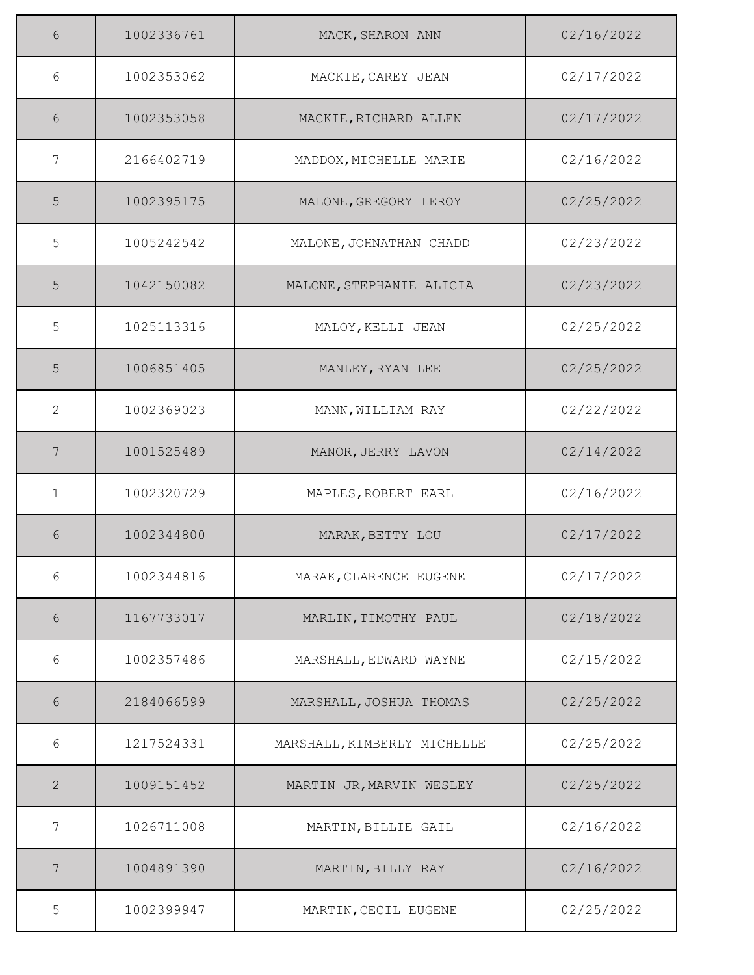| 6              | 1002336761 | MACK, SHARON ANN            | 02/16/2022 |
|----------------|------------|-----------------------------|------------|
| 6              | 1002353062 | MACKIE, CAREY JEAN          | 02/17/2022 |
| 6              | 1002353058 | MACKIE, RICHARD ALLEN       | 02/17/2022 |
| 7              | 2166402719 | MADDOX, MICHELLE MARIE      | 02/16/2022 |
| 5              | 1002395175 | MALONE, GREGORY LEROY       | 02/25/2022 |
| 5              | 1005242542 | MALONE, JOHNATHAN CHADD     | 02/23/2022 |
| 5              | 1042150082 | MALONE, STEPHANIE ALICIA    | 02/23/2022 |
| 5              | 1025113316 | MALOY, KELLI JEAN           | 02/25/2022 |
| 5              | 1006851405 | MANLEY, RYAN LEE            | 02/25/2022 |
| $\overline{2}$ | 1002369023 | MANN, WILLIAM RAY           | 02/22/2022 |
| 7              | 1001525489 | MANOR, JERRY LAVON          | 02/14/2022 |
| $\mathbf{1}$   | 1002320729 | MAPLES, ROBERT EARL         | 02/16/2022 |
| 6              | 1002344800 | MARAK, BETTY LOU            | 02/17/2022 |
| 6              | 1002344816 | MARAK, CLARENCE EUGENE      | 02/17/2022 |
| $6\,$          | 1167733017 | MARLIN, TIMOTHY PAUL        | 02/18/2022 |
| 6              | 1002357486 | MARSHALL, EDWARD WAYNE      | 02/15/2022 |
| 6              | 2184066599 | MARSHALL, JOSHUA THOMAS     | 02/25/2022 |
| 6              | 1217524331 | MARSHALL, KIMBERLY MICHELLE | 02/25/2022 |
| $\overline{2}$ | 1009151452 | MARTIN JR, MARVIN WESLEY    | 02/25/2022 |
| 7              | 1026711008 | MARTIN, BILLIE GAIL         | 02/16/2022 |
| 7              | 1004891390 | MARTIN, BILLY RAY           | 02/16/2022 |
| 5              | 1002399947 | MARTIN, CECIL EUGENE        | 02/25/2022 |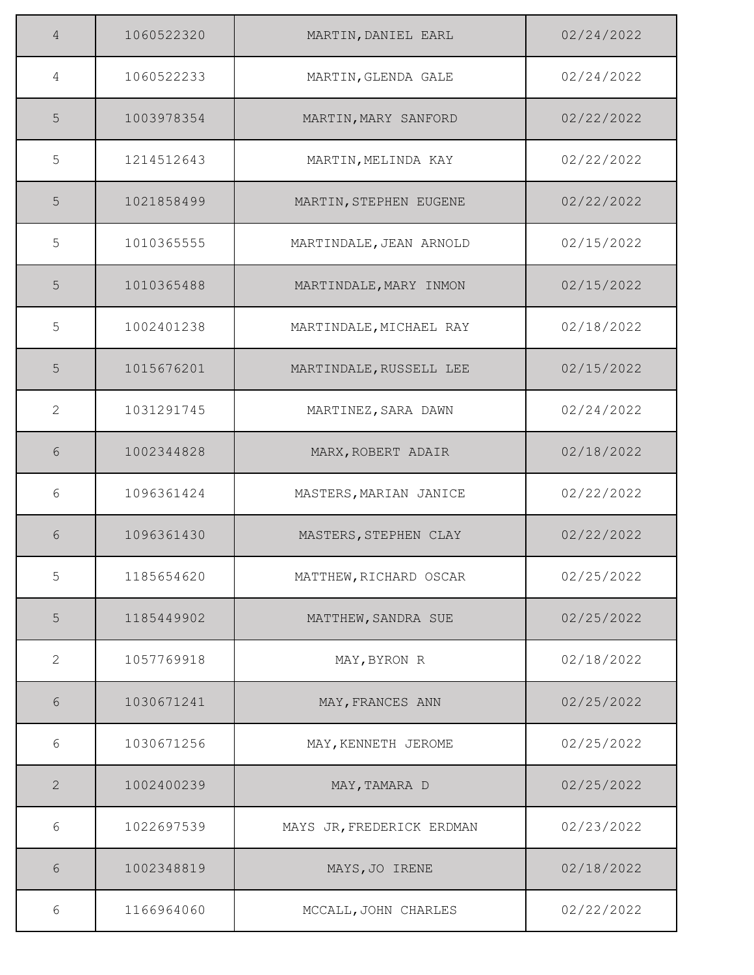| 4            | 1060522320 | MARTIN, DANIEL EARL       | 02/24/2022 |
|--------------|------------|---------------------------|------------|
| 4            | 1060522233 | MARTIN, GLENDA GALE       | 02/24/2022 |
| 5            | 1003978354 | MARTIN, MARY SANFORD      | 02/22/2022 |
| 5            | 1214512643 | MARTIN, MELINDA KAY       | 02/22/2022 |
| 5            | 1021858499 | MARTIN, STEPHEN EUGENE    | 02/22/2022 |
| 5            | 1010365555 | MARTINDALE, JEAN ARNOLD   | 02/15/2022 |
| 5            | 1010365488 | MARTINDALE, MARY INMON    | 02/15/2022 |
| 5            | 1002401238 | MARTINDALE, MICHAEL RAY   | 02/18/2022 |
| 5            | 1015676201 | MARTINDALE, RUSSELL LEE   | 02/15/2022 |
| 2            | 1031291745 | MARTINEZ, SARA DAWN       | 02/24/2022 |
| 6            | 1002344828 | MARX, ROBERT ADAIR        | 02/18/2022 |
| 6            | 1096361424 | MASTERS, MARIAN JANICE    | 02/22/2022 |
| 6            | 1096361430 | MASTERS, STEPHEN CLAY     | 02/22/2022 |
| 5            | 1185654620 | MATTHEW, RICHARD OSCAR    | 02/25/2022 |
| 5            | 1185449902 | MATTHEW, SANDRA SUE       | 02/25/2022 |
| 2            | 1057769918 | MAY, BYRON R              | 02/18/2022 |
| 6            | 1030671241 | MAY, FRANCES ANN          | 02/25/2022 |
| 6            | 1030671256 | MAY, KENNETH JEROME       | 02/25/2022 |
| $\mathbf{2}$ | 1002400239 | MAY, TAMARA D             | 02/25/2022 |
| 6            | 1022697539 | MAYS JR, FREDERICK ERDMAN | 02/23/2022 |
| 6            | 1002348819 | MAYS, JO IRENE            | 02/18/2022 |
| 6            | 1166964060 | MCCALL, JOHN CHARLES      | 02/22/2022 |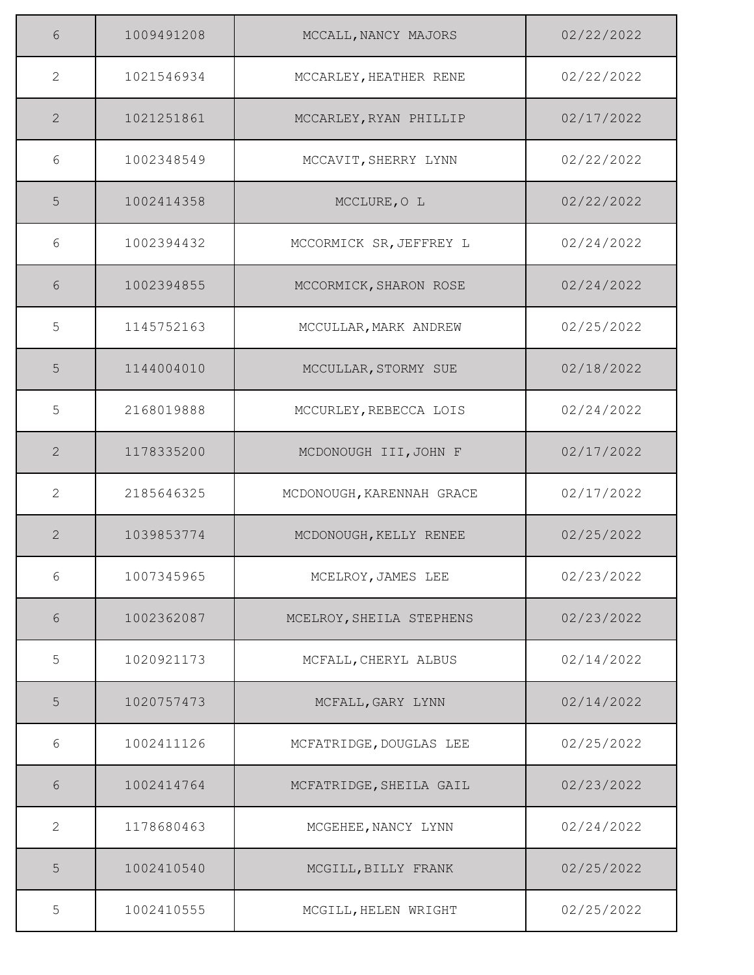| 6                     | 1009491208 | MCCALL, NANCY MAJORS      | 02/22/2022 |
|-----------------------|------------|---------------------------|------------|
| $\mathbf{2}^{\prime}$ | 1021546934 | MCCARLEY, HEATHER RENE    | 02/22/2022 |
| $\overline{2}$        | 1021251861 | MCCARLEY, RYAN PHILLIP    | 02/17/2022 |
| 6                     | 1002348549 | MCCAVIT, SHERRY LYNN      | 02/22/2022 |
| 5                     | 1002414358 | MCCLURE, O L              | 02/22/2022 |
| 6                     | 1002394432 | MCCORMICK SR, JEFFREY L   | 02/24/2022 |
| 6                     | 1002394855 | MCCORMICK, SHARON ROSE    | 02/24/2022 |
| 5                     | 1145752163 | MCCULLAR, MARK ANDREW     | 02/25/2022 |
| 5                     | 1144004010 | MCCULLAR, STORMY SUE      | 02/18/2022 |
| 5                     | 2168019888 | MCCURLEY, REBECCA LOIS    | 02/24/2022 |
| 2                     | 1178335200 | MCDONOUGH III, JOHN F     | 02/17/2022 |
| 2                     | 2185646325 | MCDONOUGH, KARENNAH GRACE | 02/17/2022 |
| $\overline{2}$        | 1039853774 | MCDONOUGH, KELLY RENEE    | 02/25/2022 |
| 6                     | 1007345965 | MCELROY, JAMES LEE        | 02/23/2022 |
| 6                     | 1002362087 | MCELROY, SHEILA STEPHENS  | 02/23/2022 |
| 5                     | 1020921173 | MCFALL, CHERYL ALBUS      | 02/14/2022 |
| 5                     | 1020757473 | MCFALL, GARY LYNN         | 02/14/2022 |
| 6                     | 1002411126 | MCFATRIDGE, DOUGLAS LEE   | 02/25/2022 |
| 6                     | 1002414764 | MCFATRIDGE, SHEILA GAIL   | 02/23/2022 |
| 2                     | 1178680463 | MCGEHEE, NANCY LYNN       | 02/24/2022 |
| 5                     | 1002410540 | MCGILL, BILLY FRANK       | 02/25/2022 |
| 5                     | 1002410555 | MCGILL, HELEN WRIGHT      | 02/25/2022 |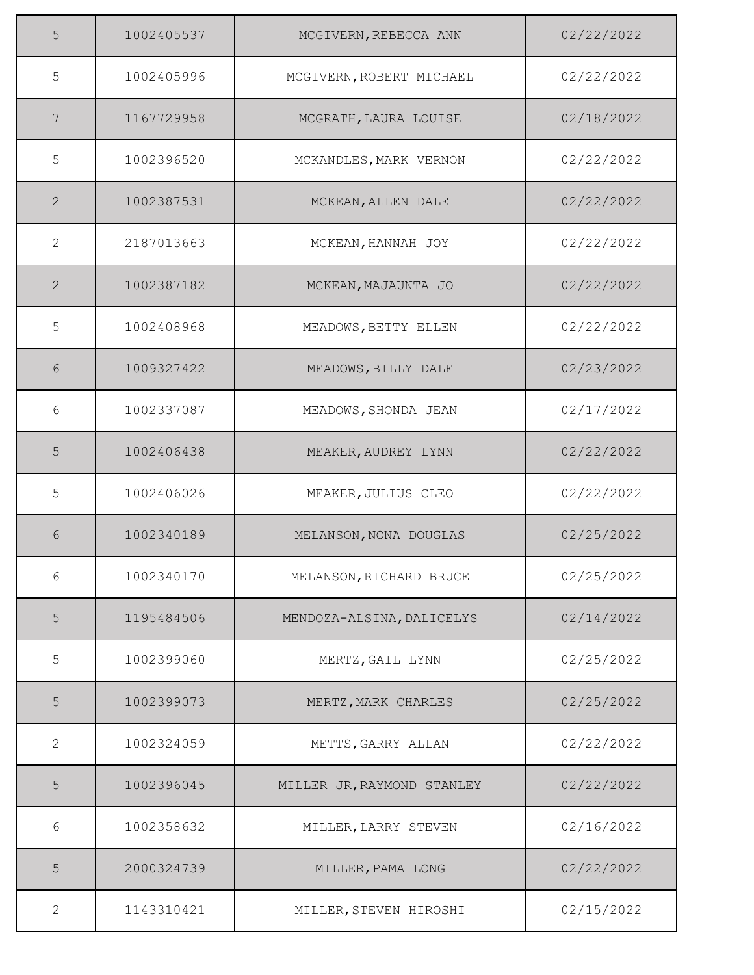| 5              | 1002405537 | MCGIVERN, REBECCA ANN      | 02/22/2022 |
|----------------|------------|----------------------------|------------|
| 5              | 1002405996 | MCGIVERN, ROBERT MICHAEL   | 02/22/2022 |
| 7              | 1167729958 | MCGRATH, LAURA LOUISE      | 02/18/2022 |
| 5              | 1002396520 | MCKANDLES, MARK VERNON     | 02/22/2022 |
| $\overline{2}$ | 1002387531 | MCKEAN, ALLEN DALE         | 02/22/2022 |
| $\overline{2}$ | 2187013663 | MCKEAN, HANNAH JOY         | 02/22/2022 |
| $\overline{2}$ | 1002387182 | MCKEAN, MAJAUNTA JO        | 02/22/2022 |
| 5              | 1002408968 | MEADOWS, BETTY ELLEN       | 02/22/2022 |
| 6              | 1009327422 | MEADOWS, BILLY DALE        | 02/23/2022 |
| 6              | 1002337087 | MEADOWS, SHONDA JEAN       | 02/17/2022 |
| 5              | 1002406438 | MEAKER, AUDREY LYNN        | 02/22/2022 |
| 5              | 1002406026 | MEAKER, JULIUS CLEO        | 02/22/2022 |
| 6              | 1002340189 | MELANSON, NONA DOUGLAS     | 02/25/2022 |
| 6              | 1002340170 | MELANSON, RICHARD BRUCE    | 02/25/2022 |
| 5              | 1195484506 | MENDOZA-ALSINA, DALICELYS  | 02/14/2022 |
| 5              | 1002399060 | MERTZ, GAIL LYNN           | 02/25/2022 |
| 5              | 1002399073 | MERTZ, MARK CHARLES        | 02/25/2022 |
| $\overline{2}$ | 1002324059 | METTS, GARRY ALLAN         | 02/22/2022 |
| 5              | 1002396045 | MILLER JR, RAYMOND STANLEY | 02/22/2022 |
| 6              | 1002358632 | MILLER, LARRY STEVEN       | 02/16/2022 |
| 5              | 2000324739 | MILLER, PAMA LONG          | 02/22/2022 |
| $\overline{2}$ | 1143310421 | MILLER, STEVEN HIROSHI     | 02/15/2022 |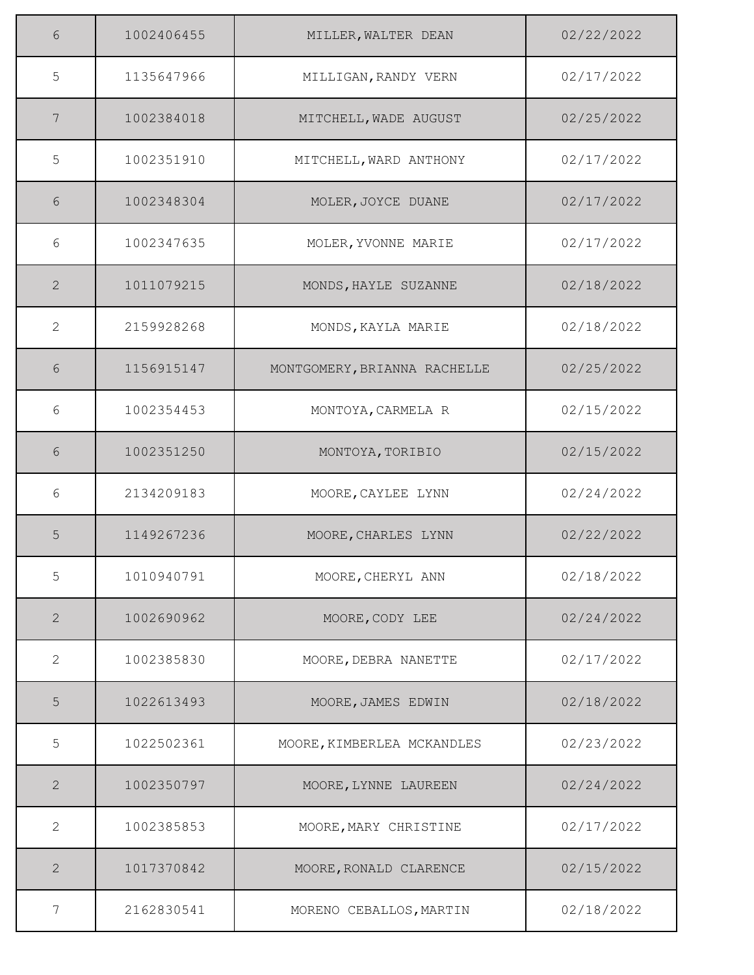| 6            | 1002406455 | MILLER, WALTER DEAN          | 02/22/2022 |
|--------------|------------|------------------------------|------------|
| 5            | 1135647966 | MILLIGAN, RANDY VERN         | 02/17/2022 |
| 7            | 1002384018 | MITCHELL, WADE AUGUST        | 02/25/2022 |
| 5            | 1002351910 | MITCHELL, WARD ANTHONY       | 02/17/2022 |
| 6            | 1002348304 | MOLER, JOYCE DUANE           | 02/17/2022 |
| 6            | 1002347635 | MOLER, YVONNE MARIE          | 02/17/2022 |
| 2            | 1011079215 | MONDS, HAYLE SUZANNE         | 02/18/2022 |
| 2            | 2159928268 | MONDS, KAYLA MARIE           | 02/18/2022 |
| 6            | 1156915147 | MONTGOMERY, BRIANNA RACHELLE | 02/25/2022 |
| 6            | 1002354453 | MONTOYA, CARMELA R           | 02/15/2022 |
| 6            | 1002351250 | MONTOYA, TORIBIO             | 02/15/2022 |
| 6            | 2134209183 | MOORE, CAYLEE LYNN           | 02/24/2022 |
| 5            | 1149267236 | MOORE, CHARLES LYNN          | 02/22/2022 |
| 5            | 1010940791 | MOORE, CHERYL ANN            | 02/18/2022 |
| 2            | 1002690962 | MOORE, CODY LEE              | 02/24/2022 |
| 2            | 1002385830 | MOORE, DEBRA NANETTE         | 02/17/2022 |
| 5            | 1022613493 | MOORE, JAMES EDWIN           | 02/18/2022 |
| 5            | 1022502361 | MOORE, KIMBERLEA MCKANDLES   | 02/23/2022 |
| $\mathbf{2}$ | 1002350797 | MOORE, LYNNE LAUREEN         | 02/24/2022 |
| 2            | 1002385853 | MOORE, MARY CHRISTINE        | 02/17/2022 |
| $\mathbf{2}$ | 1017370842 | MOORE, RONALD CLARENCE       | 02/15/2022 |
| 7            | 2162830541 | MORENO CEBALLOS, MARTIN      | 02/18/2022 |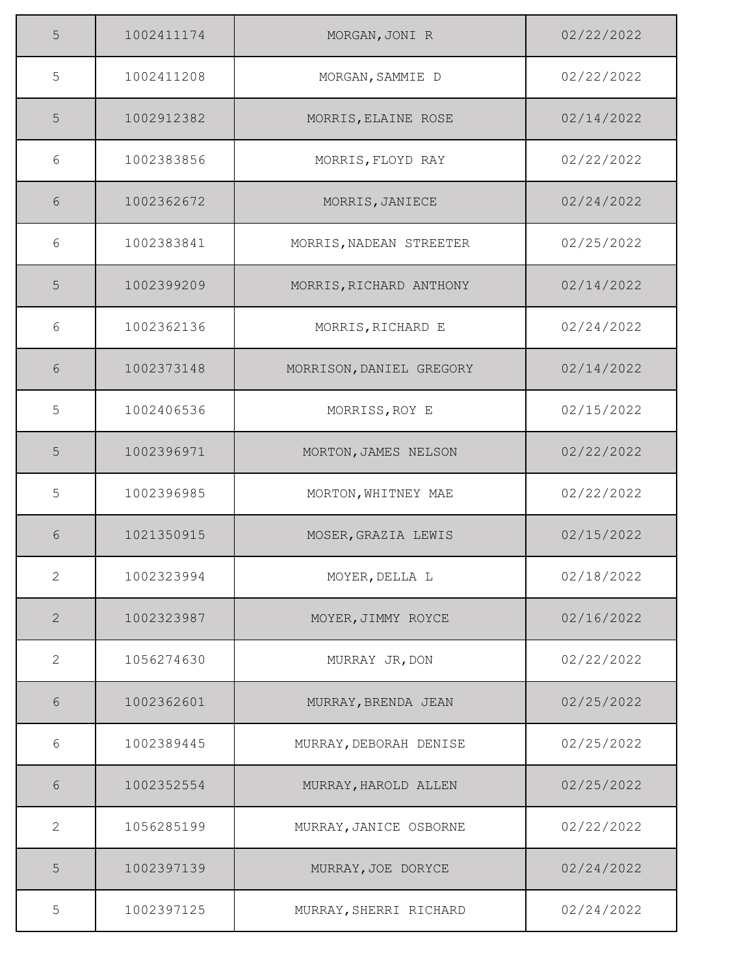| 5 | 1002411174 | MORGAN, JONI R           | 02/22/2022 |
|---|------------|--------------------------|------------|
| 5 | 1002411208 | MORGAN, SAMMIE D         | 02/22/2022 |
| 5 | 1002912382 | MORRIS, ELAINE ROSE      | 02/14/2022 |
| 6 | 1002383856 | MORRIS, FLOYD RAY        | 02/22/2022 |
| 6 | 1002362672 | MORRIS, JANIECE          | 02/24/2022 |
| 6 | 1002383841 | MORRIS, NADEAN STREETER  | 02/25/2022 |
| 5 | 1002399209 | MORRIS, RICHARD ANTHONY  | 02/14/2022 |
| 6 | 1002362136 | MORRIS, RICHARD E        | 02/24/2022 |
| 6 | 1002373148 | MORRISON, DANIEL GREGORY | 02/14/2022 |
| 5 | 1002406536 | MORRISS, ROY E           | 02/15/2022 |
| 5 | 1002396971 | MORTON, JAMES NELSON     | 02/22/2022 |
| 5 | 1002396985 | MORTON, WHITNEY MAE      | 02/22/2022 |
| 6 | 1021350915 | MOSER, GRAZIA LEWIS      | 02/15/2022 |
| 2 | 1002323994 | MOYER, DELLA L           | 02/18/2022 |
| 2 | 1002323987 | MOYER, JIMMY ROYCE       | 02/16/2022 |
| 2 | 1056274630 | MURRAY JR, DON           | 02/22/2022 |
| 6 | 1002362601 | MURRAY, BRENDA JEAN      | 02/25/2022 |
| 6 | 1002389445 | MURRAY, DEBORAH DENISE   | 02/25/2022 |
| 6 | 1002352554 | MURRAY, HAROLD ALLEN     | 02/25/2022 |
| 2 | 1056285199 | MURRAY, JANICE OSBORNE   | 02/22/2022 |
| 5 | 1002397139 | MURRAY, JOE DORYCE       | 02/24/2022 |
| 5 | 1002397125 | MURRAY, SHERRI RICHARD   | 02/24/2022 |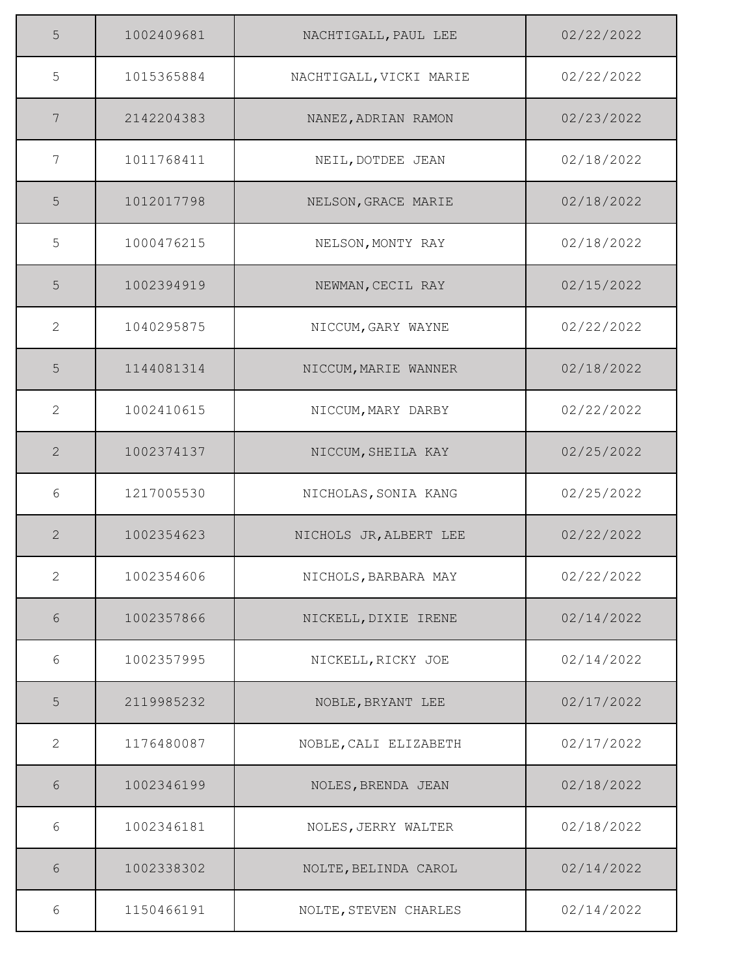| 5              | 1002409681 | NACHTIGALL, PAUL LEE    | 02/22/2022 |
|----------------|------------|-------------------------|------------|
| 5              | 1015365884 | NACHTIGALL, VICKI MARIE | 02/22/2022 |
| 7              | 2142204383 | NANEZ, ADRIAN RAMON     | 02/23/2022 |
| 7              | 1011768411 | NEIL, DOTDEE JEAN       | 02/18/2022 |
| 5              | 1012017798 | NELSON, GRACE MARIE     | 02/18/2022 |
| 5              | 1000476215 | NELSON, MONTY RAY       | 02/18/2022 |
| 5              | 1002394919 | NEWMAN, CECIL RAY       | 02/15/2022 |
| $\overline{2}$ | 1040295875 | NICCUM, GARY WAYNE      | 02/22/2022 |
| 5              | 1144081314 | NICCUM, MARIE WANNER    | 02/18/2022 |
| $\overline{2}$ | 1002410615 | NICCUM, MARY DARBY      | 02/22/2022 |
| $\mathbf{2}$   | 1002374137 | NICCUM, SHEILA KAY      | 02/25/2022 |
| 6              | 1217005530 | NICHOLAS, SONIA KANG    | 02/25/2022 |
| $\mathbf{2}$   | 1002354623 | NICHOLS JR, ALBERT LEE  | 02/22/2022 |
| 2              | 1002354606 | NICHOLS, BARBARA MAY    | 02/22/2022 |
| $6\,$          | 1002357866 | NICKELL, DIXIE IRENE    | 02/14/2022 |
| 6              | 1002357995 | NICKELL, RICKY JOE      | 02/14/2022 |
| 5              | 2119985232 | NOBLE, BRYANT LEE       | 02/17/2022 |
| $\overline{2}$ | 1176480087 | NOBLE, CALI ELIZABETH   | 02/17/2022 |
| $6\,$          | 1002346199 | NOLES, BRENDA JEAN      | 02/18/2022 |
| 6              | 1002346181 | NOLES, JERRY WALTER     | 02/18/2022 |
| 6              | 1002338302 | NOLTE, BELINDA CAROL    | 02/14/2022 |
| 6              | 1150466191 | NOLTE, STEVEN CHARLES   | 02/14/2022 |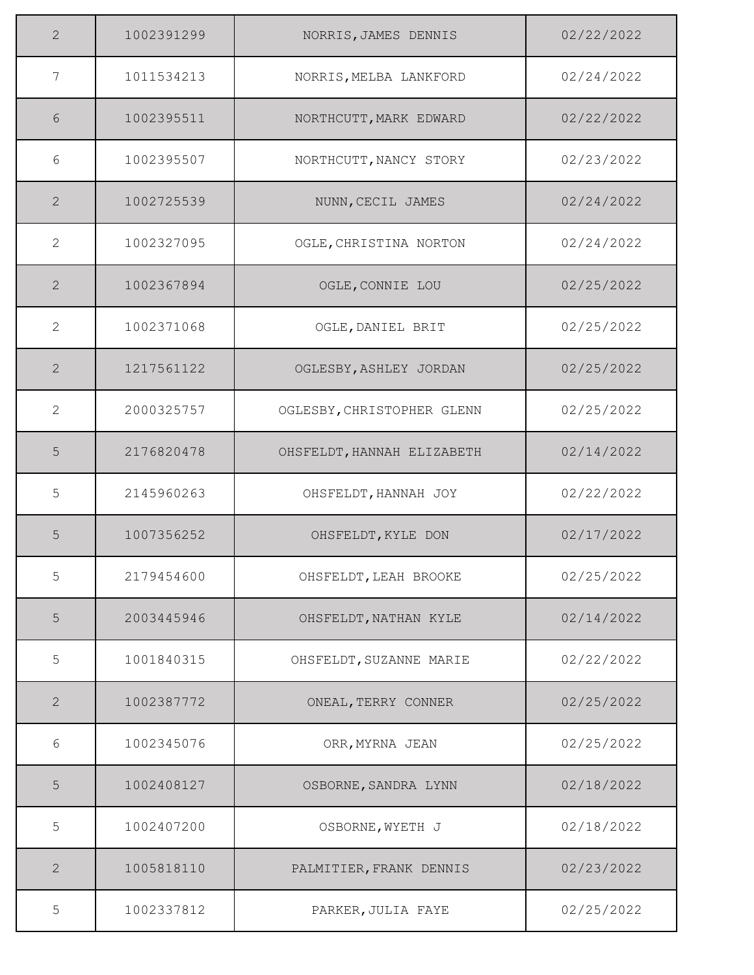| 2              | 1002391299 | NORRIS, JAMES DENNIS       | 02/22/2022 |
|----------------|------------|----------------------------|------------|
| 7              | 1011534213 | NORRIS, MELBA LANKFORD     | 02/24/2022 |
| 6              | 1002395511 | NORTHCUTT, MARK EDWARD     | 02/22/2022 |
| 6              | 1002395507 | NORTHCUTT, NANCY STORY     | 02/23/2022 |
| 2              | 1002725539 | NUNN, CECIL JAMES          | 02/24/2022 |
| $\mathbf{2}$   | 1002327095 | OGLE, CHRISTINA NORTON     | 02/24/2022 |
| 2              | 1002367894 | OGLE, CONNIE LOU           | 02/25/2022 |
| 2              | 1002371068 | OGLE, DANIEL BRIT          | 02/25/2022 |
| $\overline{2}$ | 1217561122 | OGLESBY, ASHLEY JORDAN     | 02/25/2022 |
| 2              | 2000325757 | OGLESBY, CHRISTOPHER GLENN | 02/25/2022 |
| 5              | 2176820478 | OHSFELDT, HANNAH ELIZABETH | 02/14/2022 |
| 5              | 2145960263 | OHSFELDT, HANNAH JOY       | 02/22/2022 |
| 5              | 1007356252 | OHSFELDT, KYLE DON         | 02/17/2022 |
| 5              | 2179454600 | OHSFELDT, LEAH BROOKE      | 02/25/2022 |
| $\mathsf S$    | 2003445946 | OHSFELDT, NATHAN KYLE      | 02/14/2022 |
| 5              | 1001840315 | OHSFELDT, SUZANNE MARIE    | 02/22/2022 |
| 2              | 1002387772 | ONEAL, TERRY CONNER        | 02/25/2022 |
| 6              | 1002345076 | ORR, MYRNA JEAN            | 02/25/2022 |
| 5              | 1002408127 | OSBORNE, SANDRA LYNN       | 02/18/2022 |
| 5              | 1002407200 | OSBORNE, WYETH J           | 02/18/2022 |
| 2              | 1005818110 | PALMITIER, FRANK DENNIS    | 02/23/2022 |
| 5              | 1002337812 | PARKER, JULIA FAYE         | 02/25/2022 |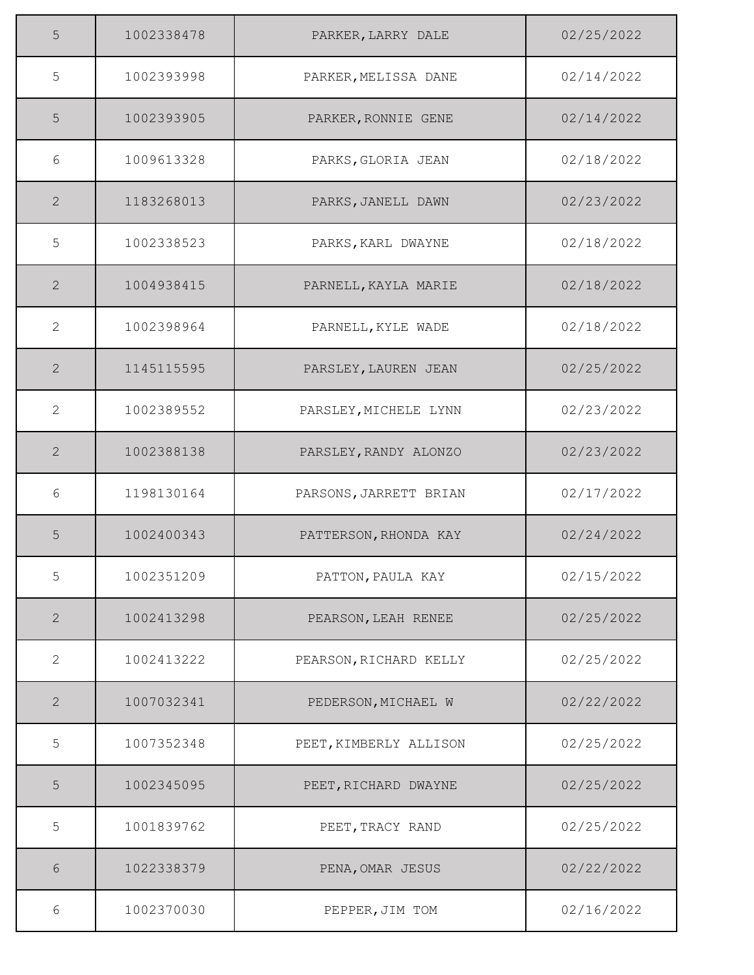| 5              | 1002338478 | PARKER, LARRY DALE     | 02/25/2022 |
|----------------|------------|------------------------|------------|
| 5              | 1002393998 | PARKER, MELISSA DANE   | 02/14/2022 |
| 5              | 1002393905 | PARKER, RONNIE GENE    | 02/14/2022 |
| 6              | 1009613328 | PARKS, GLORIA JEAN     | 02/18/2022 |
| $\overline{2}$ | 1183268013 | PARKS, JANELL DAWN     | 02/23/2022 |
| 5              | 1002338523 | PARKS, KARL DWAYNE     | 02/18/2022 |
| 2              | 1004938415 | PARNELL, KAYLA MARIE   | 02/18/2022 |
| 2              | 1002398964 | PARNELL, KYLE WADE     | 02/18/2022 |
| $\overline{2}$ | 1145115595 | PARSLEY, LAUREN JEAN   | 02/25/2022 |
| 2              | 1002389552 | PARSLEY, MICHELE LYNN  | 02/23/2022 |
| 2              | 1002388138 | PARSLEY, RANDY ALONZO  | 02/23/2022 |
| 6              | 1198130164 | PARSONS, JARRETT BRIAN | 02/17/2022 |
| 5              | 1002400343 | PATTERSON, RHONDA KAY  | 02/24/2022 |
| 5              | 1002351209 | PATTON, PAULA KAY      | 02/15/2022 |
| $\mathbf{2}$   | 1002413298 | PEARSON, LEAH RENEE    | 02/25/2022 |
| 2              | 1002413222 | PEARSON, RICHARD KELLY | 02/25/2022 |
| $\mathbf{2}$   | 1007032341 | PEDERSON, MICHAEL W    | 02/22/2022 |
| 5              | 1007352348 | PEET, KIMBERLY ALLISON | 02/25/2022 |
| $\overline{5}$ | 1002345095 | PEET, RICHARD DWAYNE   | 02/25/2022 |
| 5              | 1001839762 | PEET, TRACY RAND       | 02/25/2022 |
| 6              | 1022338379 | PENA, OMAR JESUS       | 02/22/2022 |
| 6              | 1002370030 | PEPPER, JIM TOM        | 02/16/2022 |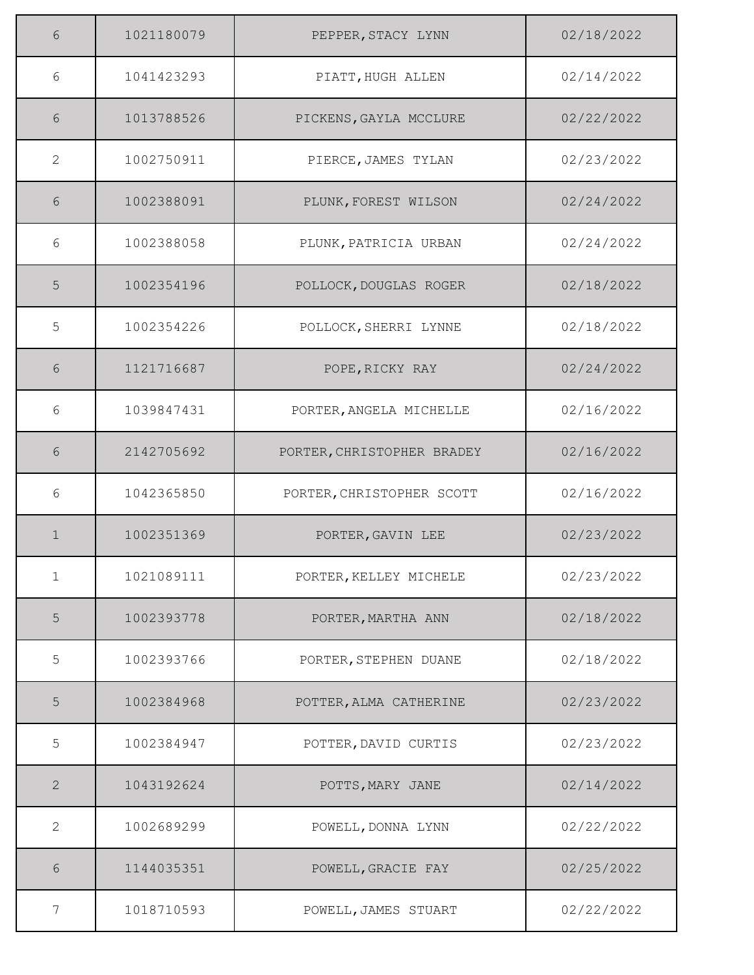| 6              | 1021180079 | PEPPER, STACY LYNN         | 02/18/2022 |
|----------------|------------|----------------------------|------------|
| 6              | 1041423293 | PIATT, HUGH ALLEN          | 02/14/2022 |
| 6              | 1013788526 | PICKENS, GAYLA MCCLURE     | 02/22/2022 |
| $\mathbf{2}$   | 1002750911 | PIERCE, JAMES TYLAN        | 02/23/2022 |
| 6              | 1002388091 | PLUNK, FOREST WILSON       | 02/24/2022 |
| 6              | 1002388058 | PLUNK, PATRICIA URBAN      | 02/24/2022 |
| 5              | 1002354196 | POLLOCK, DOUGLAS ROGER     | 02/18/2022 |
| 5              | 1002354226 | POLLOCK, SHERRI LYNNE      | 02/18/2022 |
| 6              | 1121716687 | POPE, RICKY RAY            | 02/24/2022 |
| 6              | 1039847431 | PORTER, ANGELA MICHELLE    | 02/16/2022 |
| 6              | 2142705692 | PORTER, CHRISTOPHER BRADEY | 02/16/2022 |
| 6              | 1042365850 | PORTER, CHRISTOPHER SCOTT  | 02/16/2022 |
| $\mathbf 1$    | 1002351369 | PORTER, GAVIN LEE          | 02/23/2022 |
| $\mathbf{1}$   | 1021089111 | PORTER, KELLEY MICHELE     | 02/23/2022 |
| $\overline{5}$ | 1002393778 | PORTER, MARTHA ANN         | 02/18/2022 |
| 5              | 1002393766 | PORTER, STEPHEN DUANE      | 02/18/2022 |
| 5              | 1002384968 | POTTER, ALMA CATHERINE     | 02/23/2022 |
| 5              | 1002384947 | POTTER, DAVID CURTIS       | 02/23/2022 |
| $\mathbf{2}$   | 1043192624 | POTTS, MARY JANE           | 02/14/2022 |
| 2              | 1002689299 | POWELL, DONNA LYNN         | 02/22/2022 |
| 6              | 1144035351 | POWELL, GRACIE FAY         | 02/25/2022 |
| 7              | 1018710593 | POWELL, JAMES STUART       | 02/22/2022 |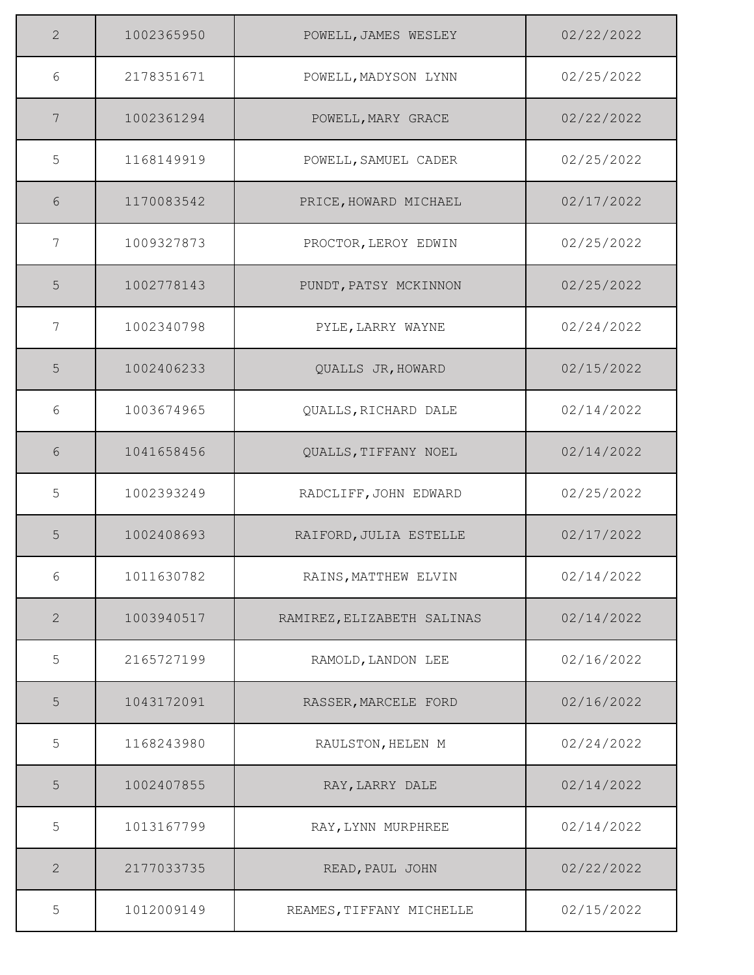| $\overline{2}$ | 1002365950 | POWELL, JAMES WESLEY       | 02/22/2022 |
|----------------|------------|----------------------------|------------|
| 6              | 2178351671 | POWELL, MADYSON LYNN       | 02/25/2022 |
| 7              | 1002361294 | POWELL, MARY GRACE         | 02/22/2022 |
| 5              | 1168149919 | POWELL, SAMUEL CADER       | 02/25/2022 |
| 6              | 1170083542 | PRICE, HOWARD MICHAEL      | 02/17/2022 |
| 7              | 1009327873 | PROCTOR, LEROY EDWIN       | 02/25/2022 |
| 5              | 1002778143 | PUNDT, PATSY MCKINNON      | 02/25/2022 |
| 7              | 1002340798 | PYLE, LARRY WAYNE          | 02/24/2022 |
| 5              | 1002406233 | QUALLS JR, HOWARD          | 02/15/2022 |
| 6              | 1003674965 | QUALLS, RICHARD DALE       | 02/14/2022 |
| 6              | 1041658456 | QUALLS, TIFFANY NOEL       | 02/14/2022 |
| 5              | 1002393249 | RADCLIFF, JOHN EDWARD      | 02/25/2022 |
| 5              | 1002408693 | RAIFORD, JULIA ESTELLE     | 02/17/2022 |
| 6              | 1011630782 | RAINS, MATTHEW ELVIN       | 02/14/2022 |
| 2              | 1003940517 | RAMIREZ, ELIZABETH SALINAS | 02/14/2022 |
| 5              | 2165727199 | RAMOLD, LANDON LEE         | 02/16/2022 |
| 5              | 1043172091 | RASSER, MARCELE FORD       | 02/16/2022 |
| 5              | 1168243980 | RAULSTON, HELEN M          | 02/24/2022 |
| 5              | 1002407855 | RAY, LARRY DALE            | 02/14/2022 |
| 5              | 1013167799 | RAY, LYNN MURPHREE         | 02/14/2022 |
| $\mathbf{2}$   | 2177033735 | READ, PAUL JOHN            | 02/22/2022 |
| 5              | 1012009149 | REAMES, TIFFANY MICHELLE   | 02/15/2022 |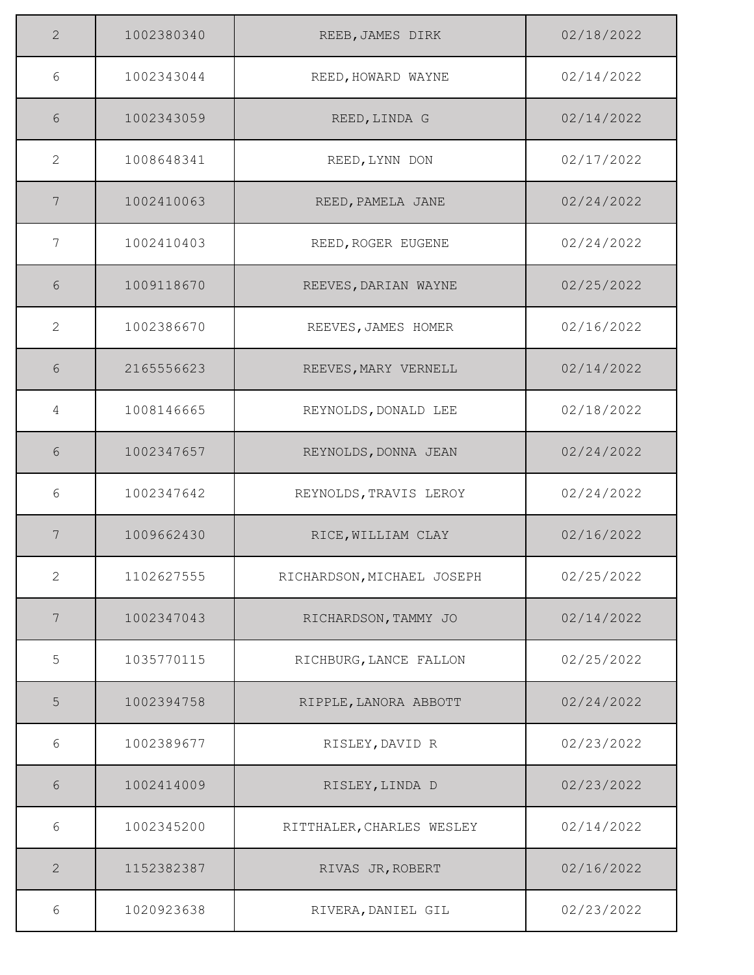| $\overline{2}$ | 1002380340 | REEB, JAMES DIRK           | 02/18/2022 |
|----------------|------------|----------------------------|------------|
| 6              | 1002343044 | REED, HOWARD WAYNE         | 02/14/2022 |
| 6              | 1002343059 | REED, LINDA G              | 02/14/2022 |
| 2              | 1008648341 | REED, LYNN DON             | 02/17/2022 |
| 7              | 1002410063 | REED, PAMELA JANE          | 02/24/2022 |
| 7              | 1002410403 | REED, ROGER EUGENE         | 02/24/2022 |
| 6              | 1009118670 | REEVES, DARIAN WAYNE       | 02/25/2022 |
| 2              | 1002386670 | REEVES, JAMES HOMER        | 02/16/2022 |
| 6              | 2165556623 | REEVES, MARY VERNELL       | 02/14/2022 |
| 4              | 1008146665 | REYNOLDS, DONALD LEE       | 02/18/2022 |
| 6              | 1002347657 | REYNOLDS, DONNA JEAN       | 02/24/2022 |
| 6              | 1002347642 | REYNOLDS, TRAVIS LEROY     | 02/24/2022 |
| 7              | 1009662430 | RICE, WILLIAM CLAY         | 02/16/2022 |
| $\overline{2}$ | 1102627555 | RICHARDSON, MICHAEL JOSEPH | 02/25/2022 |
| 7              | 1002347043 | RICHARDSON, TAMMY JO       | 02/14/2022 |
| 5              | 1035770115 | RICHBURG, LANCE FALLON     | 02/25/2022 |
| 5              | 1002394758 | RIPPLE, LANORA ABBOTT      | 02/24/2022 |
| 6              | 1002389677 | RISLEY, DAVID R            | 02/23/2022 |
| 6              | 1002414009 | RISLEY, LINDA D            | 02/23/2022 |
| $6\,$          | 1002345200 | RITTHALER, CHARLES WESLEY  | 02/14/2022 |
| $\mathbf{2}$   | 1152382387 | RIVAS JR, ROBERT           | 02/16/2022 |
| 6              | 1020923638 | RIVERA, DANIEL GIL         | 02/23/2022 |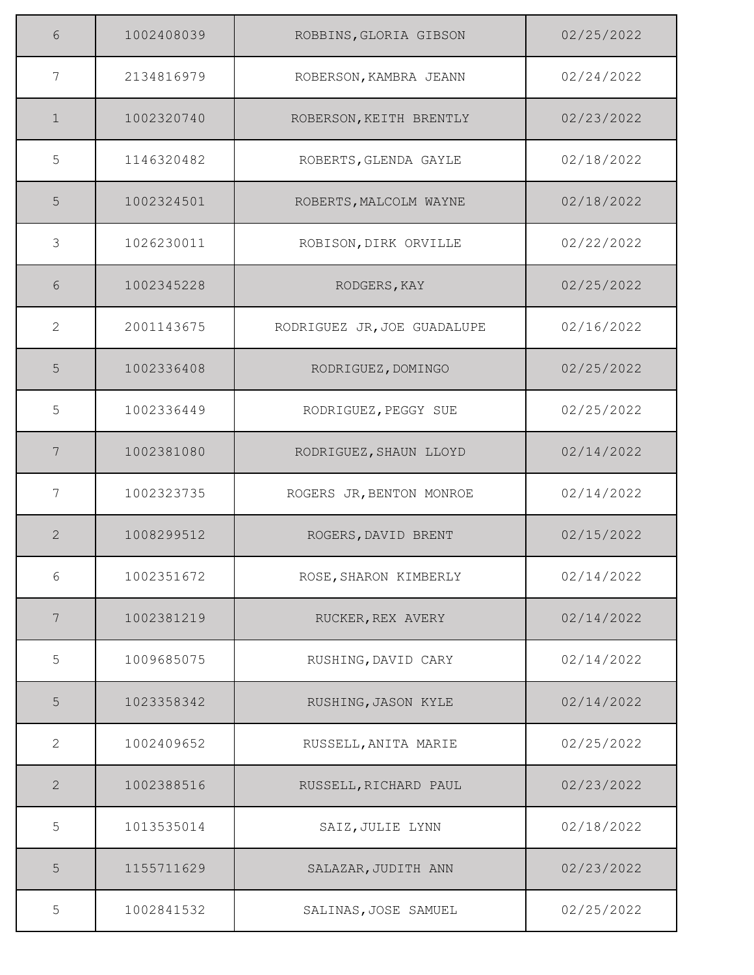| 6              | 1002408039 | ROBBINS, GLORIA GIBSON      | 02/25/2022 |
|----------------|------------|-----------------------------|------------|
| 7              | 2134816979 | ROBERSON, KAMBRA JEANN      | 02/24/2022 |
| $\mathbf{1}$   | 1002320740 | ROBERSON, KEITH BRENTLY     | 02/23/2022 |
| 5              | 1146320482 | ROBERTS, GLENDA GAYLE       | 02/18/2022 |
| 5              | 1002324501 | ROBERTS, MALCOLM WAYNE      | 02/18/2022 |
| 3              | 1026230011 | ROBISON, DIRK ORVILLE       | 02/22/2022 |
| 6              | 1002345228 | RODGERS, KAY                | 02/25/2022 |
| $\overline{2}$ | 2001143675 | RODRIGUEZ JR, JOE GUADALUPE | 02/16/2022 |
| 5              | 1002336408 | RODRIGUEZ, DOMINGO          | 02/25/2022 |
| 5              | 1002336449 | RODRIGUEZ, PEGGY SUE        | 02/25/2022 |
| 7              | 1002381080 | RODRIGUEZ, SHAUN LLOYD      | 02/14/2022 |
| 7              | 1002323735 | ROGERS JR, BENTON MONROE    | 02/14/2022 |
| $\mathbf{2}$   | 1008299512 | ROGERS, DAVID BRENT         | 02/15/2022 |
| 6              | 1002351672 | ROSE, SHARON KIMBERLY       | 02/14/2022 |
| 7              | 1002381219 | RUCKER, REX AVERY           | 02/14/2022 |
| 5              | 1009685075 | RUSHING, DAVID CARY         | 02/14/2022 |
| 5              | 1023358342 | RUSHING, JASON KYLE         | 02/14/2022 |
| $\overline{2}$ | 1002409652 | RUSSELL, ANITA MARIE        | 02/25/2022 |
| $\overline{2}$ | 1002388516 | RUSSELL, RICHARD PAUL       | 02/23/2022 |
| 5              | 1013535014 | SAIZ, JULIE LYNN            | 02/18/2022 |
| 5              | 1155711629 | SALAZAR, JUDITH ANN         | 02/23/2022 |
| 5              | 1002841532 | SALINAS, JOSE SAMUEL        | 02/25/2022 |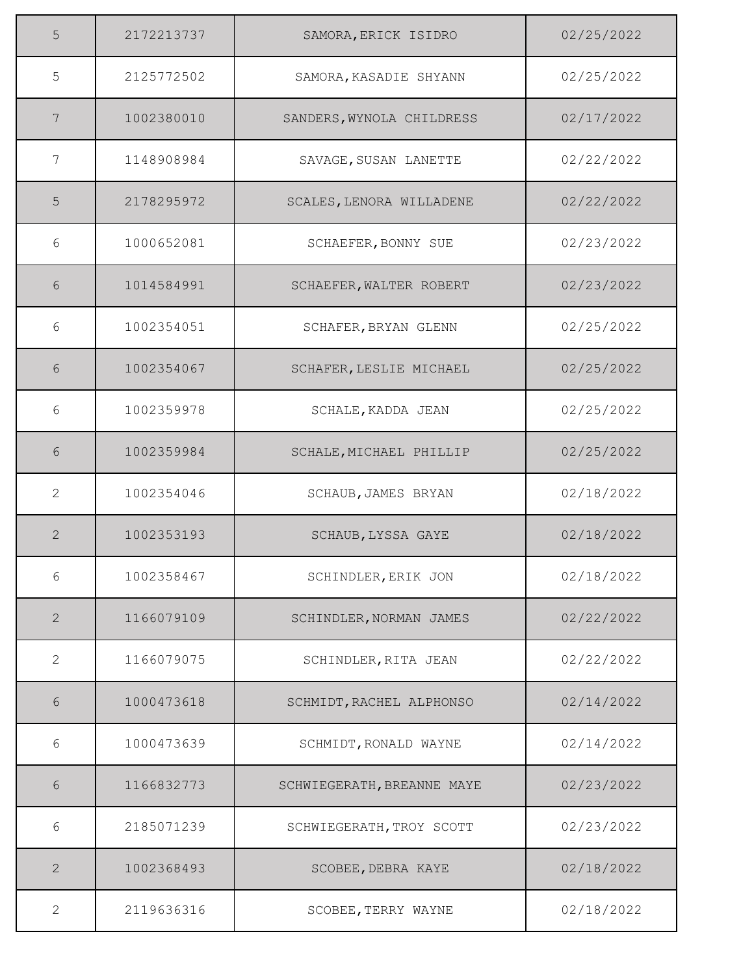| 5                         | 2172213737 | SAMORA, ERICK ISIDRO       | 02/25/2022 |
|---------------------------|------------|----------------------------|------------|
| 5                         | 2125772502 | SAMORA, KASADIE SHYANN     | 02/25/2022 |
| 7                         | 1002380010 | SANDERS, WYNOLA CHILDRESS  | 02/17/2022 |
| 7                         | 1148908984 | SAVAGE, SUSAN LANETTE      | 02/22/2022 |
| 5                         | 2178295972 | SCALES, LENORA WILLADENE   | 02/22/2022 |
| 6                         | 1000652081 | SCHAEFER, BONNY SUE        | 02/23/2022 |
| 6                         | 1014584991 | SCHAEFER, WALTER ROBERT    | 02/23/2022 |
| 6                         | 1002354051 | SCHAFER, BRYAN GLENN       | 02/25/2022 |
| 6                         | 1002354067 | SCHAFER, LESLIE MICHAEL    | 02/25/2022 |
| 6                         | 1002359978 | SCHALE, KADDA JEAN         | 02/25/2022 |
| 6                         | 1002359984 | SCHALE, MICHAEL PHILLIP    | 02/25/2022 |
| $\mathbf{2}$              | 1002354046 | SCHAUB, JAMES BRYAN        | 02/18/2022 |
| $\mathbf{2}$              | 1002353193 | SCHAUB, LYSSA GAYE         | 02/18/2022 |
| 6                         | 1002358467 | SCHINDLER, ERIK JON        | 02/18/2022 |
| $\mathbf{2}$              | 1166079109 | SCHINDLER, NORMAN JAMES    | 02/22/2022 |
| $\mathbf{2}^{\mathsf{I}}$ | 1166079075 | SCHINDLER, RITA JEAN       | 02/22/2022 |
| 6                         | 1000473618 | SCHMIDT, RACHEL ALPHONSO   | 02/14/2022 |
| 6                         | 1000473639 | SCHMIDT, RONALD WAYNE      | 02/14/2022 |
| 6                         | 1166832773 | SCHWIEGERATH, BREANNE MAYE | 02/23/2022 |
| 6                         | 2185071239 | SCHWIEGERATH, TROY SCOTT   | 02/23/2022 |
| $\mathbf{2}$              | 1002368493 | SCOBEE, DEBRA KAYE         | 02/18/2022 |
| $\overline{2}$            | 2119636316 | SCOBEE, TERRY WAYNE        | 02/18/2022 |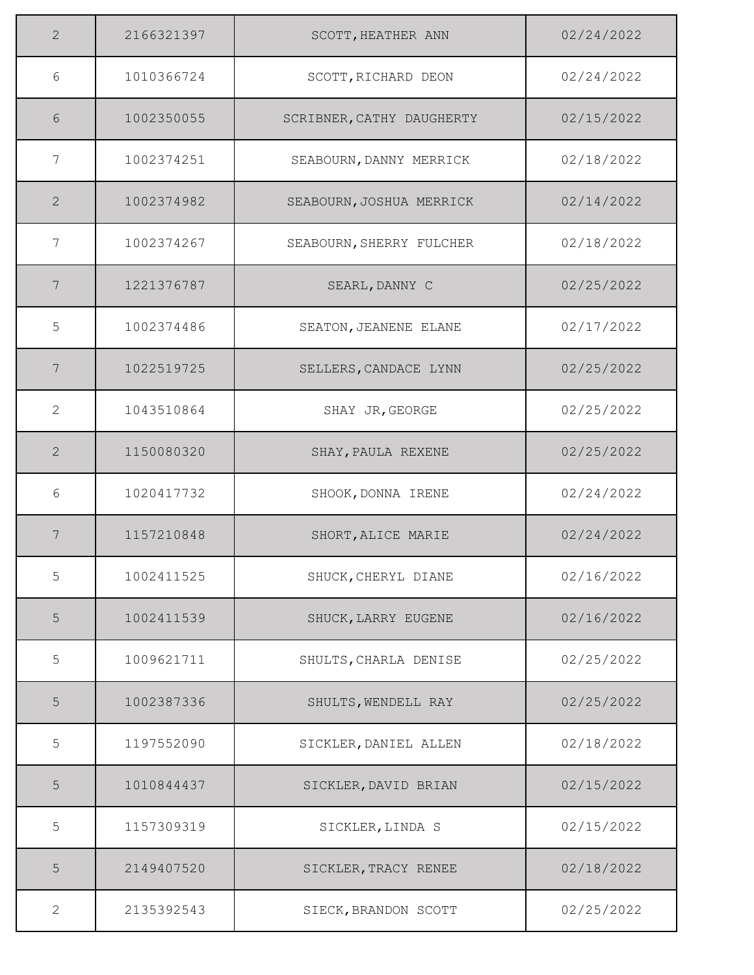| $\overline{2}$ | 2166321397 | SCOTT, HEATHER ANN        | 02/24/2022 |
|----------------|------------|---------------------------|------------|
| 6              | 1010366724 | SCOTT, RICHARD DEON       | 02/24/2022 |
| 6              | 1002350055 | SCRIBNER, CATHY DAUGHERTY | 02/15/2022 |
| 7              | 1002374251 | SEABOURN, DANNY MERRICK   | 02/18/2022 |
| $\overline{2}$ | 1002374982 | SEABOURN, JOSHUA MERRICK  | 02/14/2022 |
| 7              | 1002374267 | SEABOURN, SHERRY FULCHER  | 02/18/2022 |
| 7              | 1221376787 | SEARL, DANNY C            | 02/25/2022 |
| 5              | 1002374486 | SEATON, JEANENE ELANE     | 02/17/2022 |
| 7              | 1022519725 | SELLERS, CANDACE LYNN     | 02/25/2022 |
| $\overline{2}$ | 1043510864 | SHAY JR, GEORGE           | 02/25/2022 |
| $\mathbf{2}$   | 1150080320 | SHAY, PAULA REXENE        | 02/25/2022 |
| 6              | 1020417732 | SHOOK, DONNA IRENE        | 02/24/2022 |
| 7              | 1157210848 | SHORT, ALICE MARIE        | 02/24/2022 |
| 5              | 1002411525 | SHUCK, CHERYL DIANE       | 02/16/2022 |
| 5              | 1002411539 | SHUCK, LARRY EUGENE       | 02/16/2022 |
| 5              | 1009621711 | SHULTS, CHARLA DENISE     | 02/25/2022 |
| 5              | 1002387336 | SHULTS, WENDELL RAY       | 02/25/2022 |
| 5              | 1197552090 | SICKLER, DANIEL ALLEN     | 02/18/2022 |
| 5              | 1010844437 | SICKLER, DAVID BRIAN      | 02/15/2022 |
| 5              | 1157309319 | SICKLER, LINDA S          | 02/15/2022 |
| 5              | 2149407520 | SICKLER, TRACY RENEE      | 02/18/2022 |
| $\overline{2}$ | 2135392543 | SIECK, BRANDON SCOTT      | 02/25/2022 |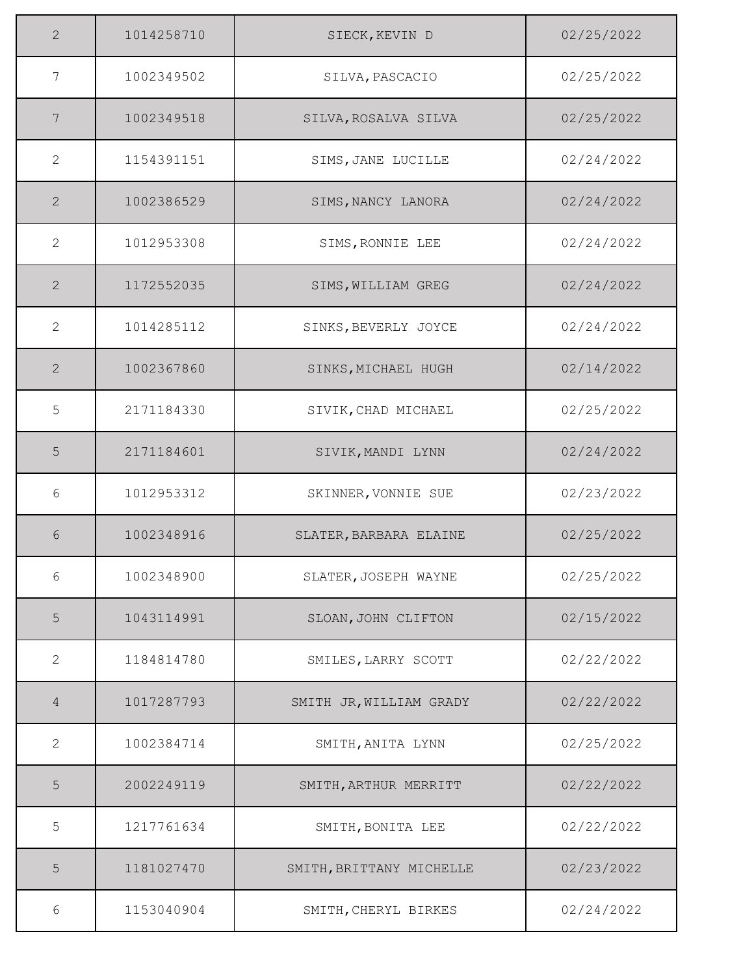| $\overline{2}$ | 1014258710 | SIECK, KEVIN D           | 02/25/2022 |
|----------------|------------|--------------------------|------------|
| $\overline{7}$ | 1002349502 | SILVA, PASCACIO          | 02/25/2022 |
| 7              | 1002349518 | SILVA, ROSALVA SILVA     | 02/25/2022 |
| $\mathbf{2}$   | 1154391151 | SIMS, JANE LUCILLE       | 02/24/2022 |
| $\overline{2}$ | 1002386529 | SIMS, NANCY LANORA       | 02/24/2022 |
| $\mathbf{2}$   | 1012953308 | SIMS, RONNIE LEE         | 02/24/2022 |
| 2              | 1172552035 | SIMS, WILLIAM GREG       | 02/24/2022 |
| $\overline{2}$ | 1014285112 | SINKS, BEVERLY JOYCE     | 02/24/2022 |
| $\overline{2}$ | 1002367860 | SINKS, MICHAEL HUGH      | 02/14/2022 |
| 5              | 2171184330 | SIVIK, CHAD MICHAEL      | 02/25/2022 |
| 5              | 2171184601 | SIVIK, MANDI LYNN        | 02/24/2022 |
| 6              | 1012953312 | SKINNER, VONNIE SUE      | 02/23/2022 |
| 6              | 1002348916 | SLATER, BARBARA ELAINE   | 02/25/2022 |
| 6              | 1002348900 | SLATER, JOSEPH WAYNE     | 02/25/2022 |
| 5              | 1043114991 | SLOAN, JOHN CLIFTON      | 02/15/2022 |
| 2              | 1184814780 | SMILES, LARRY SCOTT      | 02/22/2022 |
| 4              | 1017287793 | SMITH JR, WILLIAM GRADY  | 02/22/2022 |
| 2              | 1002384714 | SMITH, ANITA LYNN        | 02/25/2022 |
| 5              | 2002249119 | SMITH, ARTHUR MERRITT    | 02/22/2022 |
| 5              | 1217761634 | SMITH, BONITA LEE        | 02/22/2022 |
| 5              | 1181027470 | SMITH, BRITTANY MICHELLE | 02/23/2022 |
| 6              | 1153040904 | SMITH, CHERYL BIRKES     | 02/24/2022 |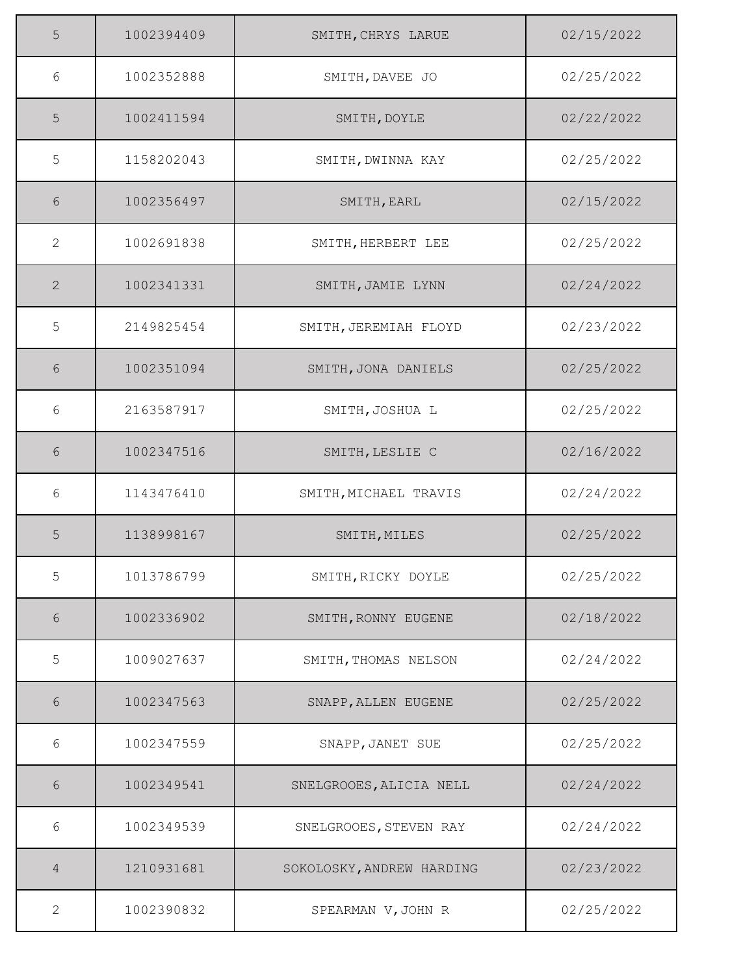| 5     | 1002394409 | SMITH, CHRYS LARUE        | 02/15/2022 |
|-------|------------|---------------------------|------------|
| 6     | 1002352888 | SMITH, DAVEE JO           | 02/25/2022 |
| 5     | 1002411594 | SMITH, DOYLE              | 02/22/2022 |
| 5     | 1158202043 | SMITH, DWINNA KAY         | 02/25/2022 |
| 6     | 1002356497 | SMITH, EARL               | 02/15/2022 |
| 2     | 1002691838 | SMITH, HERBERT LEE        | 02/25/2022 |
| 2     | 1002341331 | SMITH, JAMIE LYNN         | 02/24/2022 |
| 5     | 2149825454 | SMITH, JEREMIAH FLOYD     | 02/23/2022 |
| 6     | 1002351094 | SMITH, JONA DANIELS       | 02/25/2022 |
| 6     | 2163587917 | SMITH, JOSHUA L           | 02/25/2022 |
| 6     | 1002347516 | SMITH, LESLIE C           | 02/16/2022 |
| 6     | 1143476410 | SMITH, MICHAEL TRAVIS     | 02/24/2022 |
| 5     | 1138998167 | SMITH, MILES              | 02/25/2022 |
| 5     | 1013786799 | SMITH, RICKY DOYLE        | 02/25/2022 |
| 6     | 1002336902 | SMITH, RONNY EUGENE       | 02/18/2022 |
| 5     | 1009027637 | SMITH, THOMAS NELSON      | 02/24/2022 |
| 6     | 1002347563 | SNAPP, ALLEN EUGENE       | 02/25/2022 |
| 6     | 1002347559 | SNAPP, JANET SUE          | 02/25/2022 |
| 6     | 1002349541 | SNELGROOES, ALICIA NELL   | 02/24/2022 |
| $6\,$ | 1002349539 | SNELGROOES, STEVEN RAY    | 02/24/2022 |
| 4     | 1210931681 | SOKOLOSKY, ANDREW HARDING | 02/23/2022 |
| 2     | 1002390832 | SPEARMAN V, JOHN R        | 02/25/2022 |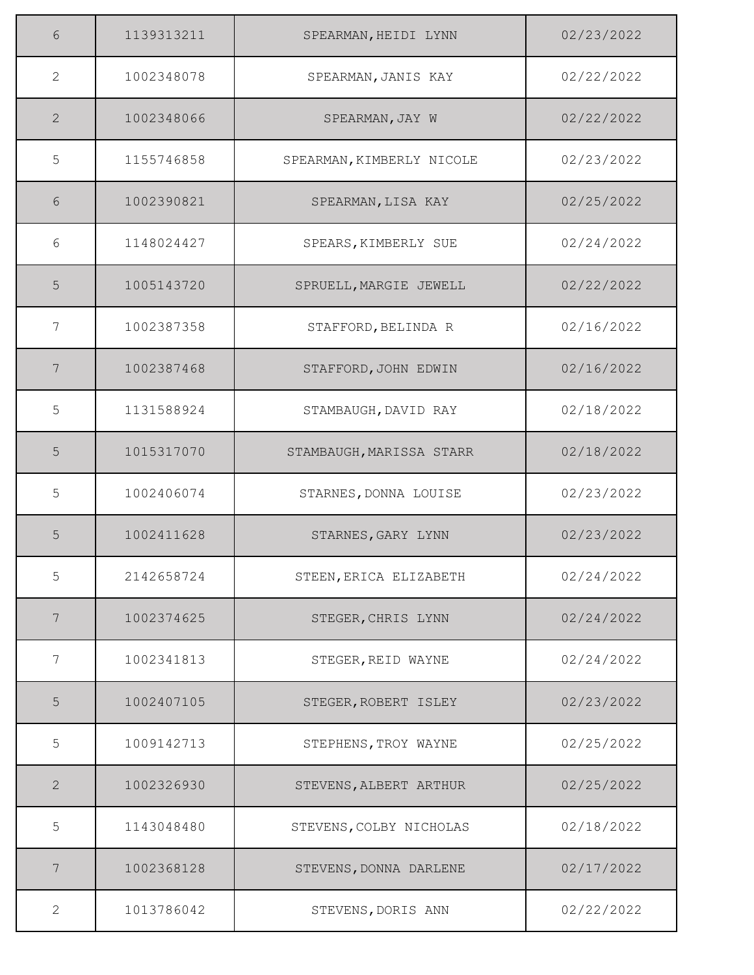| 6               | 1139313211 | SPEARMAN, HEIDI LYNN      | 02/23/2022 |
|-----------------|------------|---------------------------|------------|
| 2               | 1002348078 | SPEARMAN, JANIS KAY       | 02/22/2022 |
| 2               | 1002348066 | SPEARMAN, JAY W           | 02/22/2022 |
| 5               | 1155746858 | SPEARMAN, KIMBERLY NICOLE | 02/23/2022 |
| 6               | 1002390821 | SPEARMAN, LISA KAY        | 02/25/2022 |
| 6               | 1148024427 | SPEARS, KIMBERLY SUE      | 02/24/2022 |
| 5               | 1005143720 | SPRUELL, MARGIE JEWELL    | 02/22/2022 |
| 7               | 1002387358 | STAFFORD, BELINDA R       | 02/16/2022 |
| $7\phantom{.0}$ | 1002387468 | STAFFORD, JOHN EDWIN      | 02/16/2022 |
| 5               | 1131588924 | STAMBAUGH, DAVID RAY      | 02/18/2022 |
| 5               | 1015317070 | STAMBAUGH, MARISSA STARR  | 02/18/2022 |
| 5               | 1002406074 | STARNES, DONNA LOUISE     | 02/23/2022 |
| 5               | 1002411628 | STARNES, GARY LYNN        | 02/23/2022 |
| 5               | 2142658724 | STEEN, ERICA ELIZABETH    | 02/24/2022 |
| $7\phantom{.0}$ | 1002374625 | STEGER, CHRIS LYNN        | 02/24/2022 |
| 7               | 1002341813 | STEGER, REID WAYNE        | 02/24/2022 |
| 5               | 1002407105 | STEGER, ROBERT ISLEY      | 02/23/2022 |
| 5               | 1009142713 | STEPHENS, TROY WAYNE      | 02/25/2022 |
| $\mathbf{2}$    | 1002326930 | STEVENS, ALBERT ARTHUR    | 02/25/2022 |
| 5               | 1143048480 | STEVENS, COLBY NICHOLAS   | 02/18/2022 |
| 7               | 1002368128 | STEVENS, DONNA DARLENE    | 02/17/2022 |
| 2               | 1013786042 | STEVENS, DORIS ANN        | 02/22/2022 |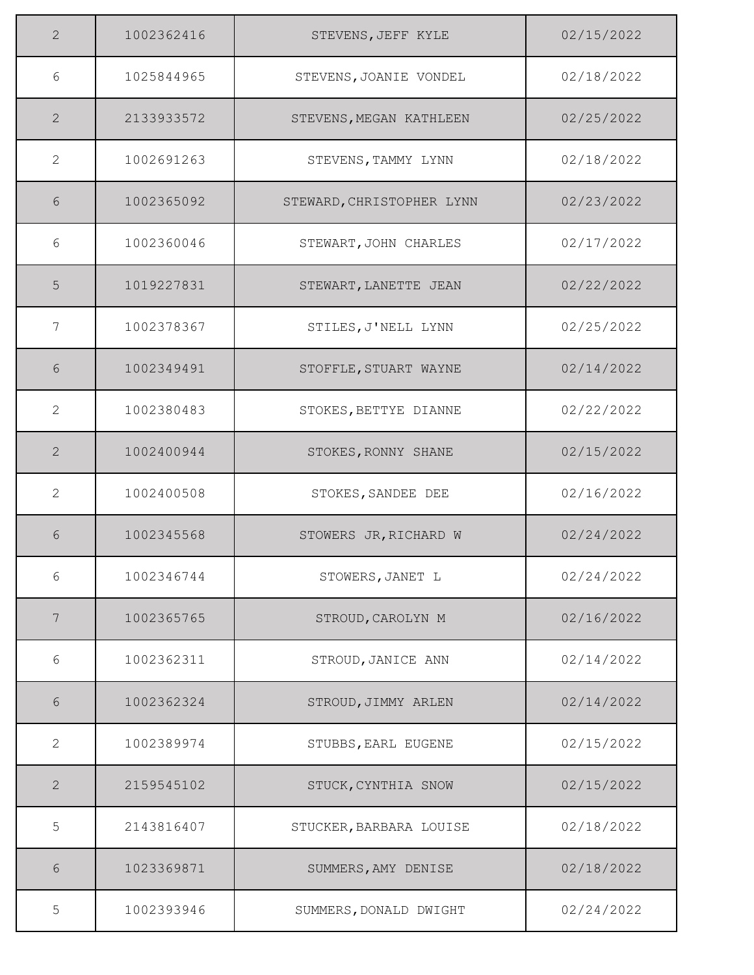| $\overline{2}$ | 1002362416 | STEVENS, JEFF KYLE        | 02/15/2022 |
|----------------|------------|---------------------------|------------|
| 6              | 1025844965 | STEVENS, JOANIE VONDEL    | 02/18/2022 |
| $\overline{2}$ | 2133933572 | STEVENS, MEGAN KATHLEEN   | 02/25/2022 |
| $\overline{2}$ | 1002691263 | STEVENS, TAMMY LYNN       | 02/18/2022 |
| 6              | 1002365092 | STEWARD, CHRISTOPHER LYNN | 02/23/2022 |
| 6              | 1002360046 | STEWART, JOHN CHARLES     | 02/17/2022 |
| 5              | 1019227831 | STEWART, LANETTE JEAN     | 02/22/2022 |
| $\overline{7}$ | 1002378367 | STILES, J'NELL LYNN       | 02/25/2022 |
| 6              | 1002349491 | STOFFLE, STUART WAYNE     | 02/14/2022 |
| $\mathbf{2}$   | 1002380483 | STOKES, BETTYE DIANNE     | 02/22/2022 |
| $\mathbf{2}$   | 1002400944 | STOKES, RONNY SHANE       | 02/15/2022 |
| $\overline{2}$ | 1002400508 | STOKES, SANDEE DEE        | 02/16/2022 |
| 6              | 1002345568 | STOWERS JR, RICHARD W     | 02/24/2022 |
| 6              | 1002346744 | STOWERS, JANET L          | 02/24/2022 |
| 7              | 1002365765 | STROUD, CAROLYN M         | 02/16/2022 |
| 6              | 1002362311 | STROUD, JANICE ANN        | 02/14/2022 |
| 6              | 1002362324 | STROUD, JIMMY ARLEN       | 02/14/2022 |
| $\overline{2}$ | 1002389974 | STUBBS, EARL EUGENE       | 02/15/2022 |
| $\overline{2}$ | 2159545102 | STUCK, CYNTHIA SNOW       | 02/15/2022 |
| 5              | 2143816407 | STUCKER, BARBARA LOUISE   | 02/18/2022 |
| 6              | 1023369871 | SUMMERS, AMY DENISE       | 02/18/2022 |
| 5              | 1002393946 | SUMMERS, DONALD DWIGHT    | 02/24/2022 |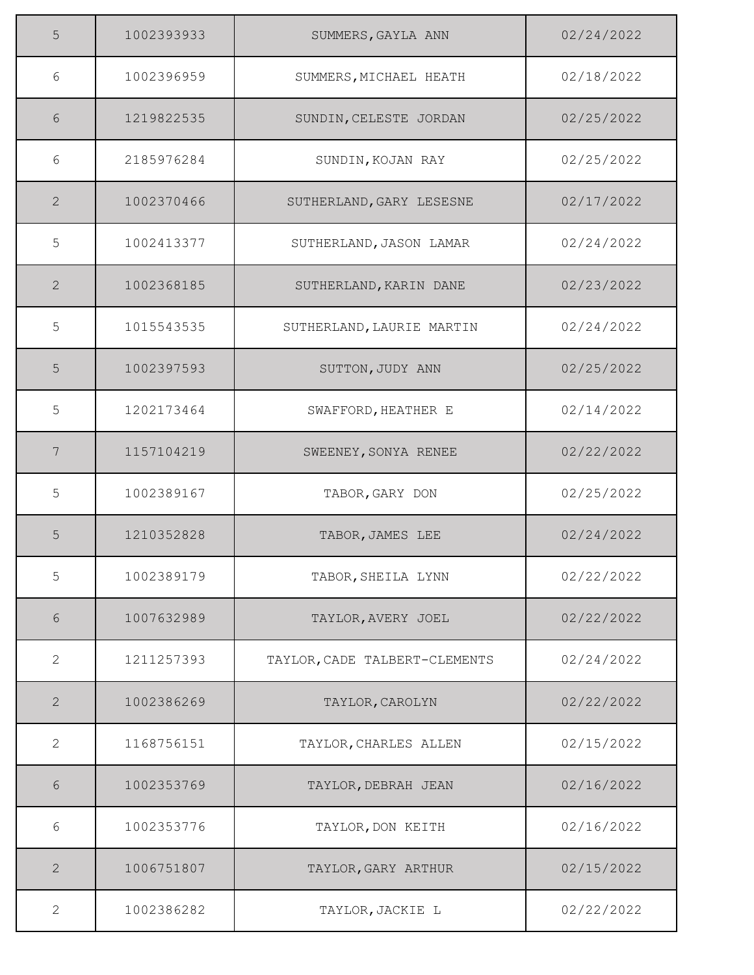| 5              | 1002393933 | SUMMERS, GAYLA ANN            | 02/24/2022 |
|----------------|------------|-------------------------------|------------|
| 6              | 1002396959 | SUMMERS, MICHAEL HEATH        | 02/18/2022 |
| 6              | 1219822535 | SUNDIN, CELESTE JORDAN        | 02/25/2022 |
| 6              | 2185976284 | SUNDIN, KOJAN RAY             | 02/25/2022 |
| 2              | 1002370466 | SUTHERLAND, GARY LESESNE      | 02/17/2022 |
| 5              | 1002413377 | SUTHERLAND, JASON LAMAR       | 02/24/2022 |
| 2              | 1002368185 | SUTHERLAND, KARIN DANE        | 02/23/2022 |
| 5              | 1015543535 | SUTHERLAND, LAURIE MARTIN     | 02/24/2022 |
| 5              | 1002397593 | SUTTON, JUDY ANN              | 02/25/2022 |
| 5              | 1202173464 | SWAFFORD, HEATHER E           | 02/14/2022 |
| 7              | 1157104219 | SWEENEY, SONYA RENEE          | 02/22/2022 |
| 5              | 1002389167 | TABOR, GARY DON               | 02/25/2022 |
| 5              | 1210352828 | TABOR, JAMES LEE              | 02/24/2022 |
| 5              | 1002389179 | TABOR, SHEILA LYNN            | 02/22/2022 |
| 6              | 1007632989 | TAYLOR, AVERY JOEL            | 02/22/2022 |
| 2              | 1211257393 | TAYLOR, CADE TALBERT-CLEMENTS | 02/24/2022 |
| 2              | 1002386269 | TAYLOR, CAROLYN               | 02/22/2022 |
| 2              | 1168756151 | TAYLOR, CHARLES ALLEN         | 02/15/2022 |
| 6              | 1002353769 | TAYLOR, DEBRAH JEAN           | 02/16/2022 |
| 6              | 1002353776 | TAYLOR, DON KEITH             | 02/16/2022 |
| $\overline{2}$ | 1006751807 | TAYLOR, GARY ARTHUR           | 02/15/2022 |
| 2              | 1002386282 | TAYLOR, JACKIE L              | 02/22/2022 |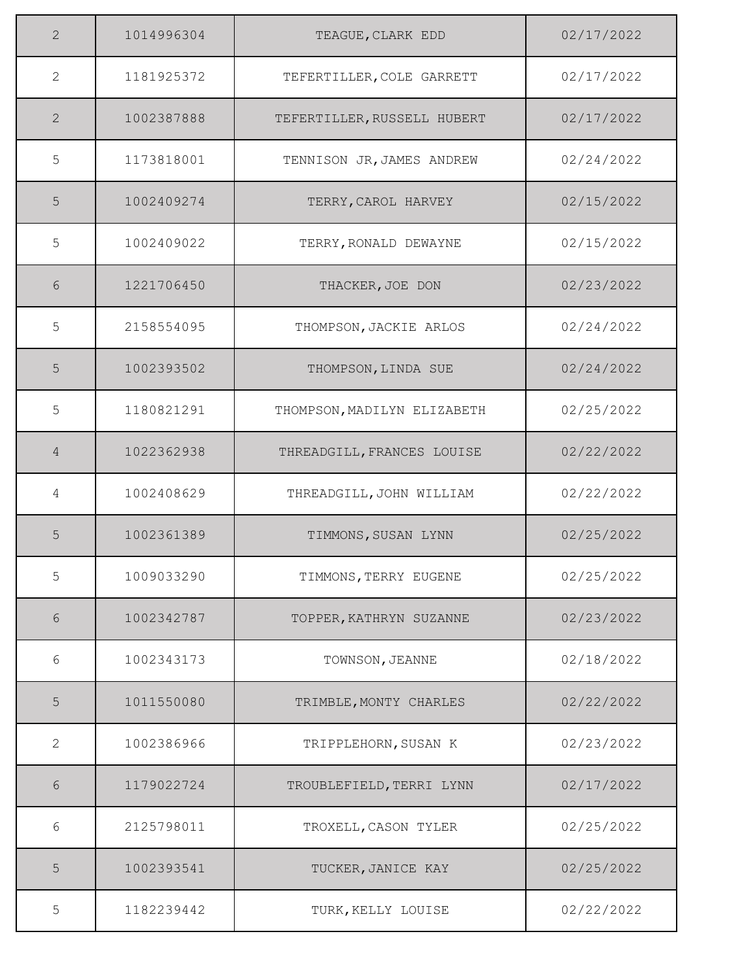| $\overline{2}$ | 1014996304 | TEAGUE, CLARK EDD           | 02/17/2022 |
|----------------|------------|-----------------------------|------------|
| $\overline{2}$ | 1181925372 | TEFERTILLER, COLE GARRETT   | 02/17/2022 |
| $\overline{2}$ | 1002387888 | TEFERTILLER, RUSSELL HUBERT | 02/17/2022 |
| 5              | 1173818001 | TENNISON JR, JAMES ANDREW   | 02/24/2022 |
| 5              | 1002409274 | TERRY, CAROL HARVEY         | 02/15/2022 |
| 5              | 1002409022 | TERRY, RONALD DEWAYNE       | 02/15/2022 |
| 6              | 1221706450 | THACKER, JOE DON            | 02/23/2022 |
| 5              | 2158554095 | THOMPSON, JACKIE ARLOS      | 02/24/2022 |
| 5              | 1002393502 | THOMPSON, LINDA SUE         | 02/24/2022 |
| 5              | 1180821291 | THOMPSON, MADILYN ELIZABETH | 02/25/2022 |
| 4              | 1022362938 | THREADGILL, FRANCES LOUISE  | 02/22/2022 |
| 4              | 1002408629 | THREADGILL, JOHN WILLIAM    | 02/22/2022 |
| 5              | 1002361389 | TIMMONS, SUSAN LYNN         | 02/25/2022 |
| 5              | 1009033290 | TIMMONS, TERRY EUGENE       | 02/25/2022 |
| 6              | 1002342787 | TOPPER, KATHRYN SUZANNE     | 02/23/2022 |
| 6              | 1002343173 | TOWNSON, JEANNE             | 02/18/2022 |
| 5              | 1011550080 | TRIMBLE, MONTY CHARLES      | 02/22/2022 |
| $\overline{2}$ | 1002386966 | TRIPPLEHORN, SUSAN K        | 02/23/2022 |
| 6              | 1179022724 | TROUBLEFIELD, TERRI LYNN    | 02/17/2022 |
| 6              | 2125798011 | TROXELL, CASON TYLER        | 02/25/2022 |
| 5              | 1002393541 | TUCKER, JANICE KAY          | 02/25/2022 |
| 5              | 1182239442 | TURK, KELLY LOUISE          | 02/22/2022 |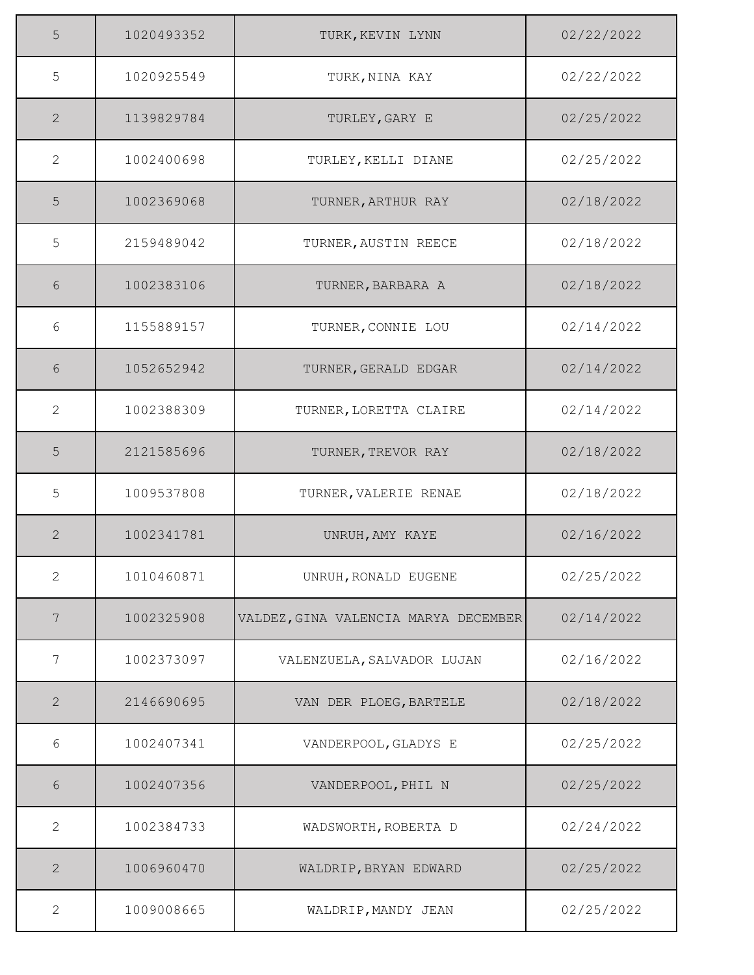| 5               | 1020493352 | TURK, KEVIN LYNN                     | 02/22/2022 |
|-----------------|------------|--------------------------------------|------------|
| 5               | 1020925549 | TURK, NINA KAY                       | 02/22/2022 |
| 2               | 1139829784 | TURLEY, GARY E                       | 02/25/2022 |
| $\mathbf{2}$    | 1002400698 | TURLEY, KELLI DIANE                  | 02/25/2022 |
| 5               | 1002369068 | TURNER, ARTHUR RAY                   | 02/18/2022 |
| 5               | 2159489042 | TURNER, AUSTIN REECE                 | 02/18/2022 |
| 6               | 1002383106 | TURNER, BARBARA A                    | 02/18/2022 |
| 6               | 1155889157 | TURNER, CONNIE LOU                   | 02/14/2022 |
| 6               | 1052652942 | TURNER, GERALD EDGAR                 | 02/14/2022 |
| 2               | 1002388309 | TURNER, LORETTA CLAIRE               | 02/14/2022 |
| 5               | 2121585696 | TURNER, TREVOR RAY                   | 02/18/2022 |
| 5               | 1009537808 | TURNER, VALERIE RENAE                | 02/18/2022 |
| 2               | 1002341781 | UNRUH, AMY KAYE                      | 02/16/2022 |
| $\mathbf{2}$    | 1010460871 | UNRUH, RONALD EUGENE                 | 02/25/2022 |
| $7\phantom{.0}$ | 1002325908 | VALDEZ, GINA VALENCIA MARYA DECEMBER | 02/14/2022 |
| 7               | 1002373097 | VALENZUELA, SALVADOR LUJAN           | 02/16/2022 |
| $\mathbf{2}$    | 2146690695 | VAN DER PLOEG, BARTELE               | 02/18/2022 |
| 6               | 1002407341 | VANDERPOOL, GLADYS E                 | 02/25/2022 |
| 6               | 1002407356 | VANDERPOOL, PHIL N                   | 02/25/2022 |
| 2               | 1002384733 | WADSWORTH, ROBERTA D                 | 02/24/2022 |
| 2               | 1006960470 | WALDRIP, BRYAN EDWARD                | 02/25/2022 |
| 2               | 1009008665 | WALDRIP, MANDY JEAN                  | 02/25/2022 |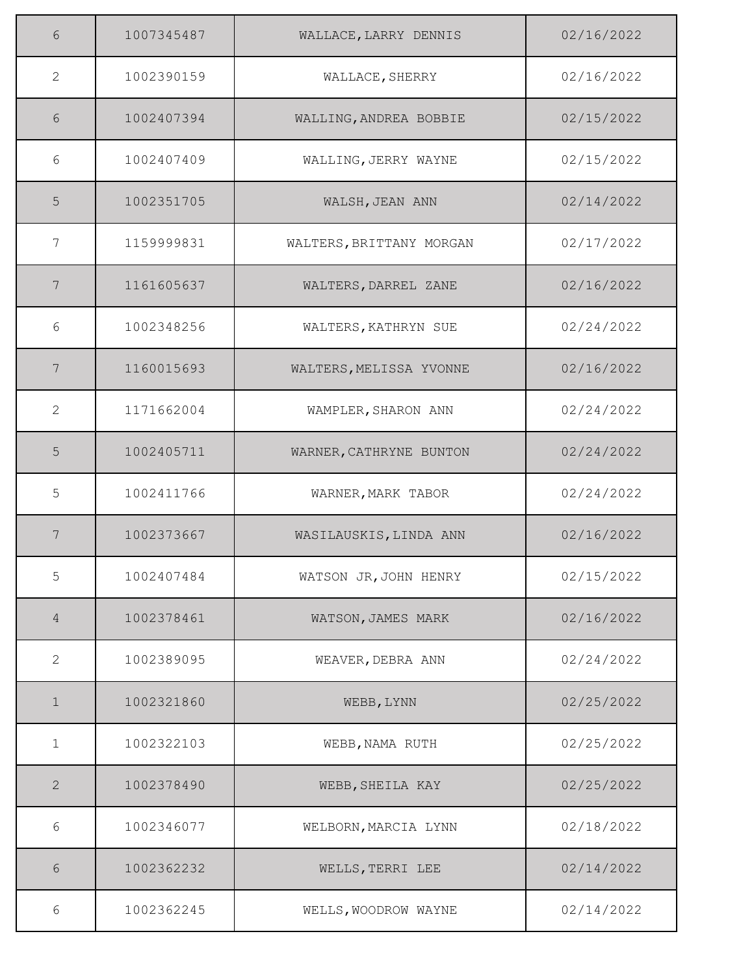| 6              | 1007345487 | WALLACE, LARRY DENNIS    | 02/16/2022 |
|----------------|------------|--------------------------|------------|
| 2              | 1002390159 | WALLACE, SHERRY          | 02/16/2022 |
| 6              | 1002407394 | WALLING, ANDREA BOBBIE   | 02/15/2022 |
| 6              | 1002407409 | WALLING, JERRY WAYNE     | 02/15/2022 |
| 5              | 1002351705 | WALSH, JEAN ANN          | 02/14/2022 |
| 7              | 1159999831 | WALTERS, BRITTANY MORGAN | 02/17/2022 |
| 7              | 1161605637 | WALTERS, DARREL ZANE     | 02/16/2022 |
| 6              | 1002348256 | WALTERS, KATHRYN SUE     | 02/24/2022 |
| 7              | 1160015693 | WALTERS, MELISSA YVONNE  | 02/16/2022 |
| 2              | 1171662004 | WAMPLER, SHARON ANN      | 02/24/2022 |
| 5              | 1002405711 | WARNER, CATHRYNE BUNTON  | 02/24/2022 |
| 5              | 1002411766 | WARNER, MARK TABOR       | 02/24/2022 |
| 7              | 1002373667 | WASILAUSKIS, LINDA ANN   | 02/16/2022 |
| 5              | 1002407484 | WATSON JR, JOHN HENRY    | 02/15/2022 |
| $\overline{4}$ | 1002378461 | WATSON, JAMES MARK       | 02/16/2022 |
| 2              | 1002389095 | WEAVER, DEBRA ANN        | 02/24/2022 |
| $\mathbf 1$    | 1002321860 | WEBB, LYNN               | 02/25/2022 |
| 1              | 1002322103 | WEBB, NAMA RUTH          | 02/25/2022 |
| 2              | 1002378490 | WEBB, SHEILA KAY         | 02/25/2022 |
| $6\,$          | 1002346077 | WELBORN, MARCIA LYNN     | 02/18/2022 |
| 6              | 1002362232 | WELLS, TERRI LEE         | 02/14/2022 |
| 6              | 1002362245 | WELLS, WOODROW WAYNE     | 02/14/2022 |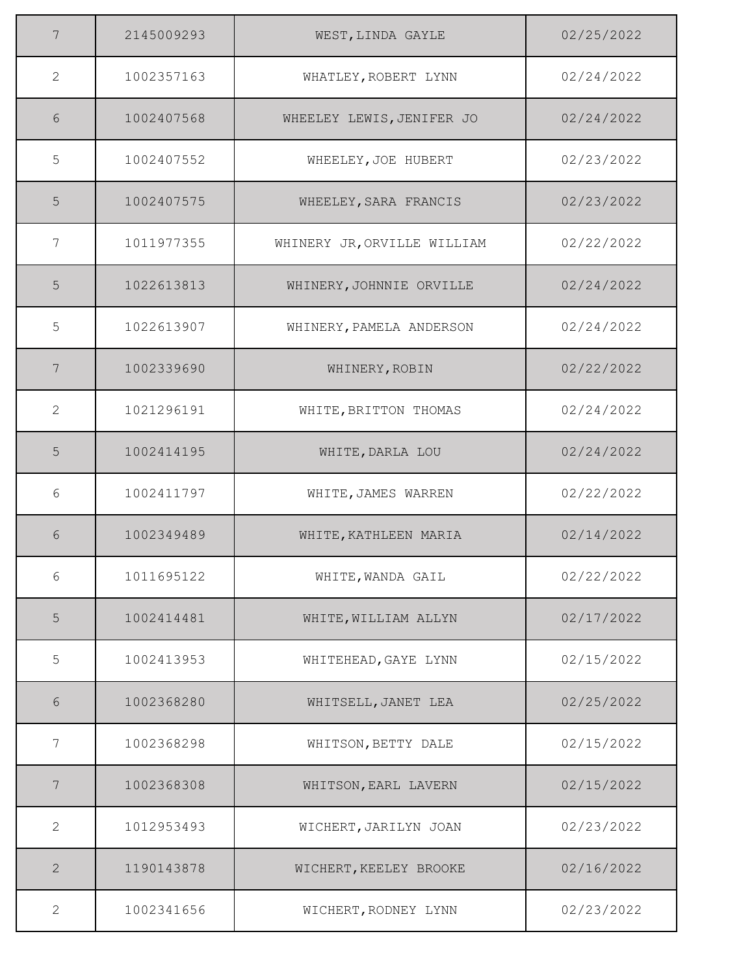| 7            | 2145009293 | WEST, LINDA GAYLE           | 02/25/2022 |
|--------------|------------|-----------------------------|------------|
| 2            | 1002357163 | WHATLEY, ROBERT LYNN        | 02/24/2022 |
| 6            | 1002407568 | WHEELEY LEWIS, JENIFER JO   | 02/24/2022 |
| 5            | 1002407552 | WHEELEY, JOE HUBERT         | 02/23/2022 |
| 5            | 1002407575 | WHEELEY, SARA FRANCIS       | 02/23/2022 |
| 7            | 1011977355 | WHINERY JR, ORVILLE WILLIAM | 02/22/2022 |
| 5            | 1022613813 | WHINERY, JOHNNIE ORVILLE    | 02/24/2022 |
| 5            | 1022613907 | WHINERY, PAMELA ANDERSON    | 02/24/2022 |
| 7            | 1002339690 | WHINERY, ROBIN              | 02/22/2022 |
| 2            | 1021296191 | WHITE, BRITTON THOMAS       | 02/24/2022 |
| 5            | 1002414195 | WHITE, DARLA LOU            | 02/24/2022 |
| 6            | 1002411797 | WHITE, JAMES WARREN         | 02/22/2022 |
| 6            | 1002349489 | WHITE, KATHLEEN MARIA       | 02/14/2022 |
| 6            | 1011695122 | WHITE, WANDA GAIL           | 02/22/2022 |
| 5            | 1002414481 | WHITE, WILLIAM ALLYN        | 02/17/2022 |
| 5            | 1002413953 | WHITEHEAD, GAYE LYNN        | 02/15/2022 |
| 6            | 1002368280 | WHITSELL, JANET LEA         | 02/25/2022 |
| 7            | 1002368298 | WHITSON, BETTY DALE         | 02/15/2022 |
| 7            | 1002368308 | WHITSON, EARL LAVERN        | 02/15/2022 |
| 2            | 1012953493 | WICHERT, JARILYN JOAN       | 02/23/2022 |
| $\mathbf{2}$ | 1190143878 | WICHERT, KEELEY BROOKE      | 02/16/2022 |
| $\mathbf{2}$ | 1002341656 | WICHERT, RODNEY LYNN        | 02/23/2022 |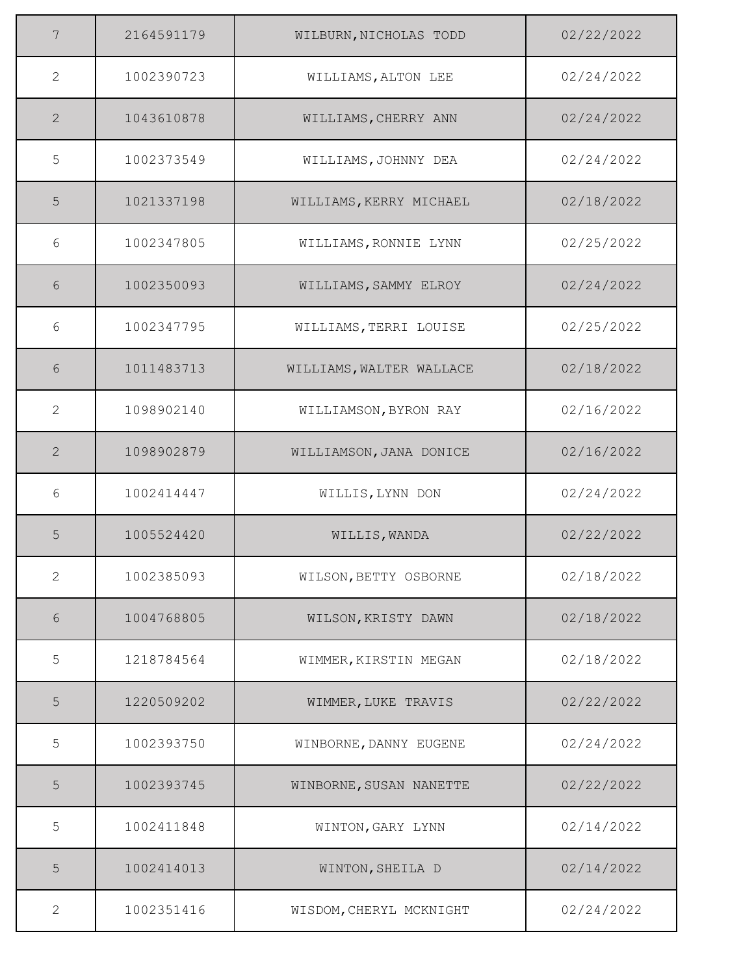| 7                     | 2164591179 | WILBURN, NICHOLAS TODD   | 02/22/2022 |
|-----------------------|------------|--------------------------|------------|
| $\mathbf{2}^{\prime}$ | 1002390723 | WILLIAMS, ALTON LEE      | 02/24/2022 |
| $\overline{2}$        | 1043610878 | WILLIAMS, CHERRY ANN     | 02/24/2022 |
| 5                     | 1002373549 | WILLIAMS, JOHNNY DEA     | 02/24/2022 |
| 5                     | 1021337198 | WILLIAMS, KERRY MICHAEL  | 02/18/2022 |
| 6                     | 1002347805 | WILLIAMS, RONNIE LYNN    | 02/25/2022 |
| 6                     | 1002350093 | WILLIAMS, SAMMY ELROY    | 02/24/2022 |
| 6                     | 1002347795 | WILLIAMS, TERRI LOUISE   | 02/25/2022 |
| 6                     | 1011483713 | WILLIAMS, WALTER WALLACE | 02/18/2022 |
| 2                     | 1098902140 | WILLIAMSON, BYRON RAY    | 02/16/2022 |
| 2                     | 1098902879 | WILLIAMSON, JANA DONICE  | 02/16/2022 |
| 6                     | 1002414447 | WILLIS, LYNN DON         | 02/24/2022 |
| 5                     | 1005524420 | WILLIS, WANDA            | 02/22/2022 |
| 2                     | 1002385093 | WILSON, BETTY OSBORNE    | 02/18/2022 |
| 6                     | 1004768805 | WILSON, KRISTY DAWN      | 02/18/2022 |
| 5                     | 1218784564 | WIMMER, KIRSTIN MEGAN    | 02/18/2022 |
| 5                     | 1220509202 | WIMMER, LUKE TRAVIS      | 02/22/2022 |
| 5                     | 1002393750 | WINBORNE, DANNY EUGENE   | 02/24/2022 |
| 5                     | 1002393745 | WINBORNE, SUSAN NANETTE  | 02/22/2022 |
| 5                     | 1002411848 | WINTON, GARY LYNN        | 02/14/2022 |
| 5                     | 1002414013 | WINTON, SHEILA D         | 02/14/2022 |
| $\mathbf{2}$          | 1002351416 | WISDOM, CHERYL MCKNIGHT  | 02/24/2022 |